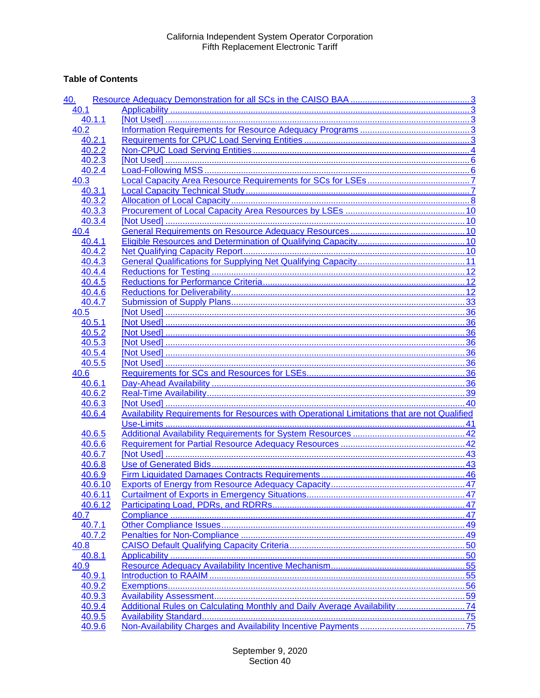## **Table of Contents**

| 40.     |                                                                                                    |  |
|---------|----------------------------------------------------------------------------------------------------|--|
| 40.1    |                                                                                                    |  |
| 40.1.1  |                                                                                                    |  |
| 40.2    |                                                                                                    |  |
| 40.2.1  |                                                                                                    |  |
| 40.2.2  |                                                                                                    |  |
| 40.2.3  |                                                                                                    |  |
| 40.2.4  |                                                                                                    |  |
| 40.3    |                                                                                                    |  |
| 40.3.1  |                                                                                                    |  |
| 40.3.2  |                                                                                                    |  |
| 40.3.3  |                                                                                                    |  |
| 40.3.4  |                                                                                                    |  |
| 40.4    |                                                                                                    |  |
| 40.4.1  |                                                                                                    |  |
| 40.4.2  |                                                                                                    |  |
| 40.4.3  |                                                                                                    |  |
| 40.4.4  |                                                                                                    |  |
| 40.4.5  |                                                                                                    |  |
| 40.4.6  |                                                                                                    |  |
| 40.4.7  |                                                                                                    |  |
| 40.5    |                                                                                                    |  |
| 40.5.1  |                                                                                                    |  |
| 40.5.2  |                                                                                                    |  |
| 40.5.3  |                                                                                                    |  |
| 40.5.4  |                                                                                                    |  |
| 40.5.5  |                                                                                                    |  |
| 40.6    |                                                                                                    |  |
| 40.6.1  |                                                                                                    |  |
| 40.6.2  |                                                                                                    |  |
| 40.6.3  |                                                                                                    |  |
| 40.6.4  | <b>Availability Requirements for Resources with Operational Limitations that are not Qualified</b> |  |
|         |                                                                                                    |  |
| 40.6.5  |                                                                                                    |  |
| 40.6.6  |                                                                                                    |  |
| 40.6.7  |                                                                                                    |  |
| 40.6.8  |                                                                                                    |  |
| 40.6.9  |                                                                                                    |  |
| 40.6.10 |                                                                                                    |  |
| 40.6.11 |                                                                                                    |  |
| 40.6.12 |                                                                                                    |  |
| 40.7    |                                                                                                    |  |
| 40.7.1  |                                                                                                    |  |
| 40.7.2  |                                                                                                    |  |
| 40.8    |                                                                                                    |  |
| 40.8.1  |                                                                                                    |  |
| 40.9    |                                                                                                    |  |
| 40.9.1  |                                                                                                    |  |
| 40.9.2  |                                                                                                    |  |
| 40.9.3  |                                                                                                    |  |
| 40.9.4  | Additional Rules on Calculating Monthly and Daily Average Availability74                           |  |
| 40.9.5  |                                                                                                    |  |
| 40.9.6  |                                                                                                    |  |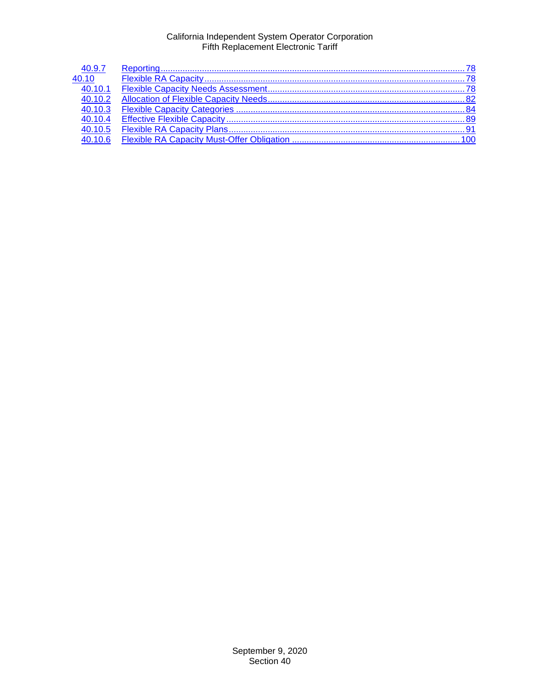| 40.9.7               |  |
|----------------------|--|
| 40.10                |  |
| $\overline{40.10.1}$ |  |
| 40.10.2              |  |
| 40.10.3              |  |
| 40.10.4              |  |
| 40.10.5              |  |
| 40.10.6              |  |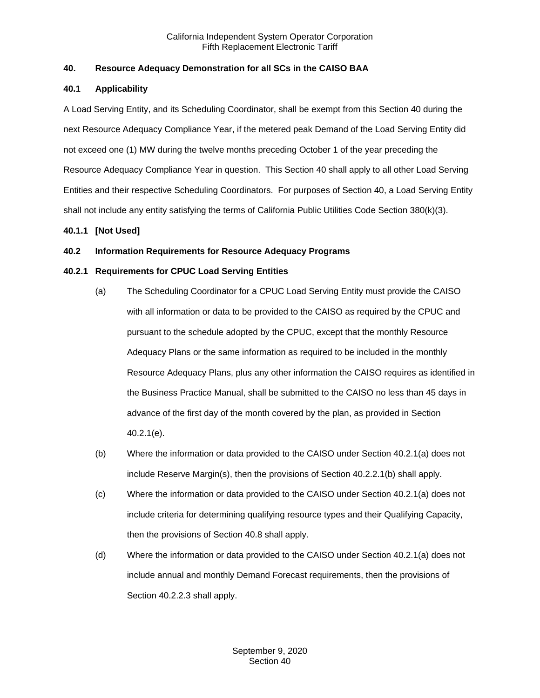## <span id="page-2-0"></span>**40. Resource Adequacy Demonstration for all SCs in the CAISO BAA**

## <span id="page-2-1"></span>**40.1 Applicability**

A Load Serving Entity, and its Scheduling Coordinator, shall be exempt from this Section 40 during the next Resource Adequacy Compliance Year, if the metered peak Demand of the Load Serving Entity did not exceed one (1) MW during the twelve months preceding October 1 of the year preceding the Resource Adequacy Compliance Year in question. This Section 40 shall apply to all other Load Serving Entities and their respective Scheduling Coordinators. For purposes of Section 40, a Load Serving Entity shall not include any entity satisfying the terms of California Public Utilities Code Section 380(k)(3).

## <span id="page-2-2"></span>**40.1.1 [Not Used]**

## <span id="page-2-3"></span>**40.2 Information Requirements for Resource Adequacy Programs**

## <span id="page-2-4"></span>**40.2.1 Requirements for CPUC Load Serving Entities**

- (a) The Scheduling Coordinator for a CPUC Load Serving Entity must provide the CAISO with all information or data to be provided to the CAISO as required by the CPUC and pursuant to the schedule adopted by the CPUC, except that the monthly Resource Adequacy Plans or the same information as required to be included in the monthly Resource Adequacy Plans, plus any other information the CAISO requires as identified in the Business Practice Manual, shall be submitted to the CAISO no less than 45 days in advance of the first day of the month covered by the plan, as provided in Section 40.2.1(e).
- (b) Where the information or data provided to the CAISO under Section 40.2.1(a) does not include Reserve Margin(s), then the provisions of Section 40.2.2.1(b) shall apply.
- (c) Where the information or data provided to the CAISO under Section 40.2.1(a) does not include criteria for determining qualifying resource types and their Qualifying Capacity, then the provisions of Section 40.8 shall apply.
- (d) Where the information or data provided to the CAISO under Section 40.2.1(a) does not include annual and monthly Demand Forecast requirements, then the provisions of Section 40.2.2.3 shall apply.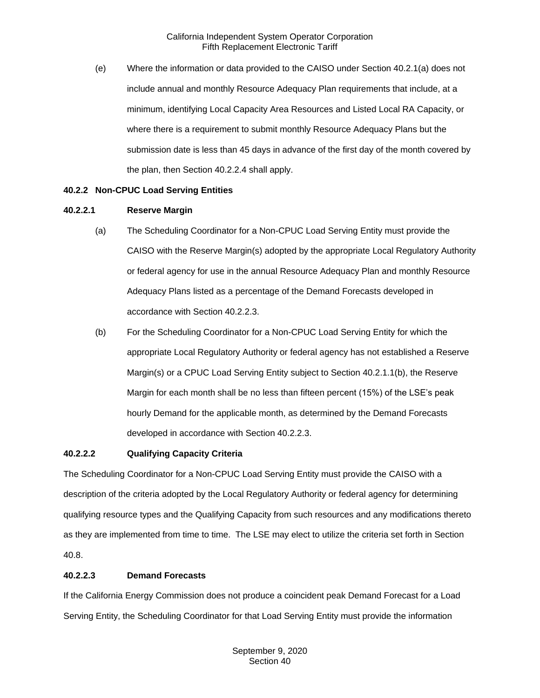(e) Where the information or data provided to the CAISO under Section 40.2.1(a) does not include annual and monthly Resource Adequacy Plan requirements that include, at a minimum, identifying Local Capacity Area Resources and Listed Local RA Capacity, or where there is a requirement to submit monthly Resource Adequacy Plans but the submission date is less than 45 days in advance of the first day of the month covered by the plan, then Section 40.2.2.4 shall apply.

## <span id="page-3-0"></span>**40.2.2 Non-CPUC Load Serving Entities**

## **40.2.2.1 Reserve Margin**

- (a) The Scheduling Coordinator for a Non-CPUC Load Serving Entity must provide the CAISO with the Reserve Margin(s) adopted by the appropriate Local Regulatory Authority or federal agency for use in the annual Resource Adequacy Plan and monthly Resource Adequacy Plans listed as a percentage of the Demand Forecasts developed in accordance with Section 40.2.2.3.
- (b) For the Scheduling Coordinator for a Non-CPUC Load Serving Entity for which the appropriate Local Regulatory Authority or federal agency has not established a Reserve Margin(s) or a CPUC Load Serving Entity subject to Section 40.2.1.1(b), the Reserve Margin for each month shall be no less than fifteen percent (15%) of the LSE's peak hourly Demand for the applicable month, as determined by the Demand Forecasts developed in accordance with Section 40.2.2.3.

## **40.2.2.2 Qualifying Capacity Criteria**

The Scheduling Coordinator for a Non-CPUC Load Serving Entity must provide the CAISO with a description of the criteria adopted by the Local Regulatory Authority or federal agency for determining qualifying resource types and the Qualifying Capacity from such resources and any modifications thereto as they are implemented from time to time. The LSE may elect to utilize the criteria set forth in Section 40.8.

## **40.2.2.3 Demand Forecasts**

If the California Energy Commission does not produce a coincident peak Demand Forecast for a Load Serving Entity, the Scheduling Coordinator for that Load Serving Entity must provide the information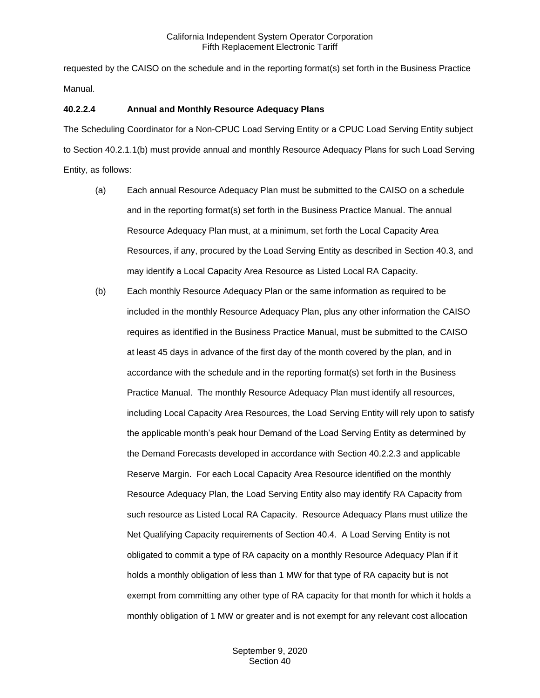requested by the CAISO on the schedule and in the reporting format(s) set forth in the Business Practice Manual.

## **40.2.2.4 Annual and Monthly Resource Adequacy Plans**

The Scheduling Coordinator for a Non-CPUC Load Serving Entity or a CPUC Load Serving Entity subject to Section 40.2.1.1(b) must provide annual and monthly Resource Adequacy Plans for such Load Serving Entity, as follows:

- (a) Each annual Resource Adequacy Plan must be submitted to the CAISO on a schedule and in the reporting format(s) set forth in the Business Practice Manual. The annual Resource Adequacy Plan must, at a minimum, set forth the Local Capacity Area Resources, if any, procured by the Load Serving Entity as described in Section 40.3, and may identify a Local Capacity Area Resource as Listed Local RA Capacity.
- (b) Each monthly Resource Adequacy Plan or the same information as required to be included in the monthly Resource Adequacy Plan, plus any other information the CAISO requires as identified in the Business Practice Manual, must be submitted to the CAISO at least 45 days in advance of the first day of the month covered by the plan, and in accordance with the schedule and in the reporting format(s) set forth in the Business Practice Manual. The monthly Resource Adequacy Plan must identify all resources, including Local Capacity Area Resources, the Load Serving Entity will rely upon to satisfy the applicable month's peak hour Demand of the Load Serving Entity as determined by the Demand Forecasts developed in accordance with Section 40.2.2.3 and applicable Reserve Margin. For each Local Capacity Area Resource identified on the monthly Resource Adequacy Plan, the Load Serving Entity also may identify RA Capacity from such resource as Listed Local RA Capacity. Resource Adequacy Plans must utilize the Net Qualifying Capacity requirements of Section 40.4. A Load Serving Entity is not obligated to commit a type of RA capacity on a monthly Resource Adequacy Plan if it holds a monthly obligation of less than 1 MW for that type of RA capacity but is not exempt from committing any other type of RA capacity for that month for which it holds a monthly obligation of 1 MW or greater and is not exempt for any relevant cost allocation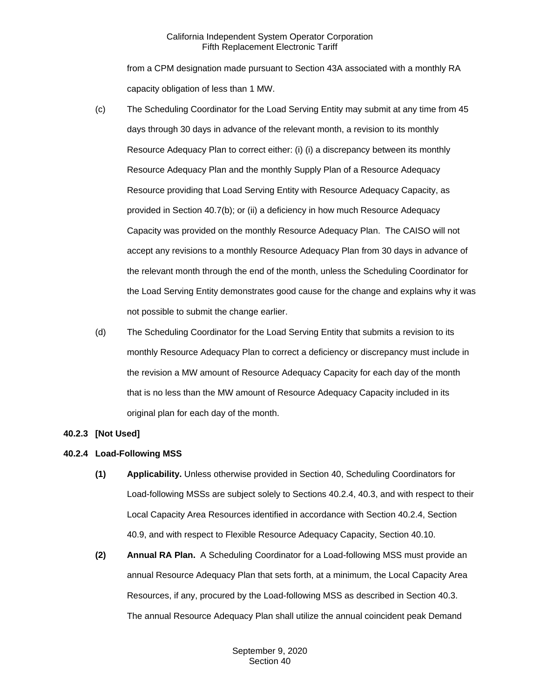from a CPM designation made pursuant to Section 43A associated with a monthly RA capacity obligation of less than 1 MW.

- (c) The Scheduling Coordinator for the Load Serving Entity may submit at any time from 45 days through 30 days in advance of the relevant month, a revision to its monthly Resource Adequacy Plan to correct either: (i) (i) a discrepancy between its monthly Resource Adequacy Plan and the monthly Supply Plan of a Resource Adequacy Resource providing that Load Serving Entity with Resource Adequacy Capacity, as provided in Section 40.7(b); or (ii) a deficiency in how much Resource Adequacy Capacity was provided on the monthly Resource Adequacy Plan. The CAISO will not accept any revisions to a monthly Resource Adequacy Plan from 30 days in advance of the relevant month through the end of the month, unless the Scheduling Coordinator for the Load Serving Entity demonstrates good cause for the change and explains why it was not possible to submit the change earlier.
- (d) The Scheduling Coordinator for the Load Serving Entity that submits a revision to its monthly Resource Adequacy Plan to correct a deficiency or discrepancy must include in the revision a MW amount of Resource Adequacy Capacity for each day of the month that is no less than the MW amount of Resource Adequacy Capacity included in its original plan for each day of the month.

## <span id="page-5-0"></span>**40.2.3 [Not Used]**

## <span id="page-5-1"></span>**40.2.4 Load-Following MSS**

- **(1) Applicability.** Unless otherwise provided in Section 40, Scheduling Coordinators for Load-following MSSs are subject solely to Sections 40.2.4, 40.3, and with respect to their Local Capacity Area Resources identified in accordance with Section 40.2.4, Section 40.9, and with respect to Flexible Resource Adequacy Capacity, Section 40.10.
- **(2) Annual RA Plan.** A Scheduling Coordinator for a Load-following MSS must provide an annual Resource Adequacy Plan that sets forth, at a minimum, the Local Capacity Area Resources, if any, procured by the Load-following MSS as described in Section 40.3. The annual Resource Adequacy Plan shall utilize the annual coincident peak Demand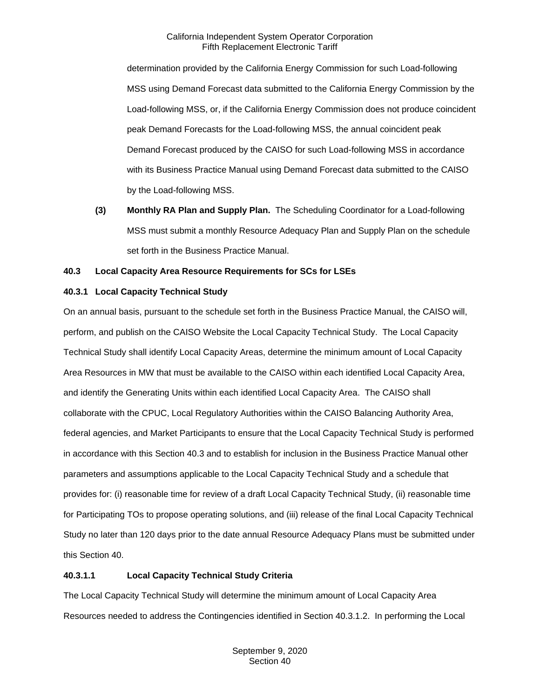determination provided by the California Energy Commission for such Load-following MSS using Demand Forecast data submitted to the California Energy Commission by the Load-following MSS, or, if the California Energy Commission does not produce coincident peak Demand Forecasts for the Load-following MSS, the annual coincident peak Demand Forecast produced by the CAISO for such Load-following MSS in accordance with its Business Practice Manual using Demand Forecast data submitted to the CAISO by the Load-following MSS.

**(3) Monthly RA Plan and Supply Plan.** The Scheduling Coordinator for a Load-following MSS must submit a monthly Resource Adequacy Plan and Supply Plan on the schedule set forth in the Business Practice Manual.

## <span id="page-6-0"></span>**40.3 Local Capacity Area Resource Requirements for SCs for LSEs**

## <span id="page-6-1"></span>**40.3.1 Local Capacity Technical Study**

On an annual basis, pursuant to the schedule set forth in the Business Practice Manual, the CAISO will, perform, and publish on the CAISO Website the Local Capacity Technical Study. The Local Capacity Technical Study shall identify Local Capacity Areas, determine the minimum amount of Local Capacity Area Resources in MW that must be available to the CAISO within each identified Local Capacity Area, and identify the Generating Units within each identified Local Capacity Area. The CAISO shall collaborate with the CPUC, Local Regulatory Authorities within the CAISO Balancing Authority Area, federal agencies, and Market Participants to ensure that the Local Capacity Technical Study is performed in accordance with this Section 40.3 and to establish for inclusion in the Business Practice Manual other parameters and assumptions applicable to the Local Capacity Technical Study and a schedule that provides for: (i) reasonable time for review of a draft Local Capacity Technical Study, (ii) reasonable time for Participating TOs to propose operating solutions, and (iii) release of the final Local Capacity Technical Study no later than 120 days prior to the date annual Resource Adequacy Plans must be submitted under this Section 40.

## **40.3.1.1 Local Capacity Technical Study Criteria**

The Local Capacity Technical Study will determine the minimum amount of Local Capacity Area Resources needed to address the Contingencies identified in Section 40.3.1.2. In performing the Local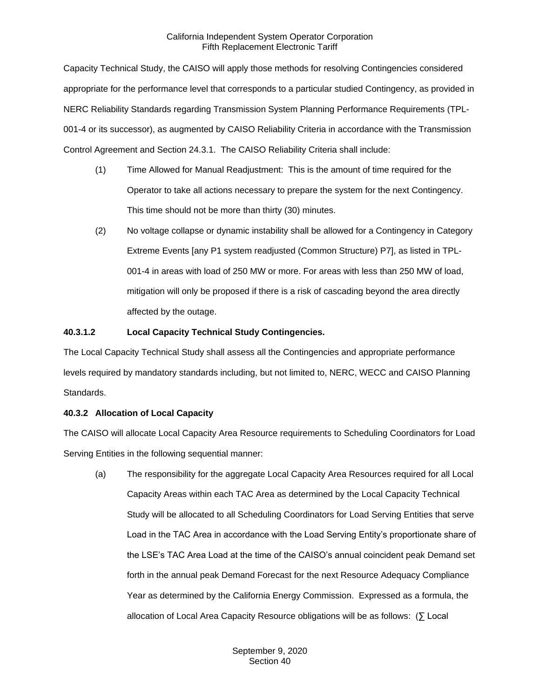Capacity Technical Study, the CAISO will apply those methods for resolving Contingencies considered appropriate for the performance level that corresponds to a particular studied Contingency, as provided in NERC Reliability Standards regarding Transmission System Planning Performance Requirements (TPL-001-4 or its successor), as augmented by CAISO Reliability Criteria in accordance with the Transmission Control Agreement and Section 24.3.1. The CAISO Reliability Criteria shall include:

- (1) Time Allowed for Manual Readjustment: This is the amount of time required for the Operator to take all actions necessary to prepare the system for the next Contingency. This time should not be more than thirty (30) minutes.
- (2) No voltage collapse or dynamic instability shall be allowed for a Contingency in Category Extreme Events [any P1 system readjusted (Common Structure) P7], as listed in TPL-001-4 in areas with load of 250 MW or more. For areas with less than 250 MW of load, mitigation will only be proposed if there is a risk of cascading beyond the area directly affected by the outage.

## **40.3.1.2 Local Capacity Technical Study Contingencies.**

The Local Capacity Technical Study shall assess all the Contingencies and appropriate performance levels required by mandatory standards including, but not limited to, NERC, WECC and CAISO Planning Standards.

## <span id="page-7-0"></span>**40.3.2 Allocation of Local Capacity**

The CAISO will allocate Local Capacity Area Resource requirements to Scheduling Coordinators for Load Serving Entities in the following sequential manner:

(a) The responsibility for the aggregate Local Capacity Area Resources required for all Local Capacity Areas within each TAC Area as determined by the Local Capacity Technical Study will be allocated to all Scheduling Coordinators for Load Serving Entities that serve Load in the TAC Area in accordance with the Load Serving Entity's proportionate share of the LSE's TAC Area Load at the time of the CAISO's annual coincident peak Demand set forth in the annual peak Demand Forecast for the next Resource Adequacy Compliance Year as determined by the California Energy Commission. Expressed as a formula, the allocation of Local Area Capacity Resource obligations will be as follows: (∑ Local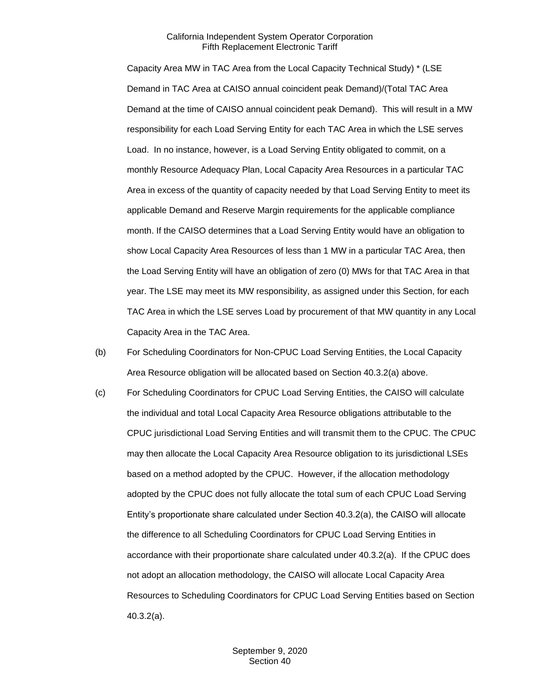Capacity Area MW in TAC Area from the Local Capacity Technical Study) \* (LSE Demand in TAC Area at CAISO annual coincident peak Demand)/(Total TAC Area Demand at the time of CAISO annual coincident peak Demand). This will result in a MW responsibility for each Load Serving Entity for each TAC Area in which the LSE serves Load. In no instance, however, is a Load Serving Entity obligated to commit, on a monthly Resource Adequacy Plan, Local Capacity Area Resources in a particular TAC Area in excess of the quantity of capacity needed by that Load Serving Entity to meet its applicable Demand and Reserve Margin requirements for the applicable compliance month. If the CAISO determines that a Load Serving Entity would have an obligation to show Local Capacity Area Resources of less than 1 MW in a particular TAC Area, then the Load Serving Entity will have an obligation of zero (0) MWs for that TAC Area in that year. The LSE may meet its MW responsibility, as assigned under this Section, for each TAC Area in which the LSE serves Load by procurement of that MW quantity in any Local Capacity Area in the TAC Area.

- (b) For Scheduling Coordinators for Non-CPUC Load Serving Entities, the Local Capacity Area Resource obligation will be allocated based on Section 40.3.2(a) above.
- (c) For Scheduling Coordinators for CPUC Load Serving Entities, the CAISO will calculate the individual and total Local Capacity Area Resource obligations attributable to the CPUC jurisdictional Load Serving Entities and will transmit them to the CPUC. The CPUC may then allocate the Local Capacity Area Resource obligation to its jurisdictional LSEs based on a method adopted by the CPUC. However, if the allocation methodology adopted by the CPUC does not fully allocate the total sum of each CPUC Load Serving Entity's proportionate share calculated under Section 40.3.2(a), the CAISO will allocate the difference to all Scheduling Coordinators for CPUC Load Serving Entities in accordance with their proportionate share calculated under 40.3.2(a). If the CPUC does not adopt an allocation methodology, the CAISO will allocate Local Capacity Area Resources to Scheduling Coordinators for CPUC Load Serving Entities based on Section 40.3.2(a).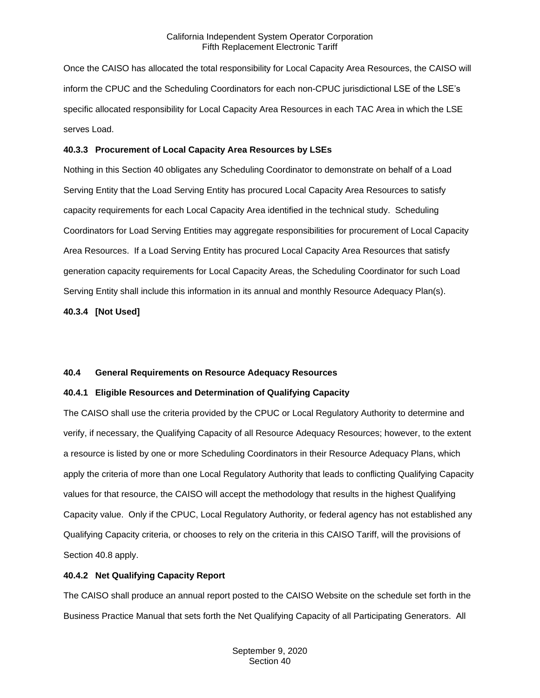Once the CAISO has allocated the total responsibility for Local Capacity Area Resources, the CAISO will inform the CPUC and the Scheduling Coordinators for each non-CPUC jurisdictional LSE of the LSE's specific allocated responsibility for Local Capacity Area Resources in each TAC Area in which the LSE serves Load.

#### <span id="page-9-0"></span>**40.3.3 Procurement of Local Capacity Area Resources by LSEs**

Nothing in this Section 40 obligates any Scheduling Coordinator to demonstrate on behalf of a Load Serving Entity that the Load Serving Entity has procured Local Capacity Area Resources to satisfy capacity requirements for each Local Capacity Area identified in the technical study. Scheduling Coordinators for Load Serving Entities may aggregate responsibilities for procurement of Local Capacity Area Resources. If a Load Serving Entity has procured Local Capacity Area Resources that satisfy generation capacity requirements for Local Capacity Areas, the Scheduling Coordinator for such Load Serving Entity shall include this information in its annual and monthly Resource Adequacy Plan(s).

<span id="page-9-1"></span>**40.3.4 [Not Used]**

## <span id="page-9-2"></span>**40.4 General Requirements on Resource Adequacy Resources**

## <span id="page-9-3"></span>**40.4.1 Eligible Resources and Determination of Qualifying Capacity**

The CAISO shall use the criteria provided by the CPUC or Local Regulatory Authority to determine and verify, if necessary, the Qualifying Capacity of all Resource Adequacy Resources; however, to the extent a resource is listed by one or more Scheduling Coordinators in their Resource Adequacy Plans, which apply the criteria of more than one Local Regulatory Authority that leads to conflicting Qualifying Capacity values for that resource, the CAISO will accept the methodology that results in the highest Qualifying Capacity value. Only if the CPUC, Local Regulatory Authority, or federal agency has not established any Qualifying Capacity criteria, or chooses to rely on the criteria in this CAISO Tariff, will the provisions of Section 40.8 apply.

## <span id="page-9-4"></span>**40.4.2 Net Qualifying Capacity Report**

The CAISO shall produce an annual report posted to the CAISO Website on the schedule set forth in the Business Practice Manual that sets forth the Net Qualifying Capacity of all Participating Generators. All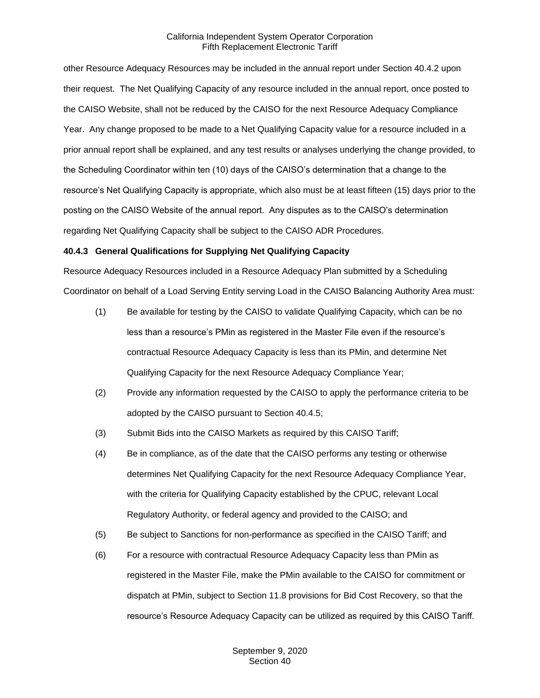other Resource Adequacy Resources may be included in the annual report under Section 40.4.2 upon their request. The Net Qualifying Capacity of any resource included in the annual report, once posted to the CAISO Website, shall not be reduced by the CAISO for the next Resource Adequacy Compliance Year. Any change proposed to be made to a Net Qualifying Capacity value for a resource included in a prior annual report shall be explained, and any test results or analyses underlying the change provided, to the Scheduling Coordinator within ten (10) days of the CAISO's determination that a change to the resource's Net Qualifying Capacity is appropriate, which also must be at least fifteen (15) days prior to the posting on the CAISO Website of the annual report. Any disputes as to the CAISO's determination regarding Net Qualifying Capacity shall be subject to the CAISO ADR Procedures.

## <span id="page-10-0"></span>**40.4.3 General Qualifications for Supplying Net Qualifying Capacity**

Resource Adequacy Resources included in a Resource Adequacy Plan submitted by a Scheduling Coordinator on behalf of a Load Serving Entity serving Load in the CAISO Balancing Authority Area must:

- (1) Be available for testing by the CAISO to validate Qualifying Capacity, which can be no less than a resource's PMin as registered in the Master File even if the resource's contractual Resource Adequacy Capacity is less than its PMin, and determine Net Qualifying Capacity for the next Resource Adequacy Compliance Year;
- (2) Provide any information requested by the CAISO to apply the performance criteria to be adopted by the CAISO pursuant to Section 40.4.5;
- (3) Submit Bids into the CAISO Markets as required by this CAISO Tariff;
- (4) Be in compliance, as of the date that the CAISO performs any testing or otherwise determines Net Qualifying Capacity for the next Resource Adequacy Compliance Year, with the criteria for Qualifying Capacity established by the CPUC, relevant Local Regulatory Authority, or federal agency and provided to the CAISO; and
- (5) Be subject to Sanctions for non-performance as specified in the CAISO Tariff; and
- (6) For a resource with contractual Resource Adequacy Capacity less than PMin as registered in the Master File, make the PMin available to the CAISO for commitment or dispatch at PMin, subject to Section 11.8 provisions for Bid Cost Recovery, so that the resource's Resource Adequacy Capacity can be utilized as required by this CAISO Tariff.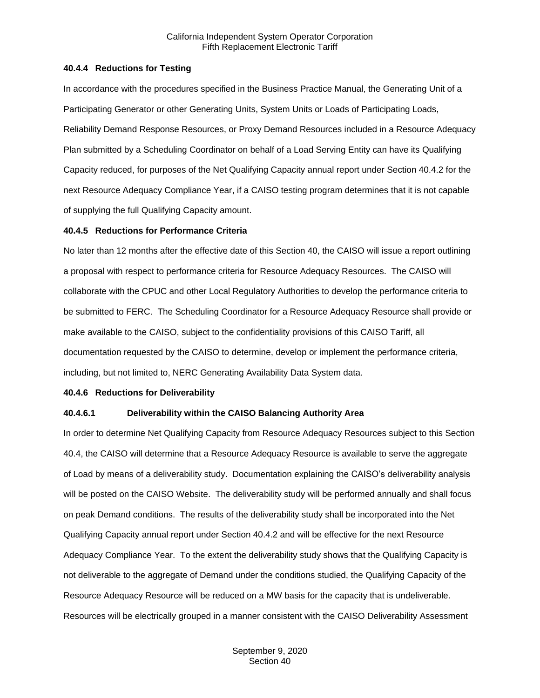#### <span id="page-11-0"></span>**40.4.4 Reductions for Testing**

In accordance with the procedures specified in the Business Practice Manual, the Generating Unit of a Participating Generator or other Generating Units, System Units or Loads of Participating Loads, Reliability Demand Response Resources, or Proxy Demand Resources included in a Resource Adequacy Plan submitted by a Scheduling Coordinator on behalf of a Load Serving Entity can have its Qualifying Capacity reduced, for purposes of the Net Qualifying Capacity annual report under Section 40.4.2 for the next Resource Adequacy Compliance Year, if a CAISO testing program determines that it is not capable of supplying the full Qualifying Capacity amount.

## <span id="page-11-1"></span>**40.4.5 Reductions for Performance Criteria**

No later than 12 months after the effective date of this Section 40, the CAISO will issue a report outlining a proposal with respect to performance criteria for Resource Adequacy Resources. The CAISO will collaborate with the CPUC and other Local Regulatory Authorities to develop the performance criteria to be submitted to FERC. The Scheduling Coordinator for a Resource Adequacy Resource shall provide or make available to the CAISO, subject to the confidentiality provisions of this CAISO Tariff, all documentation requested by the CAISO to determine, develop or implement the performance criteria, including, but not limited to, NERC Generating Availability Data System data.

#### <span id="page-11-2"></span>**40.4.6 Reductions for Deliverability**

#### **40.4.6.1 Deliverability within the CAISO Balancing Authority Area**

In order to determine Net Qualifying Capacity from Resource Adequacy Resources subject to this Section 40.4, the CAISO will determine that a Resource Adequacy Resource is available to serve the aggregate of Load by means of a deliverability study. Documentation explaining the CAISO's deliverability analysis will be posted on the CAISO Website. The deliverability study will be performed annually and shall focus on peak Demand conditions. The results of the deliverability study shall be incorporated into the Net Qualifying Capacity annual report under Section 40.4.2 and will be effective for the next Resource Adequacy Compliance Year. To the extent the deliverability study shows that the Qualifying Capacity is not deliverable to the aggregate of Demand under the conditions studied, the Qualifying Capacity of the Resource Adequacy Resource will be reduced on a MW basis for the capacity that is undeliverable. Resources will be electrically grouped in a manner consistent with the CAISO Deliverability Assessment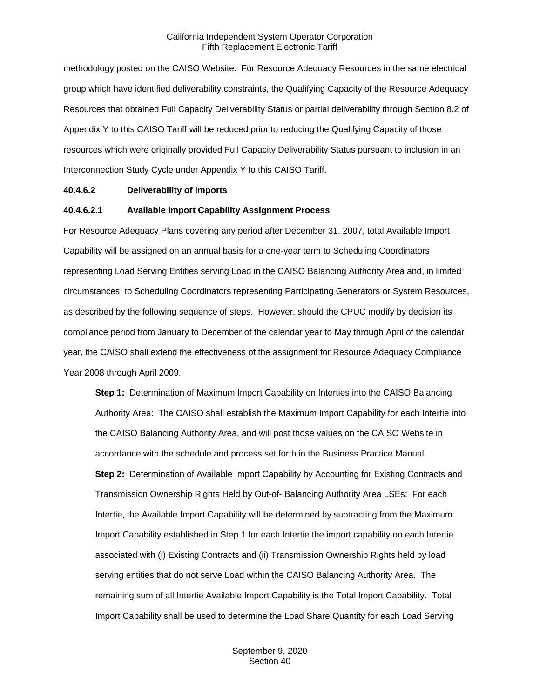methodology posted on the CAISO Website. For Resource Adequacy Resources in the same electrical group which have identified deliverability constraints, the Qualifying Capacity of the Resource Adequacy Resources that obtained Full Capacity Deliverability Status or partial deliverability through Section 8.2 of Appendix Y to this CAISO Tariff will be reduced prior to reducing the Qualifying Capacity of those resources which were originally provided Full Capacity Deliverability Status pursuant to inclusion in an Interconnection Study Cycle under Appendix Y to this CAISO Tariff.

#### **40.4.6.2 Deliverability of Imports**

#### **40.4.6.2.1 Available Import Capability Assignment Process**

For Resource Adequacy Plans covering any period after December 31, 2007, total Available Import Capability will be assigned on an annual basis for a one-year term to Scheduling Coordinators representing Load Serving Entities serving Load in the CAISO Balancing Authority Area and, in limited circumstances, to Scheduling Coordinators representing Participating Generators or System Resources, as described by the following sequence of steps. However, should the CPUC modify by decision its compliance period from January to December of the calendar year to May through April of the calendar year, the CAISO shall extend the effectiveness of the assignment for Resource Adequacy Compliance Year 2008 through April 2009.

**Step 1:** Determination of Maximum Import Capability on Interties into the CAISO Balancing Authority Area: The CAISO shall establish the Maximum Import Capability for each Intertie into the CAISO Balancing Authority Area, and will post those values on the CAISO Website in accordance with the schedule and process set forth in the Business Practice Manual. **Step 2:** Determination of Available Import Capability by Accounting for Existing Contracts and Transmission Ownership Rights Held by Out-of- Balancing Authority Area LSEs: For each Intertie, the Available Import Capability will be determined by subtracting from the Maximum Import Capability established in Step 1 for each Intertie the import capability on each Intertie associated with (i) Existing Contracts and (ii) Transmission Ownership Rights held by load serving entities that do not serve Load within the CAISO Balancing Authority Area. The remaining sum of all Intertie Available Import Capability is the Total Import Capability. Total Import Capability shall be used to determine the Load Share Quantity for each Load Serving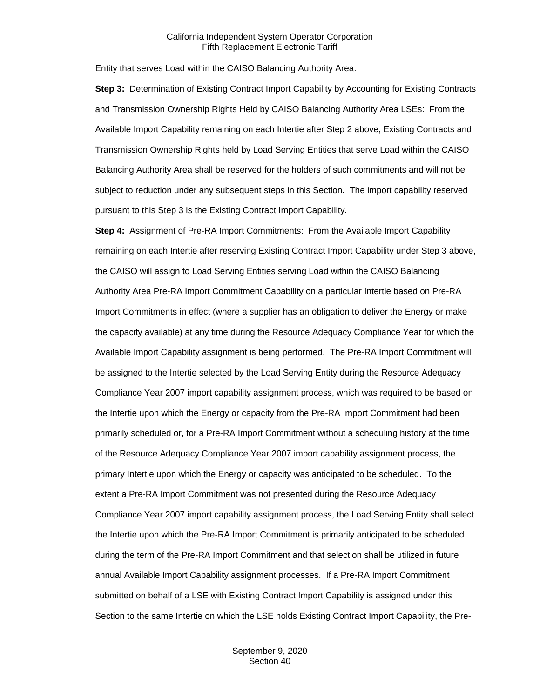Entity that serves Load within the CAISO Balancing Authority Area.

**Step 3:** Determination of Existing Contract Import Capability by Accounting for Existing Contracts and Transmission Ownership Rights Held by CAISO Balancing Authority Area LSEs: From the Available Import Capability remaining on each Intertie after Step 2 above, Existing Contracts and Transmission Ownership Rights held by Load Serving Entities that serve Load within the CAISO Balancing Authority Area shall be reserved for the holders of such commitments and will not be subject to reduction under any subsequent steps in this Section. The import capability reserved pursuant to this Step 3 is the Existing Contract Import Capability.

**Step 4:** Assignment of Pre-RA Import Commitments: From the Available Import Capability remaining on each Intertie after reserving Existing Contract Import Capability under Step 3 above, the CAISO will assign to Load Serving Entities serving Load within the CAISO Balancing Authority Area Pre-RA Import Commitment Capability on a particular Intertie based on Pre-RA Import Commitments in effect (where a supplier has an obligation to deliver the Energy or make the capacity available) at any time during the Resource Adequacy Compliance Year for which the Available Import Capability assignment is being performed. The Pre-RA Import Commitment will be assigned to the Intertie selected by the Load Serving Entity during the Resource Adequacy Compliance Year 2007 import capability assignment process, which was required to be based on the Intertie upon which the Energy or capacity from the Pre-RA Import Commitment had been primarily scheduled or, for a Pre-RA Import Commitment without a scheduling history at the time of the Resource Adequacy Compliance Year 2007 import capability assignment process, the primary Intertie upon which the Energy or capacity was anticipated to be scheduled. To the extent a Pre-RA Import Commitment was not presented during the Resource Adequacy Compliance Year 2007 import capability assignment process, the Load Serving Entity shall select the Intertie upon which the Pre-RA Import Commitment is primarily anticipated to be scheduled during the term of the Pre-RA Import Commitment and that selection shall be utilized in future annual Available Import Capability assignment processes. If a Pre-RA Import Commitment submitted on behalf of a LSE with Existing Contract Import Capability is assigned under this Section to the same Intertie on which the LSE holds Existing Contract Import Capability, the Pre-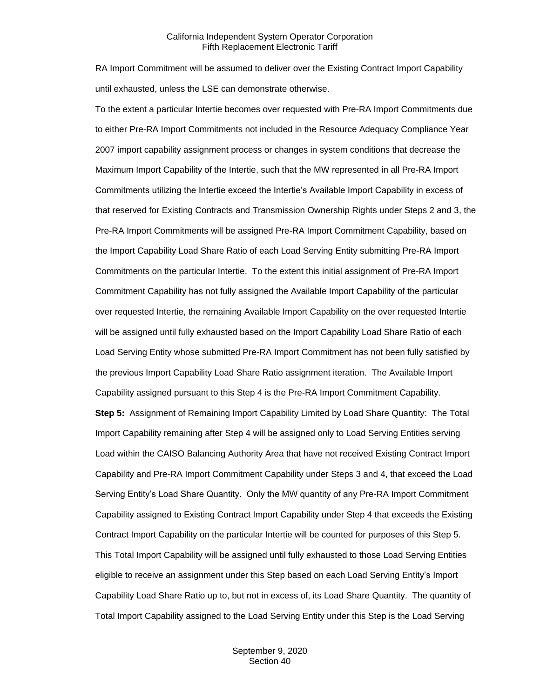RA Import Commitment will be assumed to deliver over the Existing Contract Import Capability until exhausted, unless the LSE can demonstrate otherwise.

To the extent a particular Intertie becomes over requested with Pre-RA Import Commitments due to either Pre-RA Import Commitments not included in the Resource Adequacy Compliance Year 2007 import capability assignment process or changes in system conditions that decrease the Maximum Import Capability of the Intertie, such that the MW represented in all Pre-RA Import Commitments utilizing the Intertie exceed the Intertie's Available Import Capability in excess of that reserved for Existing Contracts and Transmission Ownership Rights under Steps 2 and 3, the Pre-RA Import Commitments will be assigned Pre-RA Import Commitment Capability, based on the Import Capability Load Share Ratio of each Load Serving Entity submitting Pre-RA Import Commitments on the particular Intertie. To the extent this initial assignment of Pre-RA Import Commitment Capability has not fully assigned the Available Import Capability of the particular over requested Intertie, the remaining Available Import Capability on the over requested Intertie will be assigned until fully exhausted based on the Import Capability Load Share Ratio of each Load Serving Entity whose submitted Pre-RA Import Commitment has not been fully satisfied by the previous Import Capability Load Share Ratio assignment iteration. The Available Import Capability assigned pursuant to this Step 4 is the Pre-RA Import Commitment Capability.

**Step 5:** Assignment of Remaining Import Capability Limited by Load Share Quantity: The Total Import Capability remaining after Step 4 will be assigned only to Load Serving Entities serving Load within the CAISO Balancing Authority Area that have not received Existing Contract Import Capability and Pre-RA Import Commitment Capability under Steps 3 and 4, that exceed the Load Serving Entity's Load Share Quantity. Only the MW quantity of any Pre-RA Import Commitment Capability assigned to Existing Contract Import Capability under Step 4 that exceeds the Existing Contract Import Capability on the particular Intertie will be counted for purposes of this Step 5. This Total Import Capability will be assigned until fully exhausted to those Load Serving Entities eligible to receive an assignment under this Step based on each Load Serving Entity's Import Capability Load Share Ratio up to, but not in excess of, its Load Share Quantity. The quantity of Total Import Capability assigned to the Load Serving Entity under this Step is the Load Serving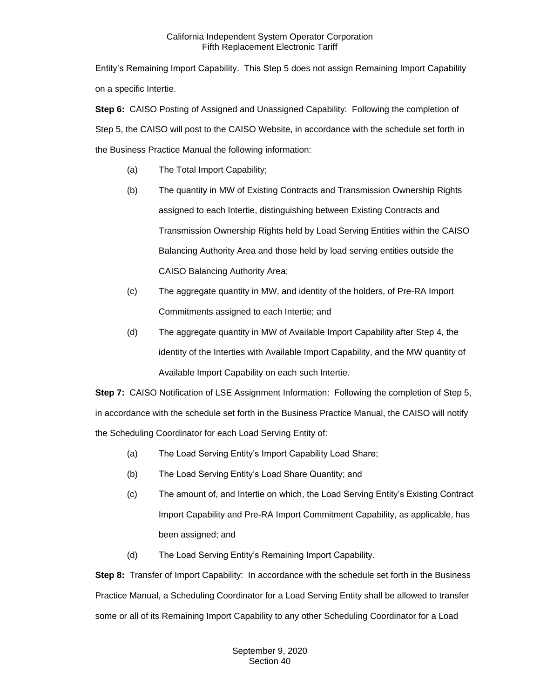Entity's Remaining Import Capability. This Step 5 does not assign Remaining Import Capability on a specific Intertie.

**Step 6:** CAISO Posting of Assigned and Unassigned Capability: Following the completion of Step 5, the CAISO will post to the CAISO Website, in accordance with the schedule set forth in the Business Practice Manual the following information:

- (a) The Total Import Capability;
- (b) The quantity in MW of Existing Contracts and Transmission Ownership Rights assigned to each Intertie, distinguishing between Existing Contracts and Transmission Ownership Rights held by Load Serving Entities within the CAISO Balancing Authority Area and those held by load serving entities outside the CAISO Balancing Authority Area;
- (c) The aggregate quantity in MW, and identity of the holders, of Pre-RA Import Commitments assigned to each Intertie; and
- (d) The aggregate quantity in MW of Available Import Capability after Step 4, the identity of the Interties with Available Import Capability, and the MW quantity of Available Import Capability on each such Intertie.

**Step 7:** CAISO Notification of LSE Assignment Information: Following the completion of Step 5, in accordance with the schedule set forth in the Business Practice Manual, the CAISO will notify the Scheduling Coordinator for each Load Serving Entity of:

- (a) The Load Serving Entity's Import Capability Load Share;
- (b) The Load Serving Entity's Load Share Quantity; and
- (c) The amount of, and Intertie on which, the Load Serving Entity's Existing Contract Import Capability and Pre-RA Import Commitment Capability, as applicable, has been assigned; and
- (d) The Load Serving Entity's Remaining Import Capability.

**Step 8:** Transfer of Import Capability: In accordance with the schedule set forth in the Business Practice Manual, a Scheduling Coordinator for a Load Serving Entity shall be allowed to transfer some or all of its Remaining Import Capability to any other Scheduling Coordinator for a Load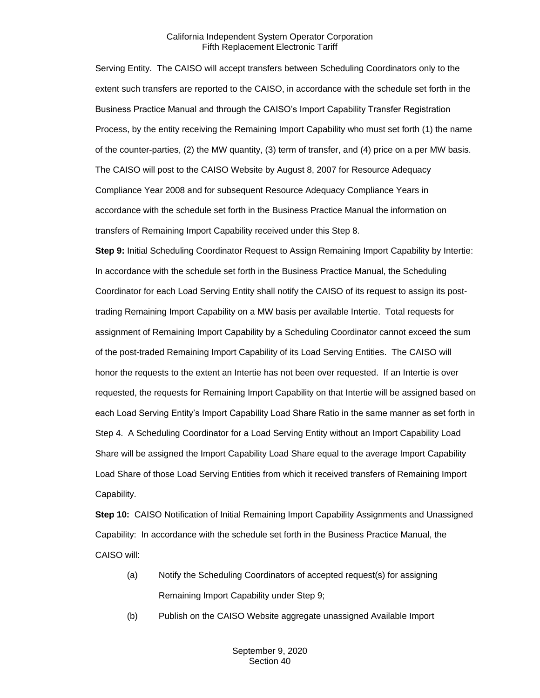Serving Entity. The CAISO will accept transfers between Scheduling Coordinators only to the extent such transfers are reported to the CAISO, in accordance with the schedule set forth in the Business Practice Manual and through the CAISO's Import Capability Transfer Registration Process, by the entity receiving the Remaining Import Capability who must set forth (1) the name of the counter-parties, (2) the MW quantity, (3) term of transfer, and (4) price on a per MW basis. The CAISO will post to the CAISO Website by August 8, 2007 for Resource Adequacy Compliance Year 2008 and for subsequent Resource Adequacy Compliance Years in accordance with the schedule set forth in the Business Practice Manual the information on transfers of Remaining Import Capability received under this Step 8.

**Step 9:** Initial Scheduling Coordinator Request to Assign Remaining Import Capability by Intertie: In accordance with the schedule set forth in the Business Practice Manual, the Scheduling Coordinator for each Load Serving Entity shall notify the CAISO of its request to assign its posttrading Remaining Import Capability on a MW basis per available Intertie. Total requests for assignment of Remaining Import Capability by a Scheduling Coordinator cannot exceed the sum of the post-traded Remaining Import Capability of its Load Serving Entities. The CAISO will honor the requests to the extent an Intertie has not been over requested. If an Intertie is over requested, the requests for Remaining Import Capability on that Intertie will be assigned based on each Load Serving Entity's Import Capability Load Share Ratio in the same manner as set forth in Step 4. A Scheduling Coordinator for a Load Serving Entity without an Import Capability Load Share will be assigned the Import Capability Load Share equal to the average Import Capability Load Share of those Load Serving Entities from which it received transfers of Remaining Import Capability.

**Step 10:** CAISO Notification of Initial Remaining Import Capability Assignments and Unassigned Capability: In accordance with the schedule set forth in the Business Practice Manual, the CAISO will:

- (a) Notify the Scheduling Coordinators of accepted request(s) for assigning Remaining Import Capability under Step 9;
- (b) Publish on the CAISO Website aggregate unassigned Available Import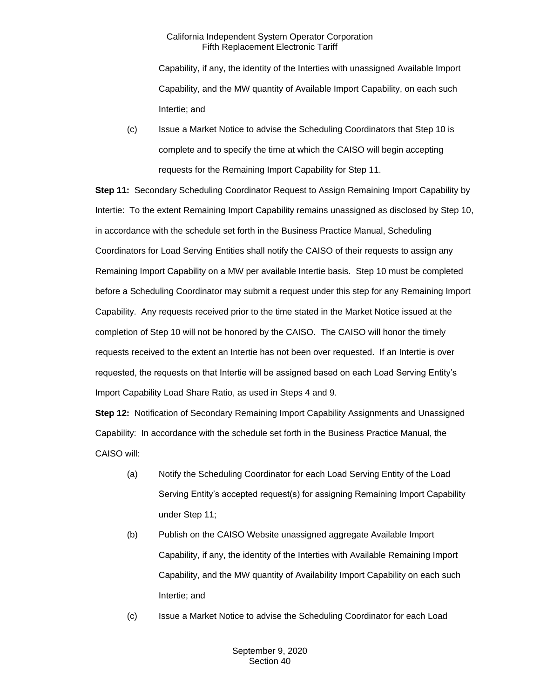Capability, if any, the identity of the Interties with unassigned Available Import Capability, and the MW quantity of Available Import Capability, on each such Intertie; and

(c) Issue a Market Notice to advise the Scheduling Coordinators that Step 10 is complete and to specify the time at which the CAISO will begin accepting requests for the Remaining Import Capability for Step 11.

**Step 11:** Secondary Scheduling Coordinator Request to Assign Remaining Import Capability by Intertie: To the extent Remaining Import Capability remains unassigned as disclosed by Step 10, in accordance with the schedule set forth in the Business Practice Manual, Scheduling Coordinators for Load Serving Entities shall notify the CAISO of their requests to assign any Remaining Import Capability on a MW per available Intertie basis. Step 10 must be completed before a Scheduling Coordinator may submit a request under this step for any Remaining Import Capability. Any requests received prior to the time stated in the Market Notice issued at the completion of Step 10 will not be honored by the CAISO. The CAISO will honor the timely requests received to the extent an Intertie has not been over requested. If an Intertie is over requested, the requests on that Intertie will be assigned based on each Load Serving Entity's Import Capability Load Share Ratio, as used in Steps 4 and 9.

**Step 12:** Notification of Secondary Remaining Import Capability Assignments and Unassigned Capability: In accordance with the schedule set forth in the Business Practice Manual, the CAISO will:

- (a) Notify the Scheduling Coordinator for each Load Serving Entity of the Load Serving Entity's accepted request(s) for assigning Remaining Import Capability under Step 11;
- (b) Publish on the CAISO Website unassigned aggregate Available Import Capability, if any, the identity of the Interties with Available Remaining Import Capability, and the MW quantity of Availability Import Capability on each such Intertie; and
- (c) Issue a Market Notice to advise the Scheduling Coordinator for each Load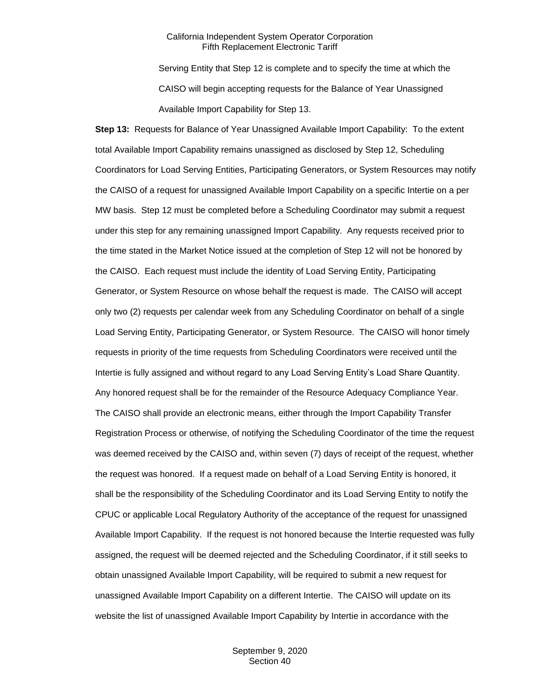Serving Entity that Step 12 is complete and to specify the time at which the CAISO will begin accepting requests for the Balance of Year Unassigned Available Import Capability for Step 13.

**Step 13:** Requests for Balance of Year Unassigned Available Import Capability: To the extent total Available Import Capability remains unassigned as disclosed by Step 12, Scheduling Coordinators for Load Serving Entities, Participating Generators, or System Resources may notify the CAISO of a request for unassigned Available Import Capability on a specific Intertie on a per MW basis. Step 12 must be completed before a Scheduling Coordinator may submit a request under this step for any remaining unassigned Import Capability. Any requests received prior to the time stated in the Market Notice issued at the completion of Step 12 will not be honored by the CAISO. Each request must include the identity of Load Serving Entity, Participating Generator, or System Resource on whose behalf the request is made. The CAISO will accept only two (2) requests per calendar week from any Scheduling Coordinator on behalf of a single Load Serving Entity, Participating Generator, or System Resource. The CAISO will honor timely requests in priority of the time requests from Scheduling Coordinators were received until the Intertie is fully assigned and without regard to any Load Serving Entity's Load Share Quantity. Any honored request shall be for the remainder of the Resource Adequacy Compliance Year. The CAISO shall provide an electronic means, either through the Import Capability Transfer Registration Process or otherwise, of notifying the Scheduling Coordinator of the time the request was deemed received by the CAISO and, within seven (7) days of receipt of the request, whether the request was honored. If a request made on behalf of a Load Serving Entity is honored, it shall be the responsibility of the Scheduling Coordinator and its Load Serving Entity to notify the CPUC or applicable Local Regulatory Authority of the acceptance of the request for unassigned Available Import Capability. If the request is not honored because the Intertie requested was fully assigned, the request will be deemed rejected and the Scheduling Coordinator, if it still seeks to obtain unassigned Available Import Capability, will be required to submit a new request for unassigned Available Import Capability on a different Intertie. The CAISO will update on its website the list of unassigned Available Import Capability by Intertie in accordance with the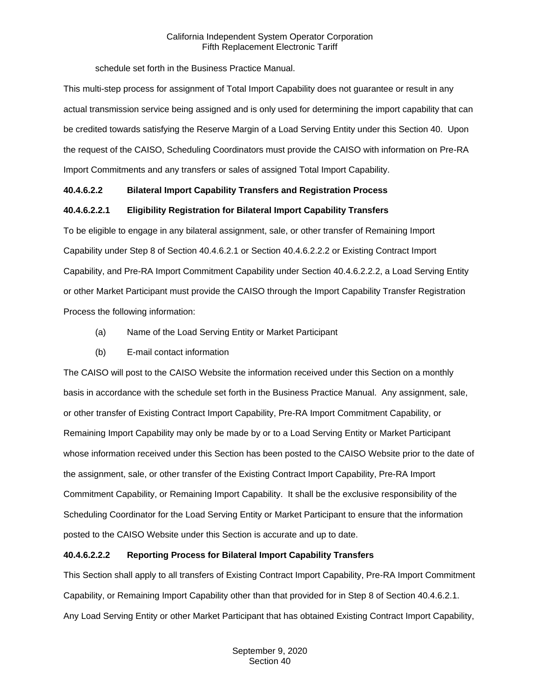schedule set forth in the Business Practice Manual.

This multi-step process for assignment of Total Import Capability does not guarantee or result in any actual transmission service being assigned and is only used for determining the import capability that can be credited towards satisfying the Reserve Margin of a Load Serving Entity under this Section 40. Upon the request of the CAISO, Scheduling Coordinators must provide the CAISO with information on Pre-RA Import Commitments and any transfers or sales of assigned Total Import Capability.

## **40.4.6.2.2 Bilateral Import Capability Transfers and Registration Process**

## **40.4.6.2.2.1 Eligibility Registration for Bilateral Import Capability Transfers**

To be eligible to engage in any bilateral assignment, sale, or other transfer of Remaining Import Capability under Step 8 of Section 40.4.6.2.1 or Section 40.4.6.2.2.2 or Existing Contract Import Capability, and Pre-RA Import Commitment Capability under Section 40.4.6.2.2.2, a Load Serving Entity or other Market Participant must provide the CAISO through the Import Capability Transfer Registration Process the following information:

- (a) Name of the Load Serving Entity or Market Participant
- (b) E-mail contact information

The CAISO will post to the CAISO Website the information received under this Section on a monthly basis in accordance with the schedule set forth in the Business Practice Manual. Any assignment, sale, or other transfer of Existing Contract Import Capability, Pre-RA Import Commitment Capability, or Remaining Import Capability may only be made by or to a Load Serving Entity or Market Participant whose information received under this Section has been posted to the CAISO Website prior to the date of the assignment, sale, or other transfer of the Existing Contract Import Capability, Pre-RA Import Commitment Capability, or Remaining Import Capability. It shall be the exclusive responsibility of the Scheduling Coordinator for the Load Serving Entity or Market Participant to ensure that the information posted to the CAISO Website under this Section is accurate and up to date.

## **40.4.6.2.2.2 Reporting Process for Bilateral Import Capability Transfers**

This Section shall apply to all transfers of Existing Contract Import Capability, Pre-RA Import Commitment Capability, or Remaining Import Capability other than that provided for in Step 8 of Section 40.4.6.2.1. Any Load Serving Entity or other Market Participant that has obtained Existing Contract Import Capability,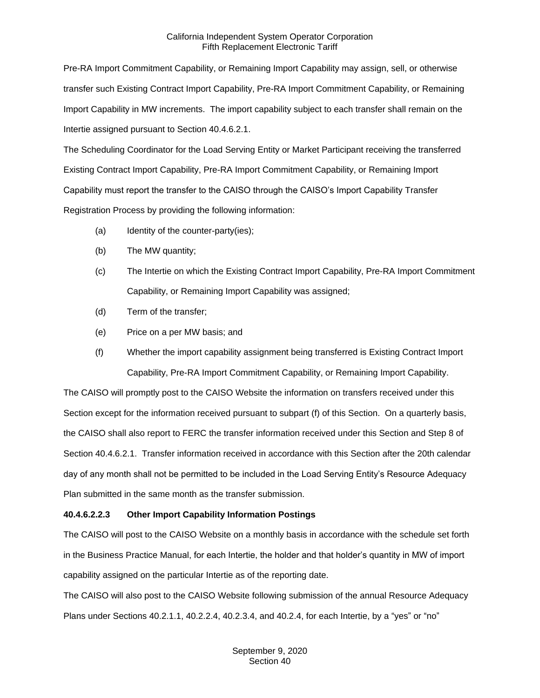Pre-RA Import Commitment Capability, or Remaining Import Capability may assign, sell, or otherwise transfer such Existing Contract Import Capability, Pre-RA Import Commitment Capability, or Remaining Import Capability in MW increments. The import capability subject to each transfer shall remain on the Intertie assigned pursuant to Section 40.4.6.2.1.

The Scheduling Coordinator for the Load Serving Entity or Market Participant receiving the transferred Existing Contract Import Capability, Pre-RA Import Commitment Capability, or Remaining Import Capability must report the transfer to the CAISO through the CAISO's Import Capability Transfer Registration Process by providing the following information:

- (a) Identity of the counter-party(ies);
- (b) The MW quantity;
- (c) The Intertie on which the Existing Contract Import Capability, Pre-RA Import Commitment Capability, or Remaining Import Capability was assigned;
- (d) Term of the transfer;
- (e) Price on a per MW basis; and
- (f) Whether the import capability assignment being transferred is Existing Contract Import Capability, Pre-RA Import Commitment Capability, or Remaining Import Capability.

The CAISO will promptly post to the CAISO Website the information on transfers received under this Section except for the information received pursuant to subpart (f) of this Section. On a quarterly basis, the CAISO shall also report to FERC the transfer information received under this Section and Step 8 of Section 40.4.6.2.1. Transfer information received in accordance with this Section after the 20th calendar day of any month shall not be permitted to be included in the Load Serving Entity's Resource Adequacy Plan submitted in the same month as the transfer submission.

## **40.4.6.2.2.3 Other Import Capability Information Postings**

The CAISO will post to the CAISO Website on a monthly basis in accordance with the schedule set forth in the Business Practice Manual, for each Intertie, the holder and that holder's quantity in MW of import capability assigned on the particular Intertie as of the reporting date.

The CAISO will also post to the CAISO Website following submission of the annual Resource Adequacy Plans under Sections 40.2.1.1, 40.2.2.4, 40.2.3.4, and 40.2.4, for each Intertie, by a "yes" or "no"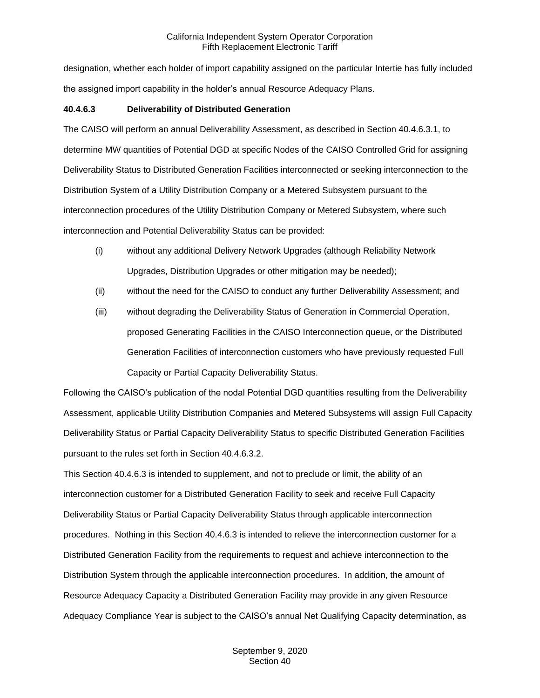designation, whether each holder of import capability assigned on the particular Intertie has fully included the assigned import capability in the holder's annual Resource Adequacy Plans.

## **40.4.6.3 Deliverability of Distributed Generation**

The CAISO will perform an annual Deliverability Assessment, as described in Section 40.4.6.3.1, to determine MW quantities of Potential DGD at specific Nodes of the CAISO Controlled Grid for assigning Deliverability Status to Distributed Generation Facilities interconnected or seeking interconnection to the Distribution System of a Utility Distribution Company or a Metered Subsystem pursuant to the interconnection procedures of the Utility Distribution Company or Metered Subsystem, where such interconnection and Potential Deliverability Status can be provided:

- (i) without any additional Delivery Network Upgrades (although Reliability Network Upgrades, Distribution Upgrades or other mitigation may be needed);
- (ii) without the need for the CAISO to conduct any further Deliverability Assessment; and
- (iii) without degrading the Deliverability Status of Generation in Commercial Operation, proposed Generating Facilities in the CAISO Interconnection queue, or the Distributed Generation Facilities of interconnection customers who have previously requested Full Capacity or Partial Capacity Deliverability Status.

Following the CAISO's publication of the nodal Potential DGD quantities resulting from the Deliverability Assessment, applicable Utility Distribution Companies and Metered Subsystems will assign Full Capacity Deliverability Status or Partial Capacity Deliverability Status to specific Distributed Generation Facilities pursuant to the rules set forth in Section 40.4.6.3.2.

This Section 40.4.6.3 is intended to supplement, and not to preclude or limit, the ability of an interconnection customer for a Distributed Generation Facility to seek and receive Full Capacity Deliverability Status or Partial Capacity Deliverability Status through applicable interconnection procedures. Nothing in this Section 40.4.6.3 is intended to relieve the interconnection customer for a Distributed Generation Facility from the requirements to request and achieve interconnection to the Distribution System through the applicable interconnection procedures. In addition, the amount of Resource Adequacy Capacity a Distributed Generation Facility may provide in any given Resource Adequacy Compliance Year is subject to the CAISO's annual Net Qualifying Capacity determination, as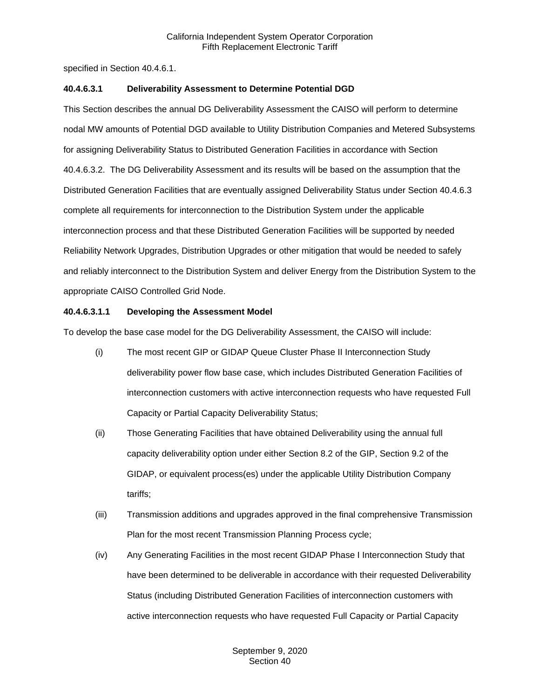specified in Section 40.4.6.1.

## **40.4.6.3.1 Deliverability Assessment to Determine Potential DGD**

This Section describes the annual DG Deliverability Assessment the CAISO will perform to determine nodal MW amounts of Potential DGD available to Utility Distribution Companies and Metered Subsystems for assigning Deliverability Status to Distributed Generation Facilities in accordance with Section 40.4.6.3.2. The DG Deliverability Assessment and its results will be based on the assumption that the Distributed Generation Facilities that are eventually assigned Deliverability Status under Section 40.4.6.3 complete all requirements for interconnection to the Distribution System under the applicable interconnection process and that these Distributed Generation Facilities will be supported by needed Reliability Network Upgrades, Distribution Upgrades or other mitigation that would be needed to safely and reliably interconnect to the Distribution System and deliver Energy from the Distribution System to the appropriate CAISO Controlled Grid Node.

## **40.4.6.3.1.1 Developing the Assessment Model**

To develop the base case model for the DG Deliverability Assessment, the CAISO will include:

- (i) The most recent GIP or GIDAP Queue Cluster Phase II Interconnection Study deliverability power flow base case, which includes Distributed Generation Facilities of interconnection customers with active interconnection requests who have requested Full Capacity or Partial Capacity Deliverability Status;
- (ii) Those Generating Facilities that have obtained Deliverability using the annual full capacity deliverability option under either Section 8.2 of the GIP, Section 9.2 of the GIDAP, or equivalent process(es) under the applicable Utility Distribution Company tariffs;
- (iii) Transmission additions and upgrades approved in the final comprehensive Transmission Plan for the most recent Transmission Planning Process cycle;
- (iv) Any Generating Facilities in the most recent GIDAP Phase I Interconnection Study that have been determined to be deliverable in accordance with their requested Deliverability Status (including Distributed Generation Facilities of interconnection customers with active interconnection requests who have requested Full Capacity or Partial Capacity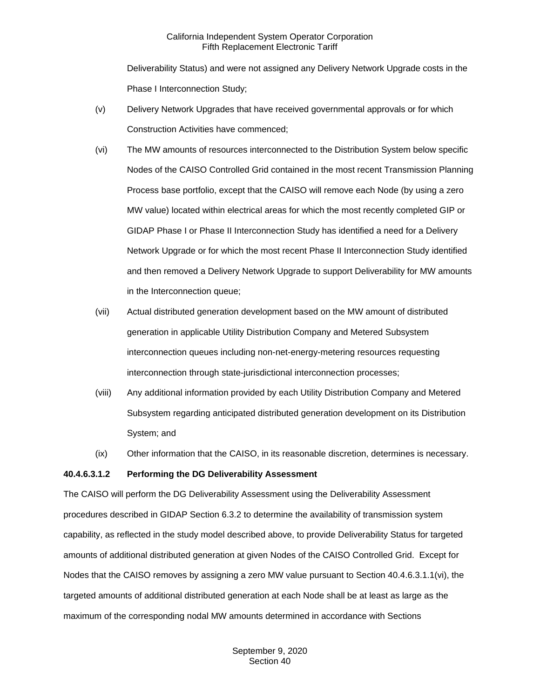Deliverability Status) and were not assigned any Delivery Network Upgrade costs in the Phase I Interconnection Study;

- (v) Delivery Network Upgrades that have received governmental approvals or for which Construction Activities have commenced;
- (vi) The MW amounts of resources interconnected to the Distribution System below specific Nodes of the CAISO Controlled Grid contained in the most recent Transmission Planning Process base portfolio, except that the CAISO will remove each Node (by using a zero MW value) located within electrical areas for which the most recently completed GIP or GIDAP Phase I or Phase II Interconnection Study has identified a need for a Delivery Network Upgrade or for which the most recent Phase II Interconnection Study identified and then removed a Delivery Network Upgrade to support Deliverability for MW amounts in the Interconnection queue;
- (vii) Actual distributed generation development based on the MW amount of distributed generation in applicable Utility Distribution Company and Metered Subsystem interconnection queues including non-net-energy-metering resources requesting interconnection through state-jurisdictional interconnection processes;
- (viii) Any additional information provided by each Utility Distribution Company and Metered Subsystem regarding anticipated distributed generation development on its Distribution System; and
- (ix) Other information that the CAISO, in its reasonable discretion, determines is necessary.

#### **40.4.6.3.1.2 Performing the DG Deliverability Assessment**

The CAISO will perform the DG Deliverability Assessment using the Deliverability Assessment procedures described in GIDAP Section 6.3.2 to determine the availability of transmission system capability, as reflected in the study model described above, to provide Deliverability Status for targeted amounts of additional distributed generation at given Nodes of the CAISO Controlled Grid. Except for Nodes that the CAISO removes by assigning a zero MW value pursuant to Section 40.4.6.3.1.1(vi), the targeted amounts of additional distributed generation at each Node shall be at least as large as the maximum of the corresponding nodal MW amounts determined in accordance with Sections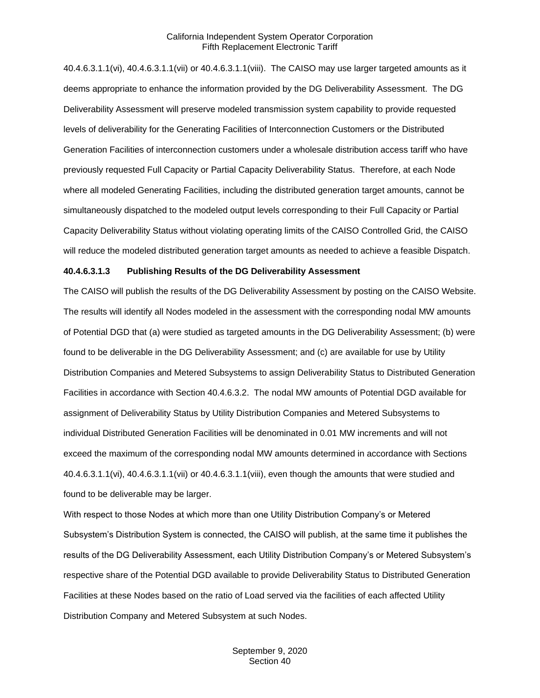40.4.6.3.1.1(vi), 40.4.6.3.1.1(vii) or 40.4.6.3.1.1(viii). The CAISO may use larger targeted amounts as it deems appropriate to enhance the information provided by the DG Deliverability Assessment. The DG Deliverability Assessment will preserve modeled transmission system capability to provide requested levels of deliverability for the Generating Facilities of Interconnection Customers or the Distributed Generation Facilities of interconnection customers under a wholesale distribution access tariff who have previously requested Full Capacity or Partial Capacity Deliverability Status. Therefore, at each Node where all modeled Generating Facilities, including the distributed generation target amounts, cannot be simultaneously dispatched to the modeled output levels corresponding to their Full Capacity or Partial Capacity Deliverability Status without violating operating limits of the CAISO Controlled Grid, the CAISO will reduce the modeled distributed generation target amounts as needed to achieve a feasible Dispatch.

## **40.4.6.3.1.3 Publishing Results of the DG Deliverability Assessment**

The CAISO will publish the results of the DG Deliverability Assessment by posting on the CAISO Website. The results will identify all Nodes modeled in the assessment with the corresponding nodal MW amounts of Potential DGD that (a) were studied as targeted amounts in the DG Deliverability Assessment; (b) were found to be deliverable in the DG Deliverability Assessment; and (c) are available for use by Utility Distribution Companies and Metered Subsystems to assign Deliverability Status to Distributed Generation Facilities in accordance with Section 40.4.6.3.2. The nodal MW amounts of Potential DGD available for assignment of Deliverability Status by Utility Distribution Companies and Metered Subsystems to individual Distributed Generation Facilities will be denominated in 0.01 MW increments and will not exceed the maximum of the corresponding nodal MW amounts determined in accordance with Sections 40.4.6.3.1.1(vi), 40.4.6.3.1.1(vii) or 40.4.6.3.1.1(viii), even though the amounts that were studied and found to be deliverable may be larger.

With respect to those Nodes at which more than one Utility Distribution Company's or Metered Subsystem's Distribution System is connected, the CAISO will publish, at the same time it publishes the results of the DG Deliverability Assessment, each Utility Distribution Company's or Metered Subsystem's respective share of the Potential DGD available to provide Deliverability Status to Distributed Generation Facilities at these Nodes based on the ratio of Load served via the facilities of each affected Utility Distribution Company and Metered Subsystem at such Nodes.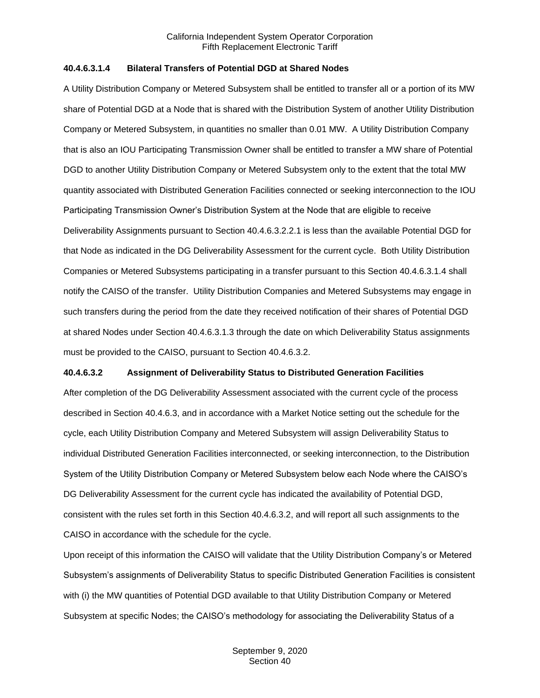## **40.4.6.3.1.4 Bilateral Transfers of Potential DGD at Shared Nodes**

A Utility Distribution Company or Metered Subsystem shall be entitled to transfer all or a portion of its MW share of Potential DGD at a Node that is shared with the Distribution System of another Utility Distribution Company or Metered Subsystem, in quantities no smaller than 0.01 MW. A Utility Distribution Company that is also an IOU Participating Transmission Owner shall be entitled to transfer a MW share of Potential DGD to another Utility Distribution Company or Metered Subsystem only to the extent that the total MW quantity associated with Distributed Generation Facilities connected or seeking interconnection to the IOU Participating Transmission Owner's Distribution System at the Node that are eligible to receive Deliverability Assignments pursuant to Section 40.4.6.3.2.2.1 is less than the available Potential DGD for that Node as indicated in the DG Deliverability Assessment for the current cycle. Both Utility Distribution Companies or Metered Subsystems participating in a transfer pursuant to this Section 40.4.6.3.1.4 shall notify the CAISO of the transfer. Utility Distribution Companies and Metered Subsystems may engage in such transfers during the period from the date they received notification of their shares of Potential DGD at shared Nodes under Section 40.4.6.3.1.3 through the date on which Deliverability Status assignments must be provided to the CAISO, pursuant to Section 40.4.6.3.2.

#### **40.4.6.3.2 Assignment of Deliverability Status to Distributed Generation Facilities**

After completion of the DG Deliverability Assessment associated with the current cycle of the process described in Section 40.4.6.3, and in accordance with a Market Notice setting out the schedule for the cycle, each Utility Distribution Company and Metered Subsystem will assign Deliverability Status to individual Distributed Generation Facilities interconnected, or seeking interconnection, to the Distribution System of the Utility Distribution Company or Metered Subsystem below each Node where the CAISO's DG Deliverability Assessment for the current cycle has indicated the availability of Potential DGD, consistent with the rules set forth in this Section 40.4.6.3.2, and will report all such assignments to the CAISO in accordance with the schedule for the cycle.

Upon receipt of this information the CAISO will validate that the Utility Distribution Company's or Metered Subsystem's assignments of Deliverability Status to specific Distributed Generation Facilities is consistent with (i) the MW quantities of Potential DGD available to that Utility Distribution Company or Metered Subsystem at specific Nodes; the CAISO's methodology for associating the Deliverability Status of a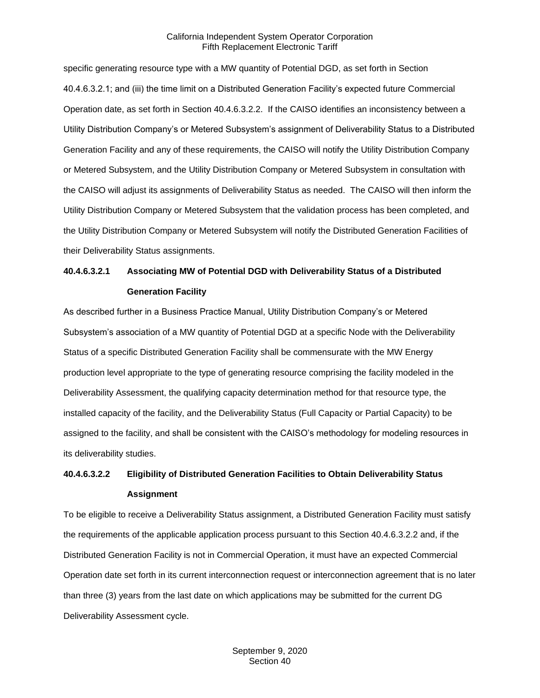specific generating resource type with a MW quantity of Potential DGD, as set forth in Section 40.4.6.3.2.1; and (iii) the time limit on a Distributed Generation Facility's expected future Commercial Operation date, as set forth in Section 40.4.6.3.2.2. If the CAISO identifies an inconsistency between a Utility Distribution Company's or Metered Subsystem's assignment of Deliverability Status to a Distributed Generation Facility and any of these requirements, the CAISO will notify the Utility Distribution Company or Metered Subsystem, and the Utility Distribution Company or Metered Subsystem in consultation with the CAISO will adjust its assignments of Deliverability Status as needed. The CAISO will then inform the Utility Distribution Company or Metered Subsystem that the validation process has been completed, and the Utility Distribution Company or Metered Subsystem will notify the Distributed Generation Facilities of their Deliverability Status assignments.

# **40.4.6.3.2.1 Associating MW of Potential DGD with Deliverability Status of a Distributed Generation Facility**

As described further in a Business Practice Manual, Utility Distribution Company's or Metered Subsystem's association of a MW quantity of Potential DGD at a specific Node with the Deliverability Status of a specific Distributed Generation Facility shall be commensurate with the MW Energy production level appropriate to the type of generating resource comprising the facility modeled in the Deliverability Assessment, the qualifying capacity determination method for that resource type, the installed capacity of the facility, and the Deliverability Status (Full Capacity or Partial Capacity) to be assigned to the facility, and shall be consistent with the CAISO's methodology for modeling resources in its deliverability studies.

## **40.4.6.3.2.2 Eligibility of Distributed Generation Facilities to Obtain Deliverability Status Assignment**

To be eligible to receive a Deliverability Status assignment, a Distributed Generation Facility must satisfy the requirements of the applicable application process pursuant to this Section 40.4.6.3.2.2 and, if the Distributed Generation Facility is not in Commercial Operation, it must have an expected Commercial Operation date set forth in its current interconnection request or interconnection agreement that is no later than three (3) years from the last date on which applications may be submitted for the current DG Deliverability Assessment cycle.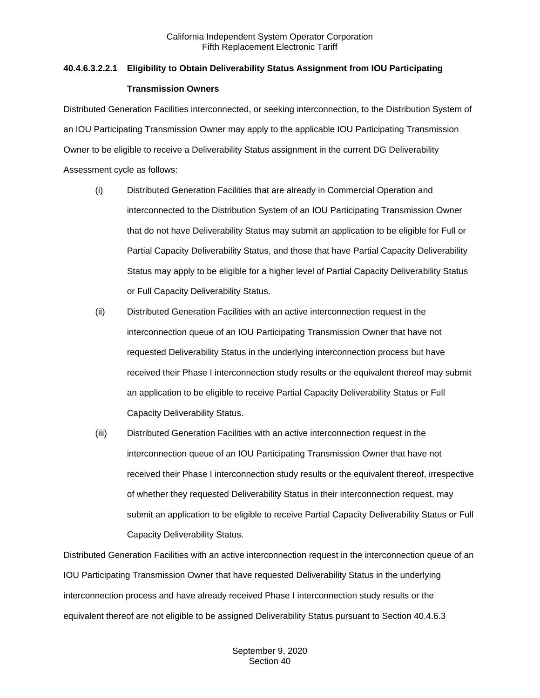## **40.4.6.3.2.2.1 Eligibility to Obtain Deliverability Status Assignment from IOU Participating Transmission Owners**

Distributed Generation Facilities interconnected, or seeking interconnection, to the Distribution System of an IOU Participating Transmission Owner may apply to the applicable IOU Participating Transmission Owner to be eligible to receive a Deliverability Status assignment in the current DG Deliverability Assessment cycle as follows:

- (i) Distributed Generation Facilities that are already in Commercial Operation and interconnected to the Distribution System of an IOU Participating Transmission Owner that do not have Deliverability Status may submit an application to be eligible for Full or Partial Capacity Deliverability Status, and those that have Partial Capacity Deliverability Status may apply to be eligible for a higher level of Partial Capacity Deliverability Status or Full Capacity Deliverability Status.
- (ii) Distributed Generation Facilities with an active interconnection request in the interconnection queue of an IOU Participating Transmission Owner that have not requested Deliverability Status in the underlying interconnection process but have received their Phase I interconnection study results or the equivalent thereof may submit an application to be eligible to receive Partial Capacity Deliverability Status or Full Capacity Deliverability Status.
- (iii) Distributed Generation Facilities with an active interconnection request in the interconnection queue of an IOU Participating Transmission Owner that have not received their Phase I interconnection study results or the equivalent thereof, irrespective of whether they requested Deliverability Status in their interconnection request, may submit an application to be eligible to receive Partial Capacity Deliverability Status or Full Capacity Deliverability Status.

Distributed Generation Facilities with an active interconnection request in the interconnection queue of an IOU Participating Transmission Owner that have requested Deliverability Status in the underlying interconnection process and have already received Phase I interconnection study results or the equivalent thereof are not eligible to be assigned Deliverability Status pursuant to Section 40.4.6.3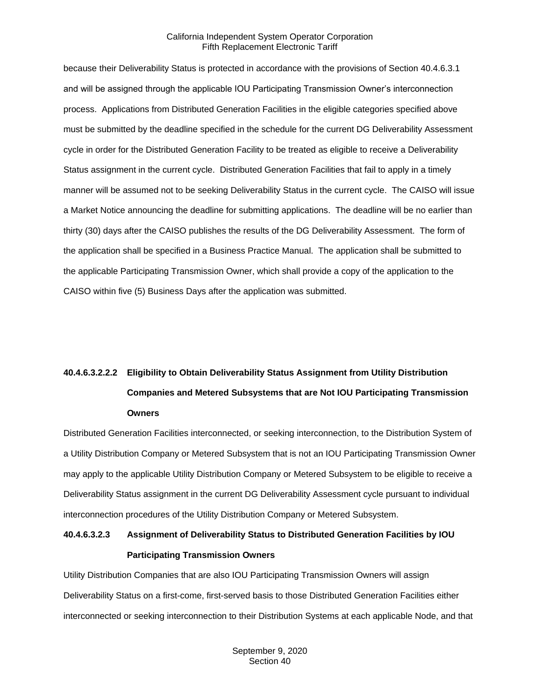because their Deliverability Status is protected in accordance with the provisions of Section 40.4.6.3.1 and will be assigned through the applicable IOU Participating Transmission Owner's interconnection process. Applications from Distributed Generation Facilities in the eligible categories specified above must be submitted by the deadline specified in the schedule for the current DG Deliverability Assessment cycle in order for the Distributed Generation Facility to be treated as eligible to receive a Deliverability Status assignment in the current cycle. Distributed Generation Facilities that fail to apply in a timely manner will be assumed not to be seeking Deliverability Status in the current cycle. The CAISO will issue a Market Notice announcing the deadline for submitting applications. The deadline will be no earlier than thirty (30) days after the CAISO publishes the results of the DG Deliverability Assessment. The form of the application shall be specified in a Business Practice Manual. The application shall be submitted to the applicable Participating Transmission Owner, which shall provide a copy of the application to the CAISO within five (5) Business Days after the application was submitted.

# **40.4.6.3.2.2.2 Eligibility to Obtain Deliverability Status Assignment from Utility Distribution Companies and Metered Subsystems that are Not IOU Participating Transmission Owners**

Distributed Generation Facilities interconnected, or seeking interconnection, to the Distribution System of a Utility Distribution Company or Metered Subsystem that is not an IOU Participating Transmission Owner may apply to the applicable Utility Distribution Company or Metered Subsystem to be eligible to receive a Deliverability Status assignment in the current DG Deliverability Assessment cycle pursuant to individual interconnection procedures of the Utility Distribution Company or Metered Subsystem.

## **40.4.6.3.2.3 Assignment of Deliverability Status to Distributed Generation Facilities by IOU Participating Transmission Owners**

Utility Distribution Companies that are also IOU Participating Transmission Owners will assign Deliverability Status on a first-come, first-served basis to those Distributed Generation Facilities either interconnected or seeking interconnection to their Distribution Systems at each applicable Node, and that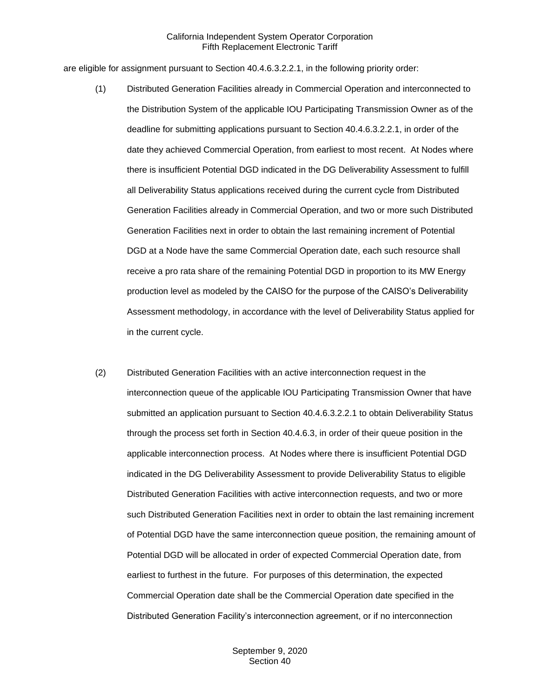are eligible for assignment pursuant to Section 40.4.6.3.2.2.1, in the following priority order:

- (1) Distributed Generation Facilities already in Commercial Operation and interconnected to the Distribution System of the applicable IOU Participating Transmission Owner as of the deadline for submitting applications pursuant to Section 40.4.6.3.2.2.1, in order of the date they achieved Commercial Operation, from earliest to most recent. At Nodes where there is insufficient Potential DGD indicated in the DG Deliverability Assessment to fulfill all Deliverability Status applications received during the current cycle from Distributed Generation Facilities already in Commercial Operation, and two or more such Distributed Generation Facilities next in order to obtain the last remaining increment of Potential DGD at a Node have the same Commercial Operation date, each such resource shall receive a pro rata share of the remaining Potential DGD in proportion to its MW Energy production level as modeled by the CAISO for the purpose of the CAISO's Deliverability Assessment methodology, in accordance with the level of Deliverability Status applied for in the current cycle.
- (2) Distributed Generation Facilities with an active interconnection request in the interconnection queue of the applicable IOU Participating Transmission Owner that have submitted an application pursuant to Section 40.4.6.3.2.2.1 to obtain Deliverability Status through the process set forth in Section 40.4.6.3, in order of their queue position in the applicable interconnection process. At Nodes where there is insufficient Potential DGD indicated in the DG Deliverability Assessment to provide Deliverability Status to eligible Distributed Generation Facilities with active interconnection requests, and two or more such Distributed Generation Facilities next in order to obtain the last remaining increment of Potential DGD have the same interconnection queue position, the remaining amount of Potential DGD will be allocated in order of expected Commercial Operation date, from earliest to furthest in the future. For purposes of this determination, the expected Commercial Operation date shall be the Commercial Operation date specified in the Distributed Generation Facility's interconnection agreement, or if no interconnection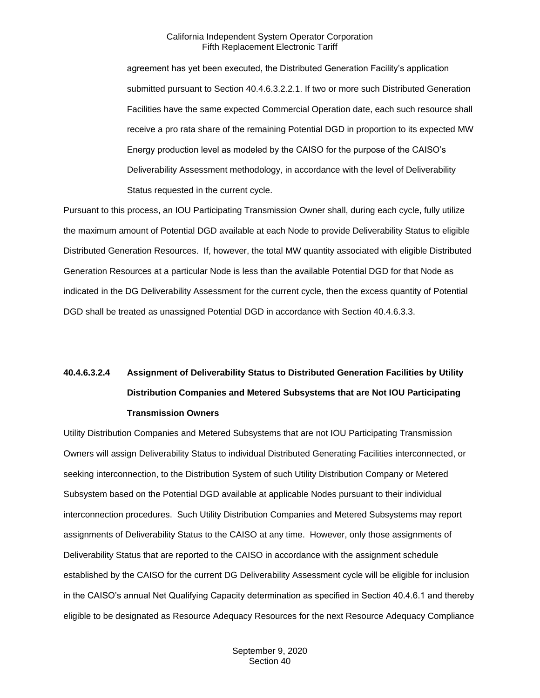agreement has yet been executed, the Distributed Generation Facility's application submitted pursuant to Section 40.4.6.3.2.2.1. If two or more such Distributed Generation Facilities have the same expected Commercial Operation date, each such resource shall receive a pro rata share of the remaining Potential DGD in proportion to its expected MW Energy production level as modeled by the CAISO for the purpose of the CAISO's Deliverability Assessment methodology, in accordance with the level of Deliverability Status requested in the current cycle.

Pursuant to this process, an IOU Participating Transmission Owner shall, during each cycle, fully utilize the maximum amount of Potential DGD available at each Node to provide Deliverability Status to eligible Distributed Generation Resources. If, however, the total MW quantity associated with eligible Distributed Generation Resources at a particular Node is less than the available Potential DGD for that Node as indicated in the DG Deliverability Assessment for the current cycle, then the excess quantity of Potential DGD shall be treated as unassigned Potential DGD in accordance with Section 40.4.6.3.3.

# **40.4.6.3.2.4 Assignment of Deliverability Status to Distributed Generation Facilities by Utility Distribution Companies and Metered Subsystems that are Not IOU Participating Transmission Owners**

Utility Distribution Companies and Metered Subsystems that are not IOU Participating Transmission Owners will assign Deliverability Status to individual Distributed Generating Facilities interconnected, or seeking interconnection, to the Distribution System of such Utility Distribution Company or Metered Subsystem based on the Potential DGD available at applicable Nodes pursuant to their individual interconnection procedures. Such Utility Distribution Companies and Metered Subsystems may report assignments of Deliverability Status to the CAISO at any time. However, only those assignments of Deliverability Status that are reported to the CAISO in accordance with the assignment schedule established by the CAISO for the current DG Deliverability Assessment cycle will be eligible for inclusion in the CAISO's annual Net Qualifying Capacity determination as specified in Section 40.4.6.1 and thereby eligible to be designated as Resource Adequacy Resources for the next Resource Adequacy Compliance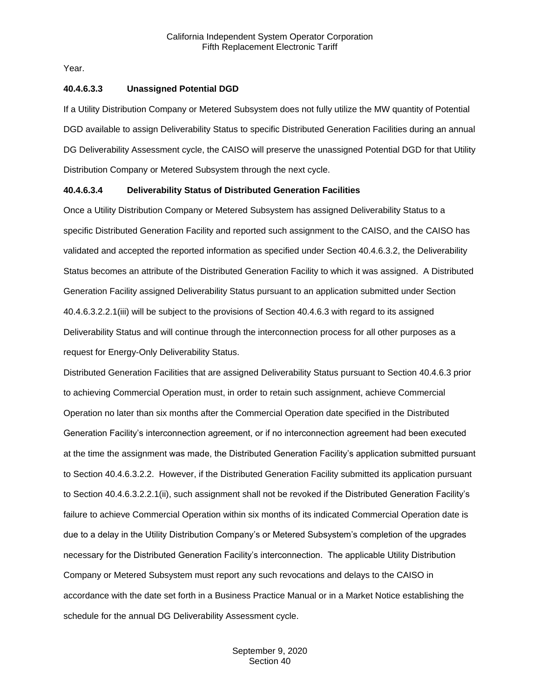Year.

#### **40.4.6.3.3 Unassigned Potential DGD**

If a Utility Distribution Company or Metered Subsystem does not fully utilize the MW quantity of Potential DGD available to assign Deliverability Status to specific Distributed Generation Facilities during an annual DG Deliverability Assessment cycle, the CAISO will preserve the unassigned Potential DGD for that Utility Distribution Company or Metered Subsystem through the next cycle.

## **40.4.6.3.4 Deliverability Status of Distributed Generation Facilities**

Once a Utility Distribution Company or Metered Subsystem has assigned Deliverability Status to a specific Distributed Generation Facility and reported such assignment to the CAISO, and the CAISO has validated and accepted the reported information as specified under Section 40.4.6.3.2, the Deliverability Status becomes an attribute of the Distributed Generation Facility to which it was assigned. A Distributed Generation Facility assigned Deliverability Status pursuant to an application submitted under Section 40.4.6.3.2.2.1(iii) will be subject to the provisions of Section 40.4.6.3 with regard to its assigned Deliverability Status and will continue through the interconnection process for all other purposes as a request for Energy-Only Deliverability Status.

Distributed Generation Facilities that are assigned Deliverability Status pursuant to Section 40.4.6.3 prior to achieving Commercial Operation must, in order to retain such assignment, achieve Commercial Operation no later than six months after the Commercial Operation date specified in the Distributed Generation Facility's interconnection agreement, or if no interconnection agreement had been executed at the time the assignment was made, the Distributed Generation Facility's application submitted pursuant to Section 40.4.6.3.2.2. However, if the Distributed Generation Facility submitted its application pursuant to Section 40.4.6.3.2.2.1(ii), such assignment shall not be revoked if the Distributed Generation Facility's failure to achieve Commercial Operation within six months of its indicated Commercial Operation date is due to a delay in the Utility Distribution Company's or Metered Subsystem's completion of the upgrades necessary for the Distributed Generation Facility's interconnection. The applicable Utility Distribution Company or Metered Subsystem must report any such revocations and delays to the CAISO in accordance with the date set forth in a Business Practice Manual or in a Market Notice establishing the schedule for the annual DG Deliverability Assessment cycle.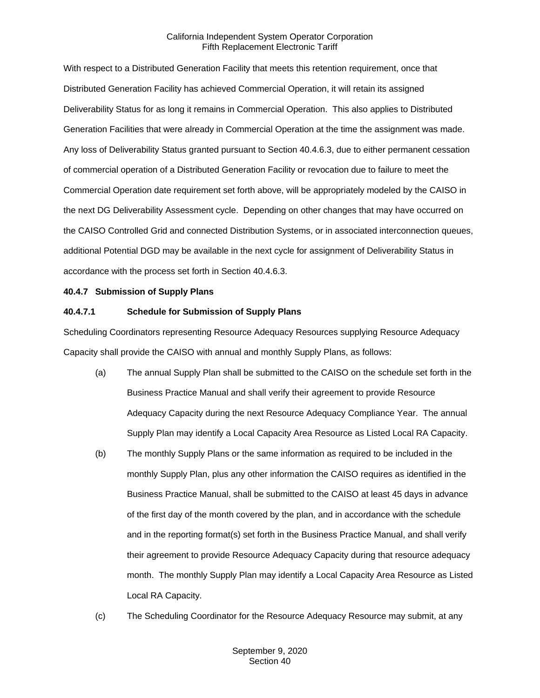With respect to a Distributed Generation Facility that meets this retention requirement, once that Distributed Generation Facility has achieved Commercial Operation, it will retain its assigned Deliverability Status for as long it remains in Commercial Operation. This also applies to Distributed Generation Facilities that were already in Commercial Operation at the time the assignment was made. Any loss of Deliverability Status granted pursuant to Section 40.4.6.3, due to either permanent cessation of commercial operation of a Distributed Generation Facility or revocation due to failure to meet the Commercial Operation date requirement set forth above, will be appropriately modeled by the CAISO in the next DG Deliverability Assessment cycle. Depending on other changes that may have occurred on the CAISO Controlled Grid and connected Distribution Systems, or in associated interconnection queues, additional Potential DGD may be available in the next cycle for assignment of Deliverability Status in accordance with the process set forth in Section 40.4.6.3.

## <span id="page-32-0"></span>**40.4.7 Submission of Supply Plans**

## **40.4.7.1 Schedule for Submission of Supply Plans**

Scheduling Coordinators representing Resource Adequacy Resources supplying Resource Adequacy Capacity shall provide the CAISO with annual and monthly Supply Plans, as follows:

- (a) The annual Supply Plan shall be submitted to the CAISO on the schedule set forth in the Business Practice Manual and shall verify their agreement to provide Resource Adequacy Capacity during the next Resource Adequacy Compliance Year. The annual Supply Plan may identify a Local Capacity Area Resource as Listed Local RA Capacity.
- (b) The monthly Supply Plans or the same information as required to be included in the monthly Supply Plan, plus any other information the CAISO requires as identified in the Business Practice Manual, shall be submitted to the CAISO at least 45 days in advance of the first day of the month covered by the plan, and in accordance with the schedule and in the reporting format(s) set forth in the Business Practice Manual, and shall verify their agreement to provide Resource Adequacy Capacity during that resource adequacy month. The monthly Supply Plan may identify a Local Capacity Area Resource as Listed Local RA Capacity.
- (c) The Scheduling Coordinator for the Resource Adequacy Resource may submit, at any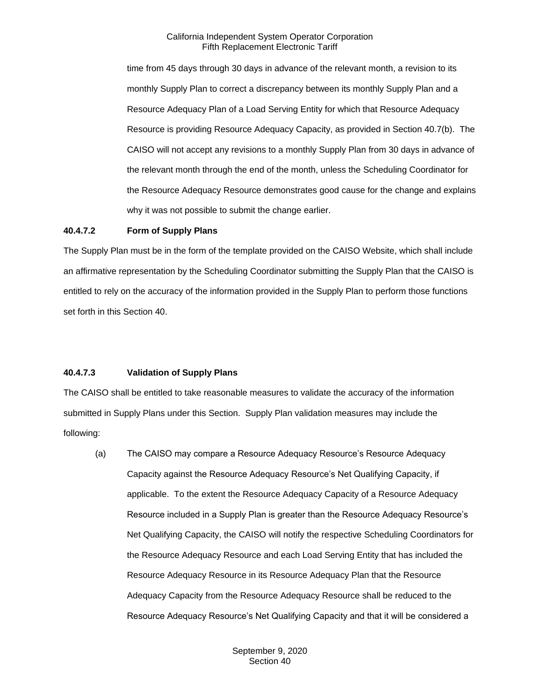time from 45 days through 30 days in advance of the relevant month, a revision to its monthly Supply Plan to correct a discrepancy between its monthly Supply Plan and a Resource Adequacy Plan of a Load Serving Entity for which that Resource Adequacy Resource is providing Resource Adequacy Capacity, as provided in Section 40.7(b). The CAISO will not accept any revisions to a monthly Supply Plan from 30 days in advance of the relevant month through the end of the month, unless the Scheduling Coordinator for the Resource Adequacy Resource demonstrates good cause for the change and explains why it was not possible to submit the change earlier.

## **40.4.7.2 Form of Supply Plans**

The Supply Plan must be in the form of the template provided on the CAISO Website, which shall include an affirmative representation by the Scheduling Coordinator submitting the Supply Plan that the CAISO is entitled to rely on the accuracy of the information provided in the Supply Plan to perform those functions set forth in this Section 40.

## **40.4.7.3 Validation of Supply Plans**

The CAISO shall be entitled to take reasonable measures to validate the accuracy of the information submitted in Supply Plans under this Section. Supply Plan validation measures may include the following:

(a) The CAISO may compare a Resource Adequacy Resource's Resource Adequacy Capacity against the Resource Adequacy Resource's Net Qualifying Capacity, if applicable. To the extent the Resource Adequacy Capacity of a Resource Adequacy Resource included in a Supply Plan is greater than the Resource Adequacy Resource's Net Qualifying Capacity, the CAISO will notify the respective Scheduling Coordinators for the Resource Adequacy Resource and each Load Serving Entity that has included the Resource Adequacy Resource in its Resource Adequacy Plan that the Resource Adequacy Capacity from the Resource Adequacy Resource shall be reduced to the Resource Adequacy Resource's Net Qualifying Capacity and that it will be considered a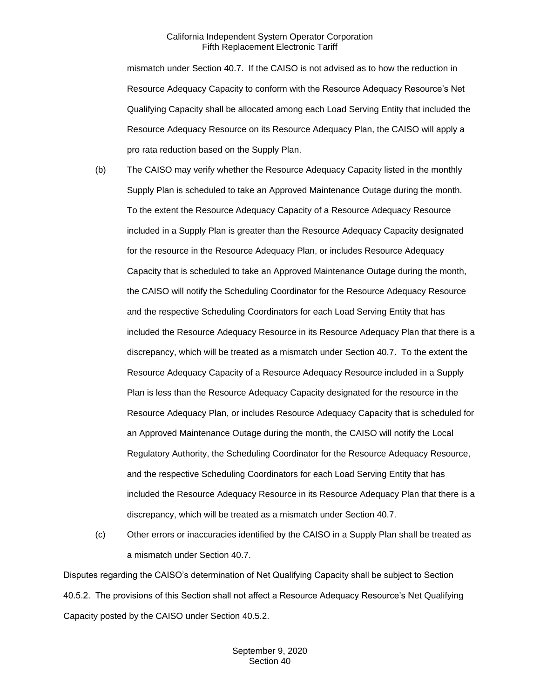mismatch under Section 40.7. If the CAISO is not advised as to how the reduction in Resource Adequacy Capacity to conform with the Resource Adequacy Resource's Net Qualifying Capacity shall be allocated among each Load Serving Entity that included the Resource Adequacy Resource on its Resource Adequacy Plan, the CAISO will apply a pro rata reduction based on the Supply Plan.

- (b) The CAISO may verify whether the Resource Adequacy Capacity listed in the monthly Supply Plan is scheduled to take an Approved Maintenance Outage during the month. To the extent the Resource Adequacy Capacity of a Resource Adequacy Resource included in a Supply Plan is greater than the Resource Adequacy Capacity designated for the resource in the Resource Adequacy Plan, or includes Resource Adequacy Capacity that is scheduled to take an Approved Maintenance Outage during the month, the CAISO will notify the Scheduling Coordinator for the Resource Adequacy Resource and the respective Scheduling Coordinators for each Load Serving Entity that has included the Resource Adequacy Resource in its Resource Adequacy Plan that there is a discrepancy, which will be treated as a mismatch under Section 40.7. To the extent the Resource Adequacy Capacity of a Resource Adequacy Resource included in a Supply Plan is less than the Resource Adequacy Capacity designated for the resource in the Resource Adequacy Plan, or includes Resource Adequacy Capacity that is scheduled for an Approved Maintenance Outage during the month, the CAISO will notify the Local Regulatory Authority, the Scheduling Coordinator for the Resource Adequacy Resource, and the respective Scheduling Coordinators for each Load Serving Entity that has included the Resource Adequacy Resource in its Resource Adequacy Plan that there is a discrepancy, which will be treated as a mismatch under Section 40.7.
- (c) Other errors or inaccuracies identified by the CAISO in a Supply Plan shall be treated as a mismatch under Section 40.7.

Disputes regarding the CAISO's determination of Net Qualifying Capacity shall be subject to Section 40.5.2. The provisions of this Section shall not affect a Resource Adequacy Resource's Net Qualifying Capacity posted by the CAISO under Section 40.5.2.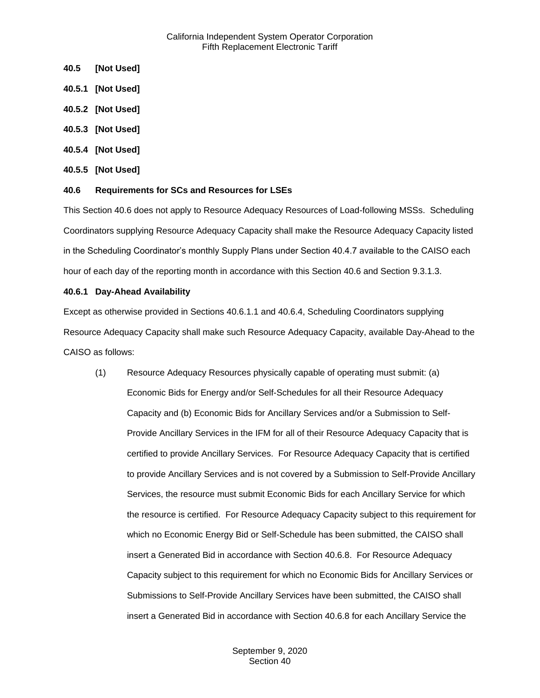- <span id="page-35-0"></span>**40.5 [Not Used]**
- <span id="page-35-1"></span>**40.5.1 [Not Used]**
- <span id="page-35-2"></span>**40.5.2 [Not Used]**
- <span id="page-35-3"></span>**40.5.3 [Not Used]**
- <span id="page-35-4"></span>**40.5.4 [Not Used]**
- <span id="page-35-5"></span>**40.5.5 [Not Used]**

## <span id="page-35-6"></span>**40.6 Requirements for SCs and Resources for LSEs**

This Section 40.6 does not apply to Resource Adequacy Resources of Load-following MSSs. Scheduling Coordinators supplying Resource Adequacy Capacity shall make the Resource Adequacy Capacity listed in the Scheduling Coordinator's monthly Supply Plans under Section 40.4.7 available to the CAISO each hour of each day of the reporting month in accordance with this Section 40.6 and Section 9.3.1.3.

## <span id="page-35-7"></span>**40.6.1 Day-Ahead Availability**

Except as otherwise provided in Sections 40.6.1.1 and 40.6.4, Scheduling Coordinators supplying Resource Adequacy Capacity shall make such Resource Adequacy Capacity, available Day-Ahead to the CAISO as follows:

(1) Resource Adequacy Resources physically capable of operating must submit: (a) Economic Bids for Energy and/or Self-Schedules for all their Resource Adequacy Capacity and (b) Economic Bids for Ancillary Services and/or a Submission to Self-Provide Ancillary Services in the IFM for all of their Resource Adequacy Capacity that is certified to provide Ancillary Services. For Resource Adequacy Capacity that is certified to provide Ancillary Services and is not covered by a Submission to Self-Provide Ancillary Services, the resource must submit Economic Bids for each Ancillary Service for which the resource is certified. For Resource Adequacy Capacity subject to this requirement for which no Economic Energy Bid or Self-Schedule has been submitted, the CAISO shall insert a Generated Bid in accordance with Section 40.6.8. For Resource Adequacy Capacity subject to this requirement for which no Economic Bids for Ancillary Services or Submissions to Self-Provide Ancillary Services have been submitted, the CAISO shall insert a Generated Bid in accordance with Section 40.6.8 for each Ancillary Service the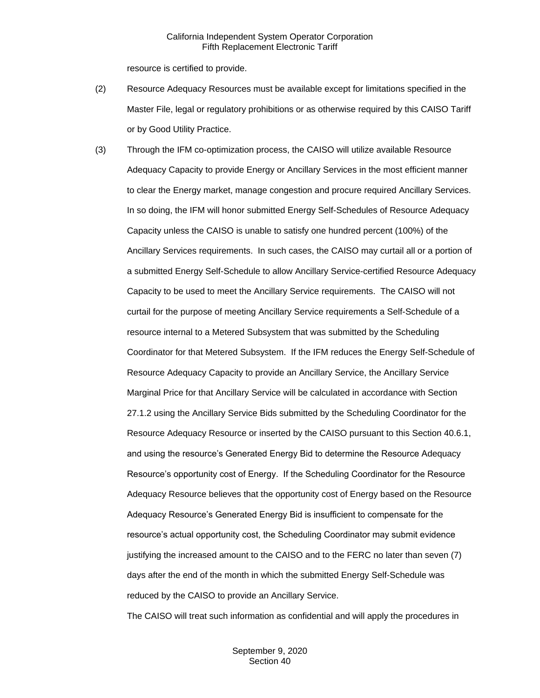resource is certified to provide.

- (2) Resource Adequacy Resources must be available except for limitations specified in the Master File, legal or regulatory prohibitions or as otherwise required by this CAISO Tariff or by Good Utility Practice.
- (3) Through the IFM co-optimization process, the CAISO will utilize available Resource Adequacy Capacity to provide Energy or Ancillary Services in the most efficient manner to clear the Energy market, manage congestion and procure required Ancillary Services. In so doing, the IFM will honor submitted Energy Self-Schedules of Resource Adequacy Capacity unless the CAISO is unable to satisfy one hundred percent (100%) of the Ancillary Services requirements. In such cases, the CAISO may curtail all or a portion of a submitted Energy Self-Schedule to allow Ancillary Service-certified Resource Adequacy Capacity to be used to meet the Ancillary Service requirements. The CAISO will not curtail for the purpose of meeting Ancillary Service requirements a Self-Schedule of a resource internal to a Metered Subsystem that was submitted by the Scheduling Coordinator for that Metered Subsystem. If the IFM reduces the Energy Self-Schedule of Resource Adequacy Capacity to provide an Ancillary Service, the Ancillary Service Marginal Price for that Ancillary Service will be calculated in accordance with Section 27.1.2 using the Ancillary Service Bids submitted by the Scheduling Coordinator for the Resource Adequacy Resource or inserted by the CAISO pursuant to this Section 40.6.1, and using the resource's Generated Energy Bid to determine the Resource Adequacy Resource's opportunity cost of Energy. If the Scheduling Coordinator for the Resource Adequacy Resource believes that the opportunity cost of Energy based on the Resource Adequacy Resource's Generated Energy Bid is insufficient to compensate for the resource's actual opportunity cost, the Scheduling Coordinator may submit evidence justifying the increased amount to the CAISO and to the FERC no later than seven (7) days after the end of the month in which the submitted Energy Self-Schedule was reduced by the CAISO to provide an Ancillary Service.

The CAISO will treat such information as confidential and will apply the procedures in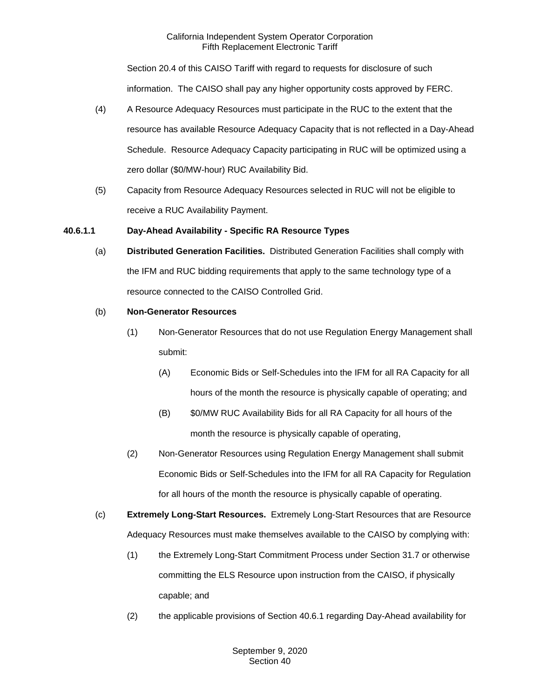Section 20.4 of this CAISO Tariff with regard to requests for disclosure of such information. The CAISO shall pay any higher opportunity costs approved by FERC.

- (4) A Resource Adequacy Resources must participate in the RUC to the extent that the resource has available Resource Adequacy Capacity that is not reflected in a Day-Ahead Schedule. Resource Adequacy Capacity participating in RUC will be optimized using a zero dollar (\$0/MW-hour) RUC Availability Bid.
- (5) Capacity from Resource Adequacy Resources selected in RUC will not be eligible to receive a RUC Availability Payment.

# **40.6.1.1 Day-Ahead Availability - Specific RA Resource Types**

(a) **Distributed Generation Facilities.** Distributed Generation Facilities shall comply with the IFM and RUC bidding requirements that apply to the same technology type of a resource connected to the CAISO Controlled Grid.

## (b) **Non-Generator Resources**

- (1) Non-Generator Resources that do not use Regulation Energy Management shall submit:
	- (A) Economic Bids or Self-Schedules into the IFM for all RA Capacity for all hours of the month the resource is physically capable of operating; and
	- (B) \$0/MW RUC Availability Bids for all RA Capacity for all hours of the month the resource is physically capable of operating,
- (2) Non-Generator Resources using Regulation Energy Management shall submit Economic Bids or Self-Schedules into the IFM for all RA Capacity for Regulation for all hours of the month the resource is physically capable of operating.
- (c) **Extremely Long-Start Resources.** Extremely Long-Start Resources that are Resource Adequacy Resources must make themselves available to the CAISO by complying with:
	- (1) the Extremely Long-Start Commitment Process under Section 31.7 or otherwise committing the ELS Resource upon instruction from the CAISO, if physically capable; and
	- (2) the applicable provisions of Section 40.6.1 regarding Day-Ahead availability for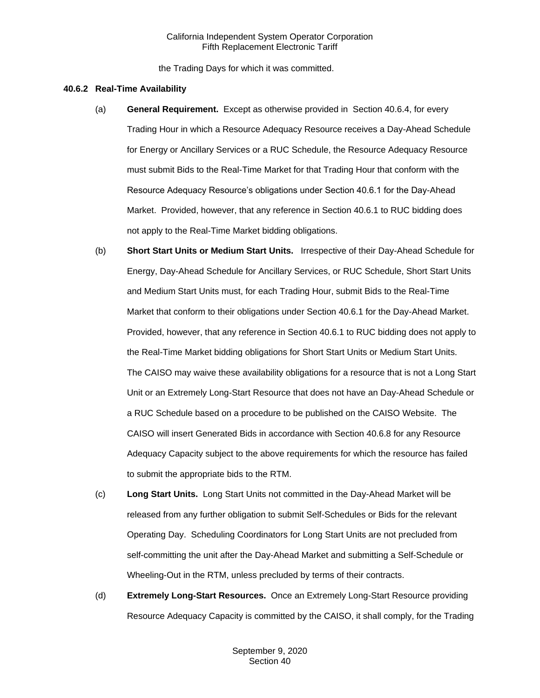the Trading Days for which it was committed.

#### **40.6.2 Real-Time Availability**

- (a) **General Requirement.** Except as otherwise provided in Section 40.6.4, for every Trading Hour in which a Resource Adequacy Resource receives a Day-Ahead Schedule for Energy or Ancillary Services or a RUC Schedule, the Resource Adequacy Resource must submit Bids to the Real-Time Market for that Trading Hour that conform with the Resource Adequacy Resource's obligations under Section 40.6.1 for the Day-Ahead Market. Provided, however, that any reference in Section 40.6.1 to RUC bidding does not apply to the Real-Time Market bidding obligations.
- (b) **Short Start Units or Medium Start Units.** Irrespective of their Day-Ahead Schedule for Energy, Day-Ahead Schedule for Ancillary Services, or RUC Schedule, Short Start Units and Medium Start Units must, for each Trading Hour, submit Bids to the Real-Time Market that conform to their obligations under Section 40.6.1 for the Day-Ahead Market. Provided, however, that any reference in Section 40.6.1 to RUC bidding does not apply to the Real-Time Market bidding obligations for Short Start Units or Medium Start Units. The CAISO may waive these availability obligations for a resource that is not a Long Start Unit or an Extremely Long-Start Resource that does not have an Day-Ahead Schedule or a RUC Schedule based on a procedure to be published on the CAISO Website. The CAISO will insert Generated Bids in accordance with Section 40.6.8 for any Resource Adequacy Capacity subject to the above requirements for which the resource has failed to submit the appropriate bids to the RTM.
- (c) **Long Start Units.** Long Start Units not committed in the Day-Ahead Market will be released from any further obligation to submit Self-Schedules or Bids for the relevant Operating Day. Scheduling Coordinators for Long Start Units are not precluded from self-committing the unit after the Day-Ahead Market and submitting a Self-Schedule or Wheeling-Out in the RTM, unless precluded by terms of their contracts.
- (d) **Extremely Long-Start Resources.** Once an Extremely Long-Start Resource providing Resource Adequacy Capacity is committed by the CAISO, it shall comply, for the Trading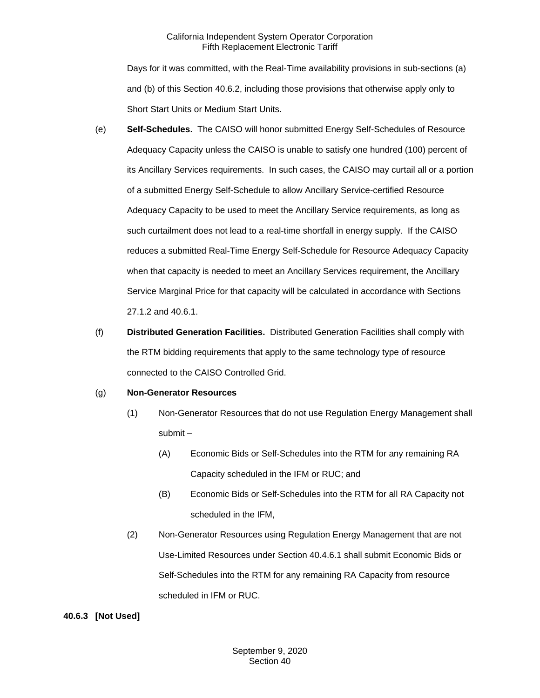Days for it was committed, with the Real-Time availability provisions in sub-sections (a) and (b) of this Section 40.6.2, including those provisions that otherwise apply only to Short Start Units or Medium Start Units.

- (e) **Self-Schedules.** The CAISO will honor submitted Energy Self-Schedules of Resource Adequacy Capacity unless the CAISO is unable to satisfy one hundred (100) percent of its Ancillary Services requirements. In such cases, the CAISO may curtail all or a portion of a submitted Energy Self-Schedule to allow Ancillary Service-certified Resource Adequacy Capacity to be used to meet the Ancillary Service requirements, as long as such curtailment does not lead to a real-time shortfall in energy supply. If the CAISO reduces a submitted Real-Time Energy Self-Schedule for Resource Adequacy Capacity when that capacity is needed to meet an Ancillary Services requirement, the Ancillary Service Marginal Price for that capacity will be calculated in accordance with Sections 27.1.2 and 40.6.1.
- (f) **Distributed Generation Facilities.** Distributed Generation Facilities shall comply with the RTM bidding requirements that apply to the same technology type of resource connected to the CAISO Controlled Grid.

## (g) **Non-Generator Resources**

- (1) Non-Generator Resources that do not use Regulation Energy Management shall submit –
	- (A) Economic Bids or Self-Schedules into the RTM for any remaining RA Capacity scheduled in the IFM or RUC; and
	- (B) Economic Bids or Self-Schedules into the RTM for all RA Capacity not scheduled in the IFM,
- (2) Non-Generator Resources using Regulation Energy Management that are not Use-Limited Resources under Section 40.4.6.1 shall submit Economic Bids or Self-Schedules into the RTM for any remaining RA Capacity from resource scheduled in IFM or RUC.

## **40.6.3 [Not Used]**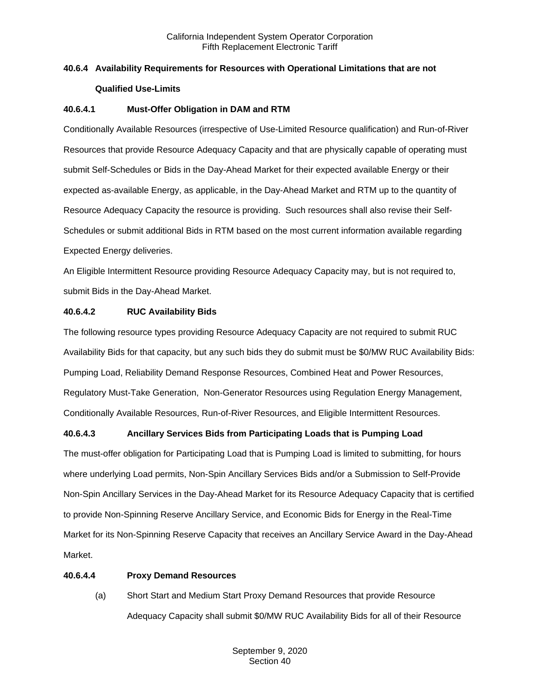# **40.6.4 Availability Requirements for Resources with Operational Limitations that are not Qualified Use-Limits**

## **40.6.4.1 Must-Offer Obligation in DAM and RTM**

Conditionally Available Resources (irrespective of Use-Limited Resource qualification) and Run-of-River Resources that provide Resource Adequacy Capacity and that are physically capable of operating must submit Self-Schedules or Bids in the Day-Ahead Market for their expected available Energy or their expected as-available Energy, as applicable, in the Day-Ahead Market and RTM up to the quantity of Resource Adequacy Capacity the resource is providing. Such resources shall also revise their Self-Schedules or submit additional Bids in RTM based on the most current information available regarding Expected Energy deliveries.

An Eligible Intermittent Resource providing Resource Adequacy Capacity may, but is not required to, submit Bids in the Day-Ahead Market.

## **40.6.4.2 RUC Availability Bids**

The following resource types providing Resource Adequacy Capacity are not required to submit RUC Availability Bids for that capacity, but any such bids they do submit must be \$0/MW RUC Availability Bids: Pumping Load, Reliability Demand Response Resources, Combined Heat and Power Resources, Regulatory Must-Take Generation, Non-Generator Resources using Regulation Energy Management, Conditionally Available Resources, Run-of-River Resources, and Eligible Intermittent Resources.

# **40.6.4.3 Ancillary Services Bids from Participating Loads that is Pumping Load**

The must-offer obligation for Participating Load that is Pumping Load is limited to submitting, for hours where underlying Load permits, Non-Spin Ancillary Services Bids and/or a Submission to Self-Provide Non-Spin Ancillary Services in the Day-Ahead Market for its Resource Adequacy Capacity that is certified to provide Non-Spinning Reserve Ancillary Service, and Economic Bids for Energy in the Real-Time Market for its Non-Spinning Reserve Capacity that receives an Ancillary Service Award in the Day-Ahead Market.

## **40.6.4.4 Proxy Demand Resources**

(a) Short Start and Medium Start Proxy Demand Resources that provide Resource Adequacy Capacity shall submit \$0/MW RUC Availability Bids for all of their Resource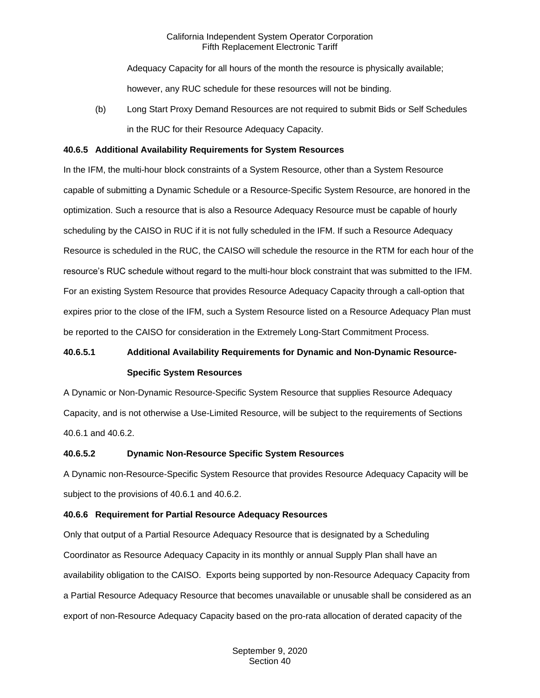Adequacy Capacity for all hours of the month the resource is physically available; however, any RUC schedule for these resources will not be binding.

(b) Long Start Proxy Demand Resources are not required to submit Bids or Self Schedules in the RUC for their Resource Adequacy Capacity.

#### **40.6.5 Additional Availability Requirements for System Resources**

In the IFM, the multi-hour block constraints of a System Resource, other than a System Resource capable of submitting a Dynamic Schedule or a Resource-Specific System Resource, are honored in the optimization. Such a resource that is also a Resource Adequacy Resource must be capable of hourly scheduling by the CAISO in RUC if it is not fully scheduled in the IFM. If such a Resource Adequacy Resource is scheduled in the RUC, the CAISO will schedule the resource in the RTM for each hour of the resource's RUC schedule without regard to the multi-hour block constraint that was submitted to the IFM. For an existing System Resource that provides Resource Adequacy Capacity through a call-option that expires prior to the close of the IFM, such a System Resource listed on a Resource Adequacy Plan must be reported to the CAISO for consideration in the Extremely Long-Start Commitment Process.

# **40.6.5.1 Additional Availability Requirements for Dynamic and Non-Dynamic Resource-Specific System Resources**

A Dynamic or Non-Dynamic Resource-Specific System Resource that supplies Resource Adequacy Capacity, and is not otherwise a Use-Limited Resource, will be subject to the requirements of Sections 40.6.1 and 40.6.2.

## **40.6.5.2 Dynamic Non-Resource Specific System Resources**

A Dynamic non-Resource-Specific System Resource that provides Resource Adequacy Capacity will be subject to the provisions of 40.6.1 and 40.6.2.

## **40.6.6 Requirement for Partial Resource Adequacy Resources**

Only that output of a Partial Resource Adequacy Resource that is designated by a Scheduling Coordinator as Resource Adequacy Capacity in its monthly or annual Supply Plan shall have an availability obligation to the CAISO. Exports being supported by non-Resource Adequacy Capacity from a Partial Resource Adequacy Resource that becomes unavailable or unusable shall be considered as an export of non-Resource Adequacy Capacity based on the pro-rata allocation of derated capacity of the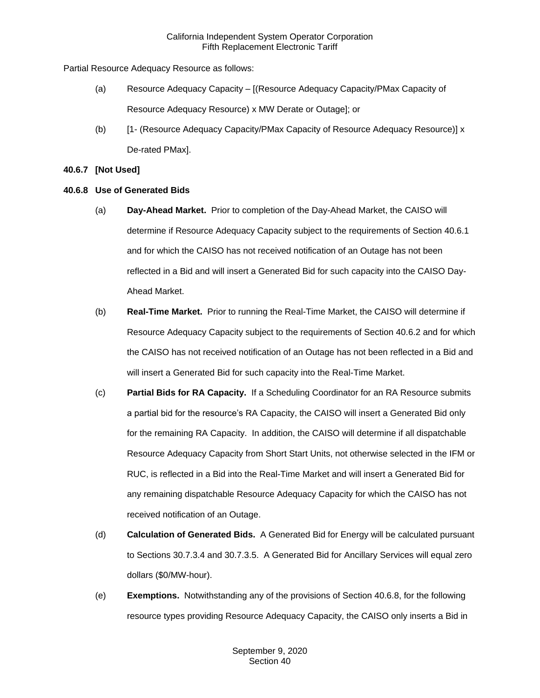Partial Resource Adequacy Resource as follows:

- (a) Resource Adequacy Capacity [(Resource Adequacy Capacity/PMax Capacity of Resource Adequacy Resource) x MW Derate or Outage]; or
- (b) [1- (Resource Adequacy Capacity/PMax Capacity of Resource Adequacy Resource)] x De-rated PMax].

## **40.6.7 [Not Used]**

## **40.6.8 Use of Generated Bids**

- (a) **Day-Ahead Market.** Prior to completion of the Day-Ahead Market, the CAISO will determine if Resource Adequacy Capacity subject to the requirements of Section 40.6.1 and for which the CAISO has not received notification of an Outage has not been reflected in a Bid and will insert a Generated Bid for such capacity into the CAISO Day-Ahead Market.
- (b) **Real-Time Market.** Prior to running the Real-Time Market, the CAISO will determine if Resource Adequacy Capacity subject to the requirements of Section 40.6.2 and for which the CAISO has not received notification of an Outage has not been reflected in a Bid and will insert a Generated Bid for such capacity into the Real-Time Market.
- (c) **Partial Bids for RA Capacity.** If a Scheduling Coordinator for an RA Resource submits a partial bid for the resource's RA Capacity, the CAISO will insert a Generated Bid only for the remaining RA Capacity. In addition, the CAISO will determine if all dispatchable Resource Adequacy Capacity from Short Start Units, not otherwise selected in the IFM or RUC, is reflected in a Bid into the Real-Time Market and will insert a Generated Bid for any remaining dispatchable Resource Adequacy Capacity for which the CAISO has not received notification of an Outage.
- (d) **Calculation of Generated Bids.** A Generated Bid for Energy will be calculated pursuant to Sections 30.7.3.4 and 30.7.3.5. A Generated Bid for Ancillary Services will equal zero dollars (\$0/MW-hour).
- (e) **Exemptions.** Notwithstanding any of the provisions of Section 40.6.8, for the following resource types providing Resource Adequacy Capacity, the CAISO only inserts a Bid in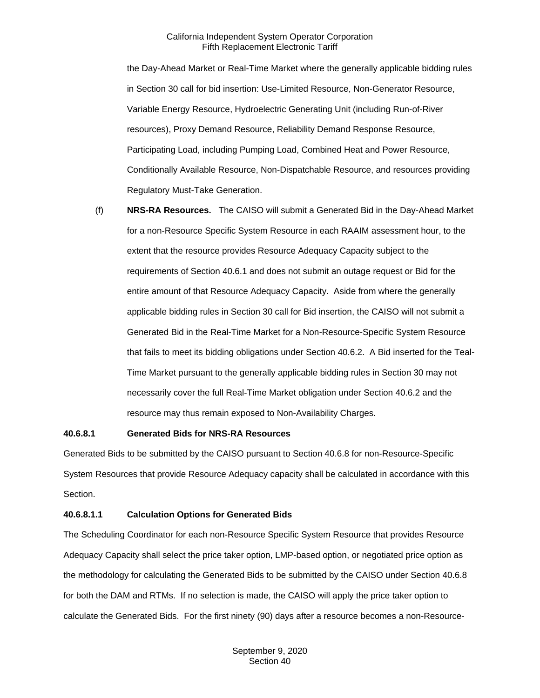the Day-Ahead Market or Real-Time Market where the generally applicable bidding rules in Section 30 call for bid insertion: Use-Limited Resource, Non-Generator Resource, Variable Energy Resource, Hydroelectric Generating Unit (including Run-of-River resources), Proxy Demand Resource, Reliability Demand Response Resource, Participating Load, including Pumping Load, Combined Heat and Power Resource, Conditionally Available Resource, Non-Dispatchable Resource, and resources providing Regulatory Must-Take Generation.

(f) **NRS-RA Resources.** The CAISO will submit a Generated Bid in the Day-Ahead Market for a non-Resource Specific System Resource in each RAAIM assessment hour, to the extent that the resource provides Resource Adequacy Capacity subject to the requirements of Section 40.6.1 and does not submit an outage request or Bid for the entire amount of that Resource Adequacy Capacity. Aside from where the generally applicable bidding rules in Section 30 call for Bid insertion, the CAISO will not submit a Generated Bid in the Real-Time Market for a Non-Resource-Specific System Resource that fails to meet its bidding obligations under Section 40.6.2. A Bid inserted for the Teal-Time Market pursuant to the generally applicable bidding rules in Section 30 may not necessarily cover the full Real-Time Market obligation under Section 40.6.2 and the resource may thus remain exposed to Non-Availability Charges.

#### **40.6.8.1 Generated Bids for NRS-RA Resources**

Generated Bids to be submitted by the CAISO pursuant to Section 40.6.8 for non-Resource-Specific System Resources that provide Resource Adequacy capacity shall be calculated in accordance with this Section.

#### **40.6.8.1.1 Calculation Options for Generated Bids**

The Scheduling Coordinator for each non-Resource Specific System Resource that provides Resource Adequacy Capacity shall select the price taker option, LMP-based option, or negotiated price option as the methodology for calculating the Generated Bids to be submitted by the CAISO under Section 40.6.8 for both the DAM and RTMs. If no selection is made, the CAISO will apply the price taker option to calculate the Generated Bids. For the first ninety (90) days after a resource becomes a non-Resource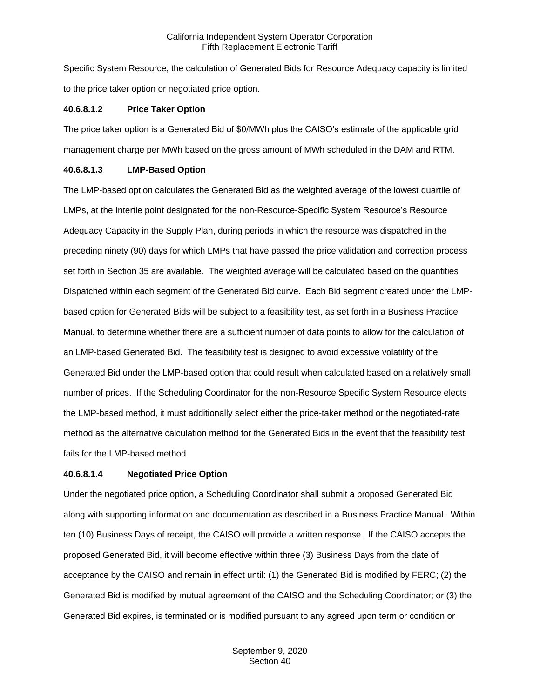Specific System Resource, the calculation of Generated Bids for Resource Adequacy capacity is limited to the price taker option or negotiated price option.

#### **40.6.8.1.2 Price Taker Option**

The price taker option is a Generated Bid of \$0/MWh plus the CAISO's estimate of the applicable grid management charge per MWh based on the gross amount of MWh scheduled in the DAM and RTM.

#### **40.6.8.1.3 LMP-Based Option**

The LMP-based option calculates the Generated Bid as the weighted average of the lowest quartile of LMPs, at the Intertie point designated for the non-Resource-Specific System Resource's Resource Adequacy Capacity in the Supply Plan, during periods in which the resource was dispatched in the preceding ninety (90) days for which LMPs that have passed the price validation and correction process set forth in Section 35 are available. The weighted average will be calculated based on the quantities Dispatched within each segment of the Generated Bid curve. Each Bid segment created under the LMPbased option for Generated Bids will be subject to a feasibility test, as set forth in a Business Practice Manual, to determine whether there are a sufficient number of data points to allow for the calculation of an LMP-based Generated Bid. The feasibility test is designed to avoid excessive volatility of the Generated Bid under the LMP-based option that could result when calculated based on a relatively small number of prices. If the Scheduling Coordinator for the non-Resource Specific System Resource elects the LMP-based method, it must additionally select either the price-taker method or the negotiated-rate method as the alternative calculation method for the Generated Bids in the event that the feasibility test fails for the LMP-based method.

## **40.6.8.1.4 Negotiated Price Option**

Under the negotiated price option, a Scheduling Coordinator shall submit a proposed Generated Bid along with supporting information and documentation as described in a Business Practice Manual. Within ten (10) Business Days of receipt, the CAISO will provide a written response. If the CAISO accepts the proposed Generated Bid, it will become effective within three (3) Business Days from the date of acceptance by the CAISO and remain in effect until: (1) the Generated Bid is modified by FERC; (2) the Generated Bid is modified by mutual agreement of the CAISO and the Scheduling Coordinator; or (3) the Generated Bid expires, is terminated or is modified pursuant to any agreed upon term or condition or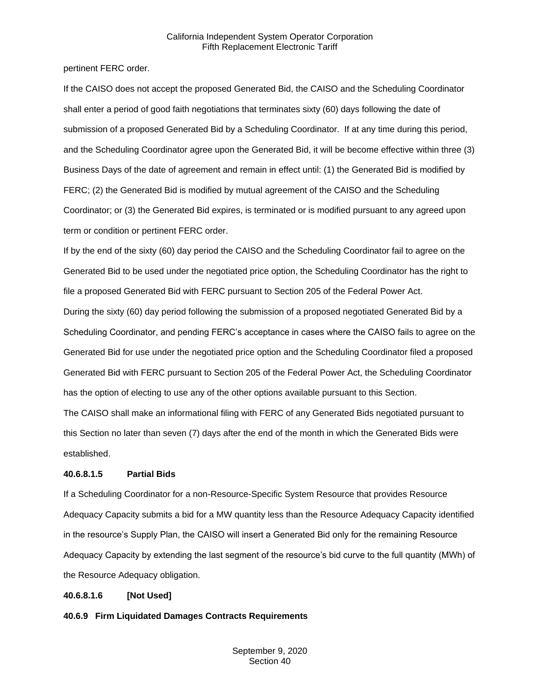pertinent FERC order.

If the CAISO does not accept the proposed Generated Bid, the CAISO and the Scheduling Coordinator shall enter a period of good faith negotiations that terminates sixty (60) days following the date of submission of a proposed Generated Bid by a Scheduling Coordinator. If at any time during this period, and the Scheduling Coordinator agree upon the Generated Bid, it will be become effective within three (3) Business Days of the date of agreement and remain in effect until: (1) the Generated Bid is modified by FERC; (2) the Generated Bid is modified by mutual agreement of the CAISO and the Scheduling Coordinator; or (3) the Generated Bid expires, is terminated or is modified pursuant to any agreed upon term or condition or pertinent FERC order.

If by the end of the sixty (60) day period the CAISO and the Scheduling Coordinator fail to agree on the Generated Bid to be used under the negotiated price option, the Scheduling Coordinator has the right to file a proposed Generated Bid with FERC pursuant to Section 205 of the Federal Power Act. During the sixty (60) day period following the submission of a proposed negotiated Generated Bid by a Scheduling Coordinator, and pending FERC's acceptance in cases where the CAISO fails to agree on the Generated Bid for use under the negotiated price option and the Scheduling Coordinator filed a proposed Generated Bid with FERC pursuant to Section 205 of the Federal Power Act, the Scheduling Coordinator has the option of electing to use any of the other options available pursuant to this Section.

The CAISO shall make an informational filing with FERC of any Generated Bids negotiated pursuant to this Section no later than seven (7) days after the end of the month in which the Generated Bids were established.

## **40.6.8.1.5 Partial Bids**

If a Scheduling Coordinator for a non-Resource-Specific System Resource that provides Resource Adequacy Capacity submits a bid for a MW quantity less than the Resource Adequacy Capacity identified in the resource's Supply Plan, the CAISO will insert a Generated Bid only for the remaining Resource Adequacy Capacity by extending the last segment of the resource's bid curve to the full quantity (MWh) of the Resource Adequacy obligation.

## **40.6.8.1.6 [Not Used]**

**40.6.9 Firm Liquidated Damages Contracts Requirements**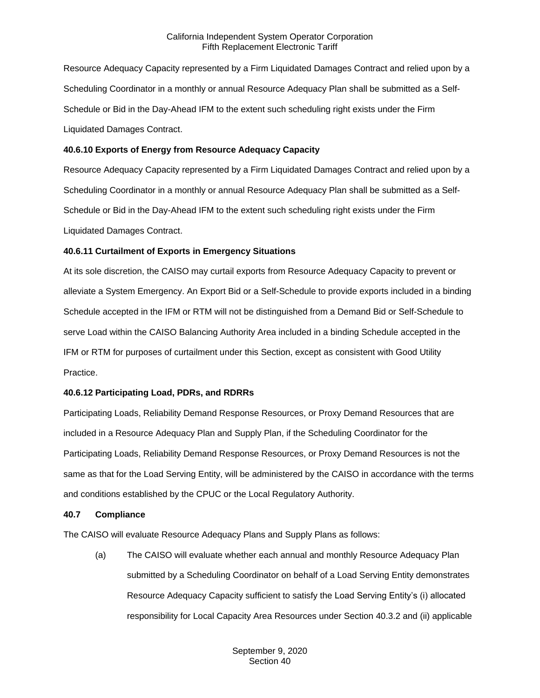Resource Adequacy Capacity represented by a Firm Liquidated Damages Contract and relied upon by a Scheduling Coordinator in a monthly or annual Resource Adequacy Plan shall be submitted as a Self-Schedule or Bid in the Day-Ahead IFM to the extent such scheduling right exists under the Firm Liquidated Damages Contract.

## **40.6.10 Exports of Energy from Resource Adequacy Capacity**

Resource Adequacy Capacity represented by a Firm Liquidated Damages Contract and relied upon by a Scheduling Coordinator in a monthly or annual Resource Adequacy Plan shall be submitted as a Self-Schedule or Bid in the Day-Ahead IFM to the extent such scheduling right exists under the Firm Liquidated Damages Contract.

## **40.6.11 Curtailment of Exports in Emergency Situations**

At its sole discretion, the CAISO may curtail exports from Resource Adequacy Capacity to prevent or alleviate a System Emergency. An Export Bid or a Self-Schedule to provide exports included in a binding Schedule accepted in the IFM or RTM will not be distinguished from a Demand Bid or Self-Schedule to serve Load within the CAISO Balancing Authority Area included in a binding Schedule accepted in the IFM or RTM for purposes of curtailment under this Section, except as consistent with Good Utility Practice.

## **40.6.12 Participating Load, PDRs, and RDRRs**

Participating Loads, Reliability Demand Response Resources, or Proxy Demand Resources that are included in a Resource Adequacy Plan and Supply Plan, if the Scheduling Coordinator for the Participating Loads, Reliability Demand Response Resources, or Proxy Demand Resources is not the same as that for the Load Serving Entity, will be administered by the CAISO in accordance with the terms and conditions established by the CPUC or the Local Regulatory Authority.

#### **40.7 Compliance**

The CAISO will evaluate Resource Adequacy Plans and Supply Plans as follows:

(a) The CAISO will evaluate whether each annual and monthly Resource Adequacy Plan submitted by a Scheduling Coordinator on behalf of a Load Serving Entity demonstrates Resource Adequacy Capacity sufficient to satisfy the Load Serving Entity's (i) allocated responsibility for Local Capacity Area Resources under Section 40.3.2 and (ii) applicable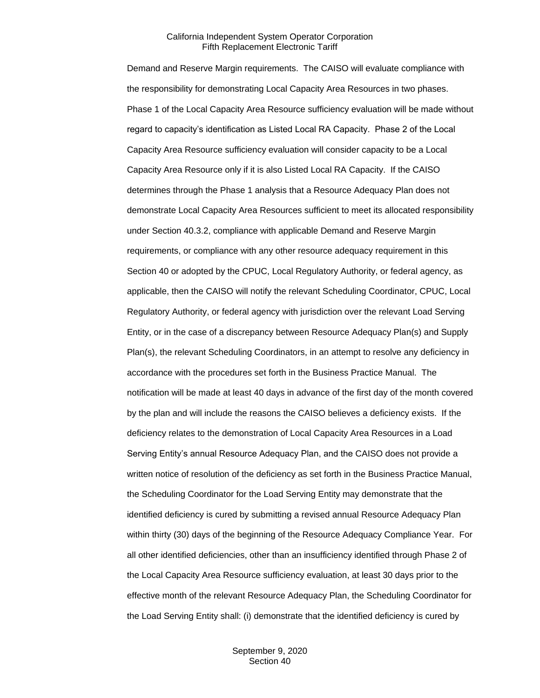Demand and Reserve Margin requirements. The CAISO will evaluate compliance with the responsibility for demonstrating Local Capacity Area Resources in two phases. Phase 1 of the Local Capacity Area Resource sufficiency evaluation will be made without regard to capacity's identification as Listed Local RA Capacity. Phase 2 of the Local Capacity Area Resource sufficiency evaluation will consider capacity to be a Local Capacity Area Resource only if it is also Listed Local RA Capacity. If the CAISO determines through the Phase 1 analysis that a Resource Adequacy Plan does not demonstrate Local Capacity Area Resources sufficient to meet its allocated responsibility under Section 40.3.2, compliance with applicable Demand and Reserve Margin requirements, or compliance with any other resource adequacy requirement in this Section 40 or adopted by the CPUC, Local Regulatory Authority, or federal agency, as applicable, then the CAISO will notify the relevant Scheduling Coordinator, CPUC, Local Regulatory Authority, or federal agency with jurisdiction over the relevant Load Serving Entity, or in the case of a discrepancy between Resource Adequacy Plan(s) and Supply Plan(s), the relevant Scheduling Coordinators, in an attempt to resolve any deficiency in accordance with the procedures set forth in the Business Practice Manual. The notification will be made at least 40 days in advance of the first day of the month covered by the plan and will include the reasons the CAISO believes a deficiency exists. If the deficiency relates to the demonstration of Local Capacity Area Resources in a Load Serving Entity's annual Resource Adequacy Plan, and the CAISO does not provide a written notice of resolution of the deficiency as set forth in the Business Practice Manual, the Scheduling Coordinator for the Load Serving Entity may demonstrate that the identified deficiency is cured by submitting a revised annual Resource Adequacy Plan within thirty (30) days of the beginning of the Resource Adequacy Compliance Year. For all other identified deficiencies, other than an insufficiency identified through Phase 2 of the Local Capacity Area Resource sufficiency evaluation, at least 30 days prior to the effective month of the relevant Resource Adequacy Plan, the Scheduling Coordinator for the Load Serving Entity shall: (i) demonstrate that the identified deficiency is cured by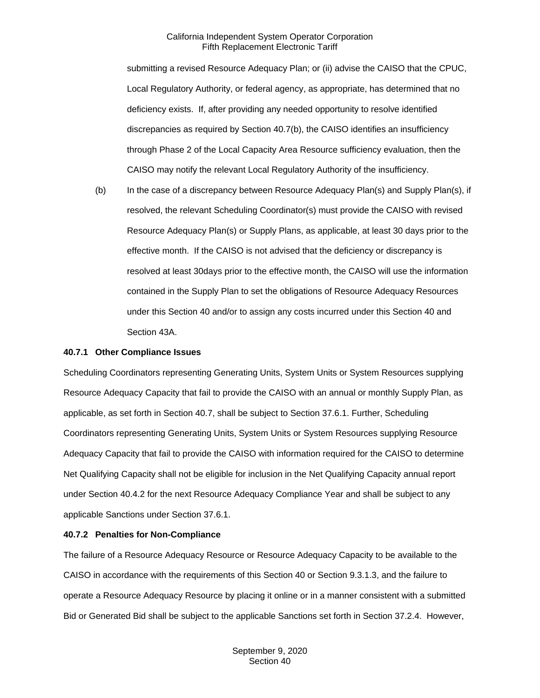submitting a revised Resource Adequacy Plan; or (ii) advise the CAISO that the CPUC, Local Regulatory Authority, or federal agency, as appropriate, has determined that no deficiency exists. If, after providing any needed opportunity to resolve identified discrepancies as required by Section 40.7(b), the CAISO identifies an insufficiency through Phase 2 of the Local Capacity Area Resource sufficiency evaluation, then the CAISO may notify the relevant Local Regulatory Authority of the insufficiency.

(b) In the case of a discrepancy between Resource Adequacy Plan(s) and Supply Plan(s), if resolved, the relevant Scheduling Coordinator(s) must provide the CAISO with revised Resource Adequacy Plan(s) or Supply Plans, as applicable, at least 30 days prior to the effective month. If the CAISO is not advised that the deficiency or discrepancy is resolved at least 30days prior to the effective month, the CAISO will use the information contained in the Supply Plan to set the obligations of Resource Adequacy Resources under this Section 40 and/or to assign any costs incurred under this Section 40 and Section 43A.

#### **40.7.1 Other Compliance Issues**

Scheduling Coordinators representing Generating Units, System Units or System Resources supplying Resource Adequacy Capacity that fail to provide the CAISO with an annual or monthly Supply Plan, as applicable, as set forth in Section 40.7, shall be subject to Section 37.6.1. Further, Scheduling Coordinators representing Generating Units, System Units or System Resources supplying Resource Adequacy Capacity that fail to provide the CAISO with information required for the CAISO to determine Net Qualifying Capacity shall not be eligible for inclusion in the Net Qualifying Capacity annual report under Section 40.4.2 for the next Resource Adequacy Compliance Year and shall be subject to any applicable Sanctions under Section 37.6.1.

## **40.7.2 Penalties for Non-Compliance**

The failure of a Resource Adequacy Resource or Resource Adequacy Capacity to be available to the CAISO in accordance with the requirements of this Section 40 or Section 9.3.1.3, and the failure to operate a Resource Adequacy Resource by placing it online or in a manner consistent with a submitted Bid or Generated Bid shall be subject to the applicable Sanctions set forth in Section 37.2.4. However,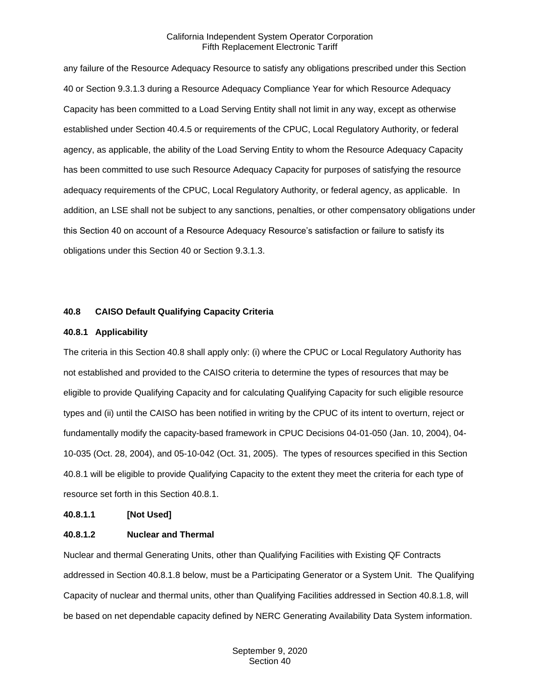any failure of the Resource Adequacy Resource to satisfy any obligations prescribed under this Section 40 or Section 9.3.1.3 during a Resource Adequacy Compliance Year for which Resource Adequacy Capacity has been committed to a Load Serving Entity shall not limit in any way, except as otherwise established under Section 40.4.5 or requirements of the CPUC, Local Regulatory Authority, or federal agency, as applicable, the ability of the Load Serving Entity to whom the Resource Adequacy Capacity has been committed to use such Resource Adequacy Capacity for purposes of satisfying the resource adequacy requirements of the CPUC, Local Regulatory Authority, or federal agency, as applicable. In addition, an LSE shall not be subject to any sanctions, penalties, or other compensatory obligations under this Section 40 on account of a Resource Adequacy Resource's satisfaction or failure to satisfy its obligations under this Section 40 or Section 9.3.1.3.

#### **40.8 CAISO Default Qualifying Capacity Criteria**

#### **40.8.1 Applicability**

The criteria in this Section 40.8 shall apply only: (i) where the CPUC or Local Regulatory Authority has not established and provided to the CAISO criteria to determine the types of resources that may be eligible to provide Qualifying Capacity and for calculating Qualifying Capacity for such eligible resource types and (ii) until the CAISO has been notified in writing by the CPUC of its intent to overturn, reject or fundamentally modify the capacity-based framework in CPUC Decisions 04-01-050 (Jan. 10, 2004), 04- 10-035 (Oct. 28, 2004), and 05-10-042 (Oct. 31, 2005). The types of resources specified in this Section 40.8.1 will be eligible to provide Qualifying Capacity to the extent they meet the criteria for each type of resource set forth in this Section 40.8.1.

#### **40.8.1.1 [Not Used]**

#### **40.8.1.2 Nuclear and Thermal**

Nuclear and thermal Generating Units, other than Qualifying Facilities with Existing QF Contracts addressed in Section 40.8.1.8 below, must be a Participating Generator or a System Unit. The Qualifying Capacity of nuclear and thermal units, other than Qualifying Facilities addressed in Section 40.8.1.8, will be based on net dependable capacity defined by NERC Generating Availability Data System information.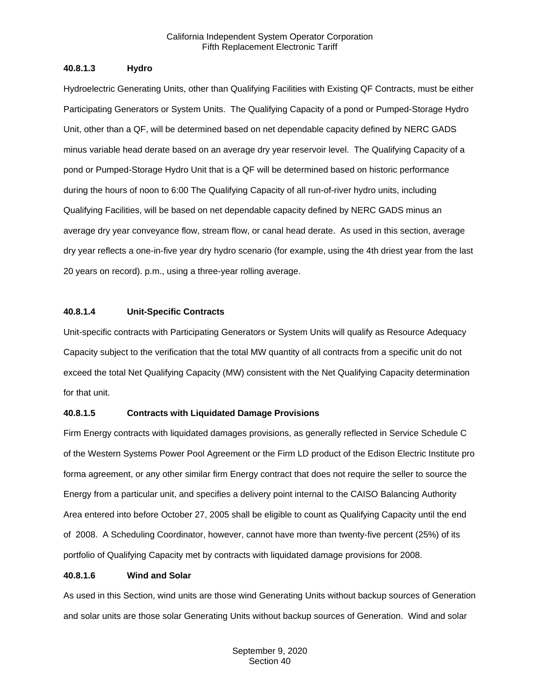#### **40.8.1.3 Hydro**

Hydroelectric Generating Units, other than Qualifying Facilities with Existing QF Contracts, must be either Participating Generators or System Units. The Qualifying Capacity of a pond or Pumped-Storage Hydro Unit, other than a QF, will be determined based on net dependable capacity defined by NERC GADS minus variable head derate based on an average dry year reservoir level. The Qualifying Capacity of a pond or Pumped-Storage Hydro Unit that is a QF will be determined based on historic performance during the hours of noon to 6:00 The Qualifying Capacity of all run-of-river hydro units, including Qualifying Facilities, will be based on net dependable capacity defined by NERC GADS minus an average dry year conveyance flow, stream flow, or canal head derate. As used in this section, average dry year reflects a one-in-five year dry hydro scenario (for example, using the 4th driest year from the last 20 years on record). p.m., using a three-year rolling average.

#### **40.8.1.4 Unit-Specific Contracts**

Unit-specific contracts with Participating Generators or System Units will qualify as Resource Adequacy Capacity subject to the verification that the total MW quantity of all contracts from a specific unit do not exceed the total Net Qualifying Capacity (MW) consistent with the Net Qualifying Capacity determination for that unit.

## **40.8.1.5 Contracts with Liquidated Damage Provisions**

Firm Energy contracts with liquidated damages provisions, as generally reflected in Service Schedule C of the Western Systems Power Pool Agreement or the Firm LD product of the Edison Electric Institute pro forma agreement, or any other similar firm Energy contract that does not require the seller to source the Energy from a particular unit, and specifies a delivery point internal to the CAISO Balancing Authority Area entered into before October 27, 2005 shall be eligible to count as Qualifying Capacity until the end of 2008. A Scheduling Coordinator, however, cannot have more than twenty-five percent (25%) of its portfolio of Qualifying Capacity met by contracts with liquidated damage provisions for 2008.

#### **40.8.1.6 Wind and Solar**

As used in this Section, wind units are those wind Generating Units without backup sources of Generation and solar units are those solar Generating Units without backup sources of Generation. Wind and solar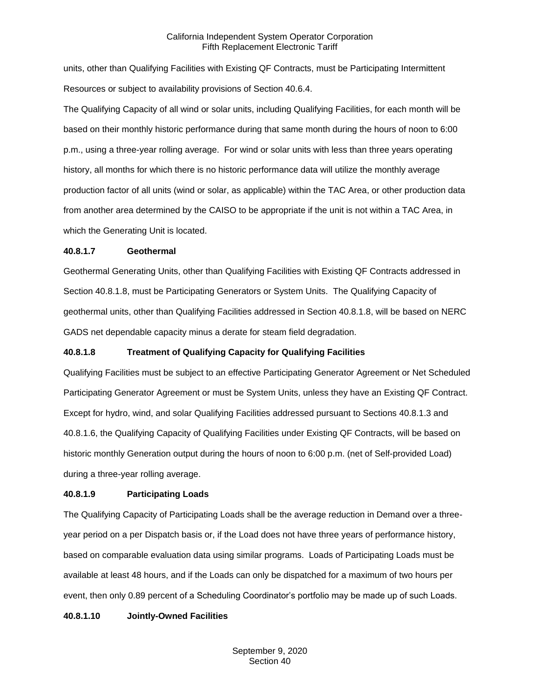units, other than Qualifying Facilities with Existing QF Contracts, must be Participating Intermittent Resources or subject to availability provisions of Section 40.6.4.

The Qualifying Capacity of all wind or solar units, including Qualifying Facilities, for each month will be based on their monthly historic performance during that same month during the hours of noon to 6:00 p.m., using a three-year rolling average. For wind or solar units with less than three years operating history, all months for which there is no historic performance data will utilize the monthly average production factor of all units (wind or solar, as applicable) within the TAC Area, or other production data from another area determined by the CAISO to be appropriate if the unit is not within a TAC Area, in which the Generating Unit is located.

#### **40.8.1.7 Geothermal**

Geothermal Generating Units, other than Qualifying Facilities with Existing QF Contracts addressed in Section 40.8.1.8, must be Participating Generators or System Units. The Qualifying Capacity of geothermal units, other than Qualifying Facilities addressed in Section 40.8.1.8, will be based on NERC GADS net dependable capacity minus a derate for steam field degradation.

## **40.8.1.8 Treatment of Qualifying Capacity for Qualifying Facilities**

Qualifying Facilities must be subject to an effective Participating Generator Agreement or Net Scheduled Participating Generator Agreement or must be System Units, unless they have an Existing QF Contract. Except for hydro, wind, and solar Qualifying Facilities addressed pursuant to Sections 40.8.1.3 and 40.8.1.6, the Qualifying Capacity of Qualifying Facilities under Existing QF Contracts, will be based on historic monthly Generation output during the hours of noon to 6:00 p.m. (net of Self-provided Load) during a three-year rolling average.

## **40.8.1.9 Participating Loads**

The Qualifying Capacity of Participating Loads shall be the average reduction in Demand over a threeyear period on a per Dispatch basis or, if the Load does not have three years of performance history, based on comparable evaluation data using similar programs. Loads of Participating Loads must be available at least 48 hours, and if the Loads can only be dispatched for a maximum of two hours per event, then only 0.89 percent of a Scheduling Coordinator's portfolio may be made up of such Loads.

## **40.8.1.10 Jointly-Owned Facilities**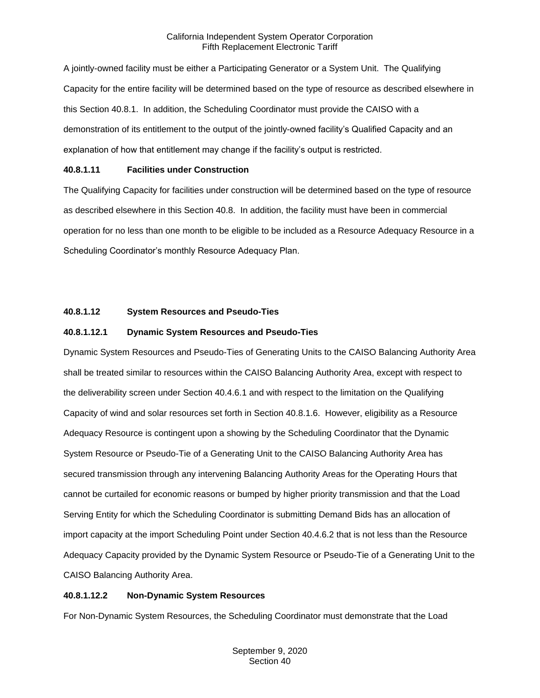A jointly-owned facility must be either a Participating Generator or a System Unit. The Qualifying Capacity for the entire facility will be determined based on the type of resource as described elsewhere in this Section 40.8.1. In addition, the Scheduling Coordinator must provide the CAISO with a demonstration of its entitlement to the output of the jointly-owned facility's Qualified Capacity and an explanation of how that entitlement may change if the facility's output is restricted.

## **40.8.1.11 Facilities under Construction**

The Qualifying Capacity for facilities under construction will be determined based on the type of resource as described elsewhere in this Section 40.8. In addition, the facility must have been in commercial operation for no less than one month to be eligible to be included as a Resource Adequacy Resource in a Scheduling Coordinator's monthly Resource Adequacy Plan.

## **40.8.1.12 System Resources and Pseudo-Ties**

## **40.8.1.12.1 Dynamic System Resources and Pseudo-Ties**

Dynamic System Resources and Pseudo-Ties of Generating Units to the CAISO Balancing Authority Area shall be treated similar to resources within the CAISO Balancing Authority Area, except with respect to the deliverability screen under Section 40.4.6.1 and with respect to the limitation on the Qualifying Capacity of wind and solar resources set forth in Section 40.8.1.6. However, eligibility as a Resource Adequacy Resource is contingent upon a showing by the Scheduling Coordinator that the Dynamic System Resource or Pseudo-Tie of a Generating Unit to the CAISO Balancing Authority Area has secured transmission through any intervening Balancing Authority Areas for the Operating Hours that cannot be curtailed for economic reasons or bumped by higher priority transmission and that the Load Serving Entity for which the Scheduling Coordinator is submitting Demand Bids has an allocation of import capacity at the import Scheduling Point under Section 40.4.6.2 that is not less than the Resource Adequacy Capacity provided by the Dynamic System Resource or Pseudo-Tie of a Generating Unit to the CAISO Balancing Authority Area.

## **40.8.1.12.2 Non-Dynamic System Resources**

For Non-Dynamic System Resources, the Scheduling Coordinator must demonstrate that the Load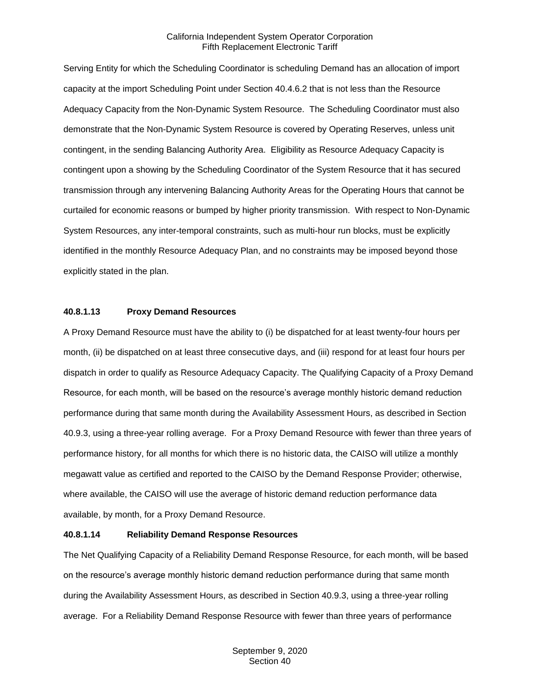Serving Entity for which the Scheduling Coordinator is scheduling Demand has an allocation of import capacity at the import Scheduling Point under Section 40.4.6.2 that is not less than the Resource Adequacy Capacity from the Non-Dynamic System Resource. The Scheduling Coordinator must also demonstrate that the Non-Dynamic System Resource is covered by Operating Reserves, unless unit contingent, in the sending Balancing Authority Area. Eligibility as Resource Adequacy Capacity is contingent upon a showing by the Scheduling Coordinator of the System Resource that it has secured transmission through any intervening Balancing Authority Areas for the Operating Hours that cannot be curtailed for economic reasons or bumped by higher priority transmission. With respect to Non-Dynamic System Resources, any inter-temporal constraints, such as multi-hour run blocks, must be explicitly identified in the monthly Resource Adequacy Plan, and no constraints may be imposed beyond those explicitly stated in the plan.

#### **40.8.1.13 Proxy Demand Resources**

A Proxy Demand Resource must have the ability to (i) be dispatched for at least twenty-four hours per month, (ii) be dispatched on at least three consecutive days, and (iii) respond for at least four hours per dispatch in order to qualify as Resource Adequacy Capacity. The Qualifying Capacity of a Proxy Demand Resource, for each month, will be based on the resource's average monthly historic demand reduction performance during that same month during the Availability Assessment Hours, as described in Section 40.9.3, using a three-year rolling average. For a Proxy Demand Resource with fewer than three years of performance history, for all months for which there is no historic data, the CAISO will utilize a monthly megawatt value as certified and reported to the CAISO by the Demand Response Provider; otherwise, where available, the CAISO will use the average of historic demand reduction performance data available, by month, for a Proxy Demand Resource.

#### **40.8.1.14 Reliability Demand Response Resources**

The Net Qualifying Capacity of a Reliability Demand Response Resource, for each month, will be based on the resource's average monthly historic demand reduction performance during that same month during the Availability Assessment Hours, as described in Section 40.9.3, using a three-year rolling average. For a Reliability Demand Response Resource with fewer than three years of performance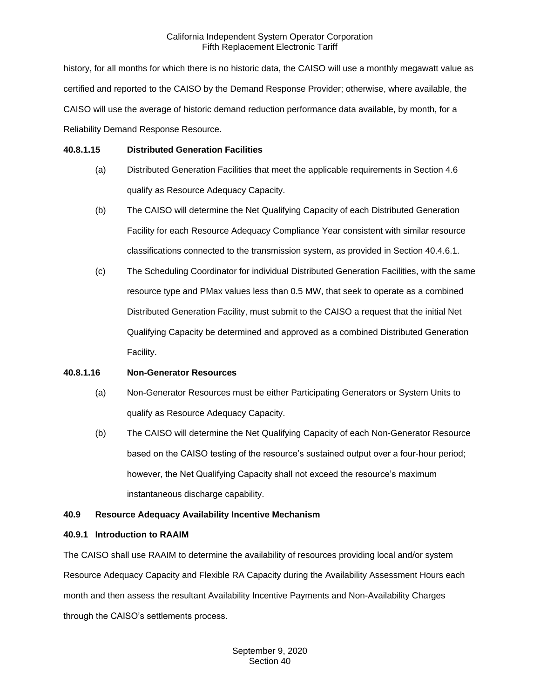history, for all months for which there is no historic data, the CAISO will use a monthly megawatt value as certified and reported to the CAISO by the Demand Response Provider; otherwise, where available, the CAISO will use the average of historic demand reduction performance data available, by month, for a Reliability Demand Response Resource.

#### **40.8.1.15 Distributed Generation Facilities**

- (a) Distributed Generation Facilities that meet the applicable requirements in Section 4.6 qualify as Resource Adequacy Capacity.
- (b) The CAISO will determine the Net Qualifying Capacity of each Distributed Generation Facility for each Resource Adequacy Compliance Year consistent with similar resource classifications connected to the transmission system, as provided in Section 40.4.6.1.
- (c) The Scheduling Coordinator for individual Distributed Generation Facilities, with the same resource type and PMax values less than 0.5 MW, that seek to operate as a combined Distributed Generation Facility, must submit to the CAISO a request that the initial Net Qualifying Capacity be determined and approved as a combined Distributed Generation Facility.

## **40.8.1.16 Non-Generator Resources**

- (a) Non-Generator Resources must be either Participating Generators or System Units to qualify as Resource Adequacy Capacity.
- (b) The CAISO will determine the Net Qualifying Capacity of each Non-Generator Resource based on the CAISO testing of the resource's sustained output over a four-hour period; however, the Net Qualifying Capacity shall not exceed the resource's maximum instantaneous discharge capability.

## **40.9 Resource Adequacy Availability Incentive Mechanism**

## **40.9.1 Introduction to RAAIM**

The CAISO shall use RAAIM to determine the availability of resources providing local and/or system Resource Adequacy Capacity and Flexible RA Capacity during the Availability Assessment Hours each month and then assess the resultant Availability Incentive Payments and Non-Availability Charges through the CAISO's settlements process.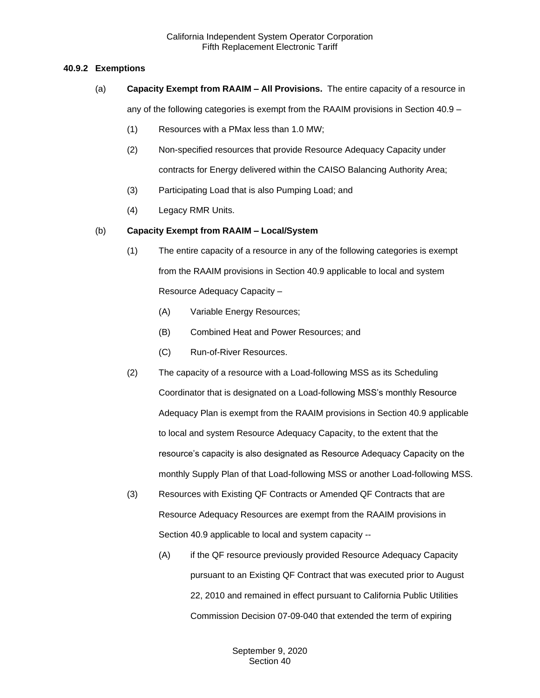#### **40.9.2 Exemptions**

- (a) **Capacity Exempt from RAAIM – All Provisions.** The entire capacity of a resource in any of the following categories is exempt from the RAAIM provisions in Section 40.9 –
	- (1) Resources with a PMax less than 1.0 MW;
	- (2) Non-specified resources that provide Resource Adequacy Capacity under contracts for Energy delivered within the CAISO Balancing Authority Area;
	- (3) Participating Load that is also Pumping Load; and
	- (4) Legacy RMR Units.

#### (b) **Capacity Exempt from RAAIM – Local/System**

- (1) The entire capacity of a resource in any of the following categories is exempt from the RAAIM provisions in Section 40.9 applicable to local and system Resource Adequacy Capacity –
	- (A) Variable Energy Resources;
	- (B) Combined Heat and Power Resources; and
	- (C) Run-of-River Resources.
- (2) The capacity of a resource with a Load-following MSS as its Scheduling Coordinator that is designated on a Load-following MSS's monthly Resource Adequacy Plan is exempt from the RAAIM provisions in Section 40.9 applicable to local and system Resource Adequacy Capacity, to the extent that the resource's capacity is also designated as Resource Adequacy Capacity on the monthly Supply Plan of that Load-following MSS or another Load-following MSS.
- (3) Resources with Existing QF Contracts or Amended QF Contracts that are Resource Adequacy Resources are exempt from the RAAIM provisions in Section 40.9 applicable to local and system capacity --
	- (A) if the QF resource previously provided Resource Adequacy Capacity pursuant to an Existing QF Contract that was executed prior to August 22, 2010 and remained in effect pursuant to California Public Utilities Commission Decision 07-09-040 that extended the term of expiring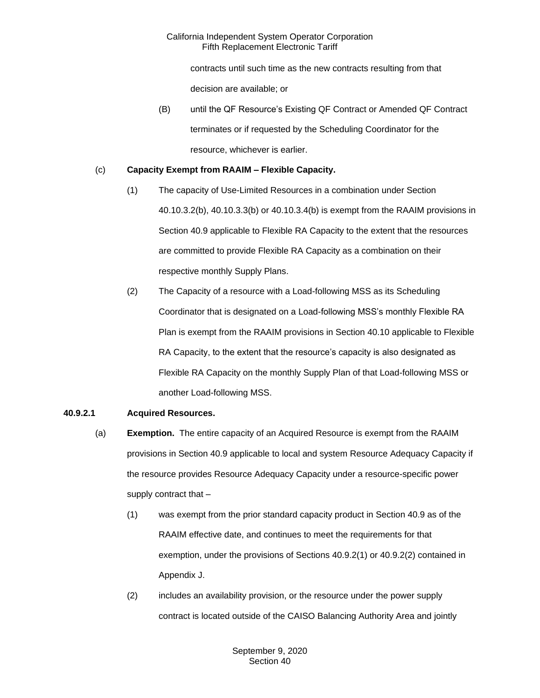contracts until such time as the new contracts resulting from that decision are available; or

(B) until the QF Resource's Existing QF Contract or Amended QF Contract terminates or if requested by the Scheduling Coordinator for the resource, whichever is earlier.

## (c) **Capacity Exempt from RAAIM – Flexible Capacity.**

- (1) The capacity of Use-Limited Resources in a combination under Section 40.10.3.2(b), 40.10.3.3(b) or 40.10.3.4(b) is exempt from the RAAIM provisions in Section 40.9 applicable to Flexible RA Capacity to the extent that the resources are committed to provide Flexible RA Capacity as a combination on their respective monthly Supply Plans.
- (2) The Capacity of a resource with a Load-following MSS as its Scheduling Coordinator that is designated on a Load-following MSS's monthly Flexible RA Plan is exempt from the RAAIM provisions in Section 40.10 applicable to Flexible RA Capacity, to the extent that the resource's capacity is also designated as Flexible RA Capacity on the monthly Supply Plan of that Load-following MSS or another Load-following MSS.

# **40.9.2.1 Acquired Resources.**

- (a) **Exemption.** The entire capacity of an Acquired Resource is exempt from the RAAIM provisions in Section 40.9 applicable to local and system Resource Adequacy Capacity if the resource provides Resource Adequacy Capacity under a resource-specific power supply contract that –
	- (1) was exempt from the prior standard capacity product in Section 40.9 as of the RAAIM effective date, and continues to meet the requirements for that exemption, under the provisions of Sections 40.9.2(1) or 40.9.2(2) contained in Appendix J.
	- (2) includes an availability provision, or the resource under the power supply contract is located outside of the CAISO Balancing Authority Area and jointly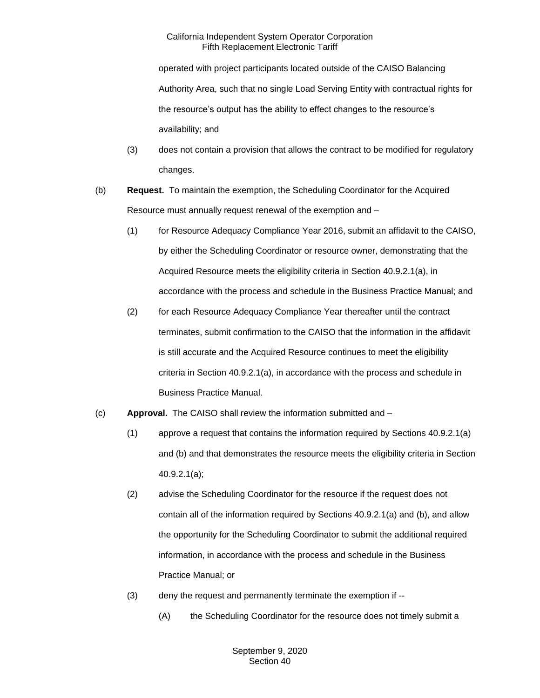operated with project participants located outside of the CAISO Balancing Authority Area, such that no single Load Serving Entity with contractual rights for the resource's output has the ability to effect changes to the resource's availability; and

- (3) does not contain a provision that allows the contract to be modified for regulatory changes.
- (b) **Request.** To maintain the exemption, the Scheduling Coordinator for the Acquired Resource must annually request renewal of the exemption and –
	- (1) for Resource Adequacy Compliance Year 2016, submit an affidavit to the CAISO, by either the Scheduling Coordinator or resource owner, demonstrating that the Acquired Resource meets the eligibility criteria in Section 40.9.2.1(a), in accordance with the process and schedule in the Business Practice Manual; and
	- (2) for each Resource Adequacy Compliance Year thereafter until the contract terminates, submit confirmation to the CAISO that the information in the affidavit is still accurate and the Acquired Resource continues to meet the eligibility criteria in Section 40.9.2.1(a), in accordance with the process and schedule in Business Practice Manual.
- (c) **Approval.** The CAISO shall review the information submitted and
	- (1) approve a request that contains the information required by Sections 40.9.2.1(a) and (b) and that demonstrates the resource meets the eligibility criteria in Section 40.9.2.1(a);
	- (2) advise the Scheduling Coordinator for the resource if the request does not contain all of the information required by Sections 40.9.2.1(a) and (b), and allow the opportunity for the Scheduling Coordinator to submit the additional required information, in accordance with the process and schedule in the Business Practice Manual; or
	- (3) deny the request and permanently terminate the exemption if --
		- (A) the Scheduling Coordinator for the resource does not timely submit a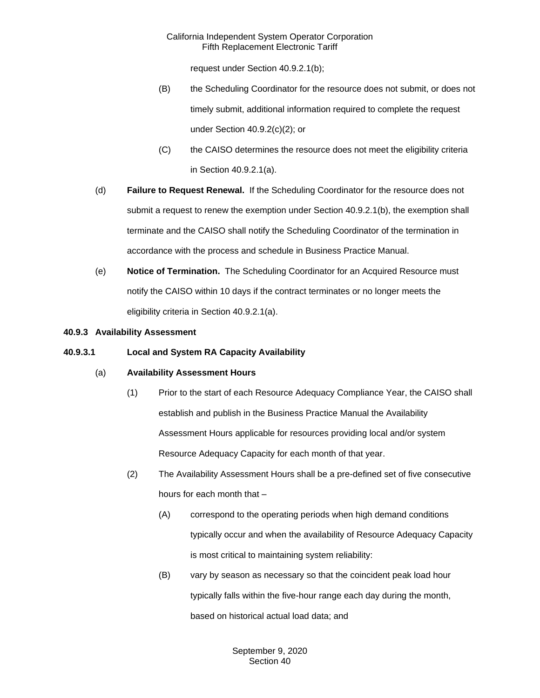request under Section 40.9.2.1(b);

- (B) the Scheduling Coordinator for the resource does not submit, or does not timely submit, additional information required to complete the request under Section 40.9.2(c)(2); or
- (C) the CAISO determines the resource does not meet the eligibility criteria in Section 40.9.2.1(a).
- (d) **Failure to Request Renewal.** If the Scheduling Coordinator for the resource does not submit a request to renew the exemption under Section 40.9.2.1(b), the exemption shall terminate and the CAISO shall notify the Scheduling Coordinator of the termination in accordance with the process and schedule in Business Practice Manual.
- (e) **Notice of Termination.** The Scheduling Coordinator for an Acquired Resource must notify the CAISO within 10 days if the contract terminates or no longer meets the eligibility criteria in Section 40.9.2.1(a).

## **40.9.3 Availability Assessment**

#### **40.9.3.1 Local and System RA Capacity Availability**

## (a) **Availability Assessment Hours**

- (1) Prior to the start of each Resource Adequacy Compliance Year, the CAISO shall establish and publish in the Business Practice Manual the Availability Assessment Hours applicable for resources providing local and/or system Resource Adequacy Capacity for each month of that year.
- (2) The Availability Assessment Hours shall be a pre-defined set of five consecutive hours for each month that –
	- (A) correspond to the operating periods when high demand conditions typically occur and when the availability of Resource Adequacy Capacity is most critical to maintaining system reliability:
	- (B) vary by season as necessary so that the coincident peak load hour typically falls within the five-hour range each day during the month, based on historical actual load data; and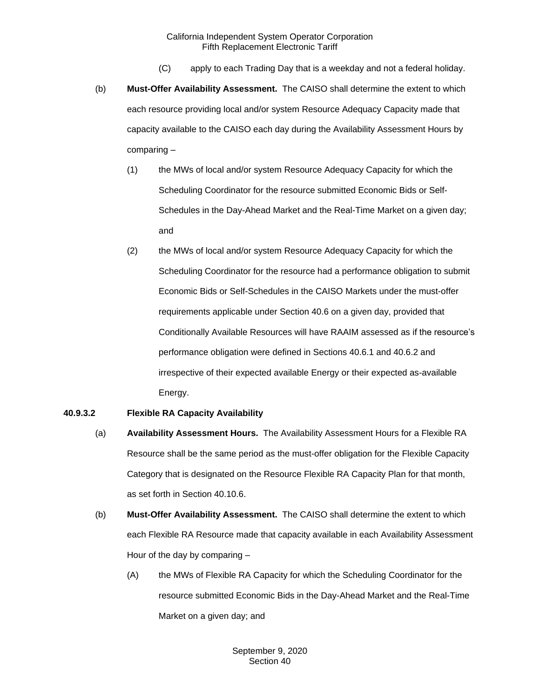- (C) apply to each Trading Day that is a weekday and not a federal holiday.
- (b) **Must-Offer Availability Assessment.** The CAISO shall determine the extent to which each resource providing local and/or system Resource Adequacy Capacity made that capacity available to the CAISO each day during the Availability Assessment Hours by comparing –
	- (1) the MWs of local and/or system Resource Adequacy Capacity for which the Scheduling Coordinator for the resource submitted Economic Bids or Self-Schedules in the Day-Ahead Market and the Real-Time Market on a given day; and
	- (2) the MWs of local and/or system Resource Adequacy Capacity for which the Scheduling Coordinator for the resource had a performance obligation to submit Economic Bids or Self-Schedules in the CAISO Markets under the must-offer requirements applicable under Section 40.6 on a given day, provided that Conditionally Available Resources will have RAAIM assessed as if the resource's performance obligation were defined in Sections 40.6.1 and 40.6.2 and irrespective of their expected available Energy or their expected as-available Energy.

## **40.9.3.2 Flexible RA Capacity Availability**

- (a) **Availability Assessment Hours.** The Availability Assessment Hours for a Flexible RA Resource shall be the same period as the must-offer obligation for the Flexible Capacity Category that is designated on the Resource Flexible RA Capacity Plan for that month, as set forth in Section 40.10.6.
- (b) **Must-Offer Availability Assessment.** The CAISO shall determine the extent to which each Flexible RA Resource made that capacity available in each Availability Assessment Hour of the day by comparing –
	- (A) the MWs of Flexible RA Capacity for which the Scheduling Coordinator for the resource submitted Economic Bids in the Day-Ahead Market and the Real-Time Market on a given day; and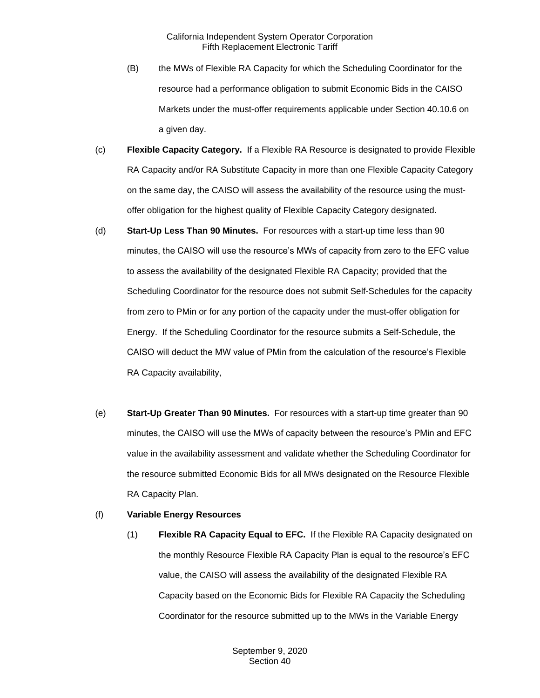- (B) the MWs of Flexible RA Capacity for which the Scheduling Coordinator for the resource had a performance obligation to submit Economic Bids in the CAISO Markets under the must-offer requirements applicable under Section 40.10.6 on a given day.
- (c) **Flexible Capacity Category.** If a Flexible RA Resource is designated to provide Flexible RA Capacity and/or RA Substitute Capacity in more than one Flexible Capacity Category on the same day, the CAISO will assess the availability of the resource using the mustoffer obligation for the highest quality of Flexible Capacity Category designated.
- (d) **Start-Up Less Than 90 Minutes.** For resources with a start-up time less than 90 minutes, the CAISO will use the resource's MWs of capacity from zero to the EFC value to assess the availability of the designated Flexible RA Capacity; provided that the Scheduling Coordinator for the resource does not submit Self-Schedules for the capacity from zero to PMin or for any portion of the capacity under the must-offer obligation for Energy. If the Scheduling Coordinator for the resource submits a Self-Schedule, the CAISO will deduct the MW value of PMin from the calculation of the resource's Flexible RA Capacity availability,
- (e) **Start-Up Greater Than 90 Minutes.** For resources with a start-up time greater than 90 minutes, the CAISO will use the MWs of capacity between the resource's PMin and EFC value in the availability assessment and validate whether the Scheduling Coordinator for the resource submitted Economic Bids for all MWs designated on the Resource Flexible RA Capacity Plan.

#### (f) **Variable Energy Resources**

(1) **Flexible RA Capacity Equal to EFC.** If the Flexible RA Capacity designated on the monthly Resource Flexible RA Capacity Plan is equal to the resource's EFC value, the CAISO will assess the availability of the designated Flexible RA Capacity based on the Economic Bids for Flexible RA Capacity the Scheduling Coordinator for the resource submitted up to the MWs in the Variable Energy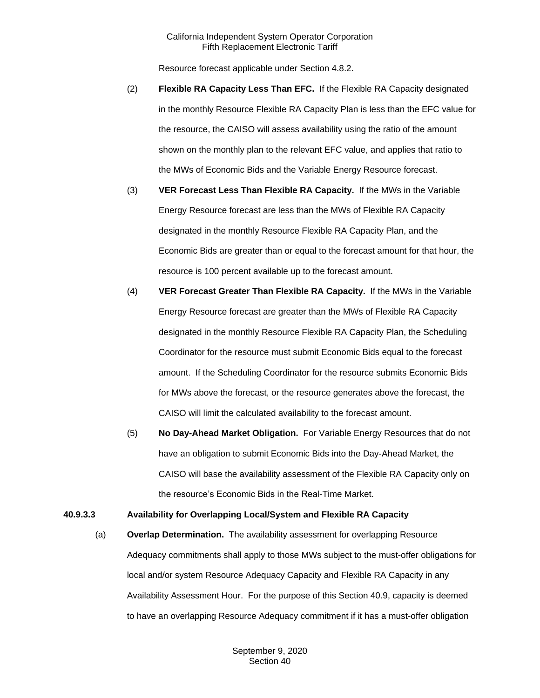Resource forecast applicable under Section 4.8.2.

- (2) **Flexible RA Capacity Less Than EFC.** If the Flexible RA Capacity designated in the monthly Resource Flexible RA Capacity Plan is less than the EFC value for the resource, the CAISO will assess availability using the ratio of the amount shown on the monthly plan to the relevant EFC value, and applies that ratio to the MWs of Economic Bids and the Variable Energy Resource forecast.
- (3) **VER Forecast Less Than Flexible RA Capacity.** If the MWs in the Variable Energy Resource forecast are less than the MWs of Flexible RA Capacity designated in the monthly Resource Flexible RA Capacity Plan, and the Economic Bids are greater than or equal to the forecast amount for that hour, the resource is 100 percent available up to the forecast amount.
- (4) **VER Forecast Greater Than Flexible RA Capacity.** If the MWs in the Variable Energy Resource forecast are greater than the MWs of Flexible RA Capacity designated in the monthly Resource Flexible RA Capacity Plan, the Scheduling Coordinator for the resource must submit Economic Bids equal to the forecast amount. If the Scheduling Coordinator for the resource submits Economic Bids for MWs above the forecast, or the resource generates above the forecast, the CAISO will limit the calculated availability to the forecast amount.
- (5) **No Day-Ahead Market Obligation.** For Variable Energy Resources that do not have an obligation to submit Economic Bids into the Day-Ahead Market, the CAISO will base the availability assessment of the Flexible RA Capacity only on the resource's Economic Bids in the Real-Time Market.

## **40.9.3.3 Availability for Overlapping Local/System and Flexible RA Capacity**

(a) **Overlap Determination.** The availability assessment for overlapping Resource Adequacy commitments shall apply to those MWs subject to the must-offer obligations for local and/or system Resource Adequacy Capacity and Flexible RA Capacity in any Availability Assessment Hour. For the purpose of this Section 40.9, capacity is deemed to have an overlapping Resource Adequacy commitment if it has a must-offer obligation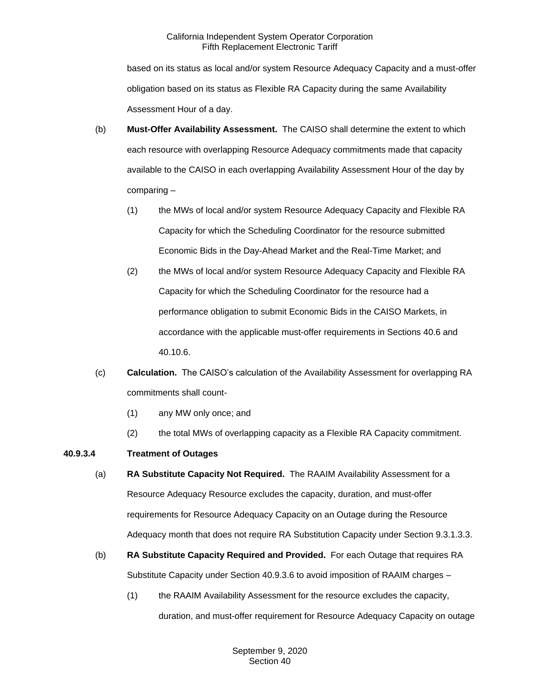based on its status as local and/or system Resource Adequacy Capacity and a must-offer obligation based on its status as Flexible RA Capacity during the same Availability Assessment Hour of a day.

- (b) **Must-Offer Availability Assessment.** The CAISO shall determine the extent to which each resource with overlapping Resource Adequacy commitments made that capacity available to the CAISO in each overlapping Availability Assessment Hour of the day by comparing –
	- (1) the MWs of local and/or system Resource Adequacy Capacity and Flexible RA Capacity for which the Scheduling Coordinator for the resource submitted Economic Bids in the Day-Ahead Market and the Real-Time Market; and
	- (2) the MWs of local and/or system Resource Adequacy Capacity and Flexible RA Capacity for which the Scheduling Coordinator for the resource had a performance obligation to submit Economic Bids in the CAISO Markets, in accordance with the applicable must-offer requirements in Sections 40.6 and 40.10.6.
- (c) **Calculation.** The CAISO's calculation of the Availability Assessment for overlapping RA commitments shall count-
	- (1) any MW only once; and
	- (2) the total MWs of overlapping capacity as a Flexible RA Capacity commitment.

## **40.9.3.4 Treatment of Outages**

- (a) **RA Substitute Capacity Not Required.** The RAAIM Availability Assessment for a Resource Adequacy Resource excludes the capacity, duration, and must-offer requirements for Resource Adequacy Capacity on an Outage during the Resource Adequacy month that does not require RA Substitution Capacity under Section 9.3.1.3.3.
- (b) **RA Substitute Capacity Required and Provided.** For each Outage that requires RA Substitute Capacity under Section 40.9.3.6 to avoid imposition of RAAIM charges –
	- (1) the RAAIM Availability Assessment for the resource excludes the capacity, duration, and must-offer requirement for Resource Adequacy Capacity on outage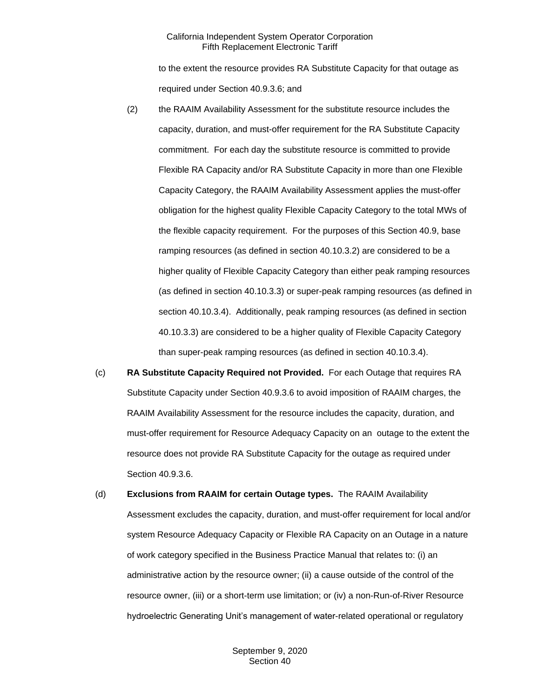to the extent the resource provides RA Substitute Capacity for that outage as required under Section 40.9.3.6; and

- (2) the RAAIM Availability Assessment for the substitute resource includes the capacity, duration, and must-offer requirement for the RA Substitute Capacity commitment. For each day the substitute resource is committed to provide Flexible RA Capacity and/or RA Substitute Capacity in more than one Flexible Capacity Category, the RAAIM Availability Assessment applies the must-offer obligation for the highest quality Flexible Capacity Category to the total MWs of the flexible capacity requirement. For the purposes of this Section 40.9, base ramping resources (as defined in section 40.10.3.2) are considered to be a higher quality of Flexible Capacity Category than either peak ramping resources (as defined in section 40.10.3.3) or super-peak ramping resources (as defined in section 40.10.3.4). Additionally, peak ramping resources (as defined in section 40.10.3.3) are considered to be a higher quality of Flexible Capacity Category than super-peak ramping resources (as defined in section 40.10.3.4).
- (c) **RA Substitute Capacity Required not Provided.** For each Outage that requires RA Substitute Capacity under Section 40.9.3.6 to avoid imposition of RAAIM charges, the RAAIM Availability Assessment for the resource includes the capacity, duration, and must-offer requirement for Resource Adequacy Capacity on an outage to the extent the resource does not provide RA Substitute Capacity for the outage as required under Section 40.9.3.6.
- (d) **Exclusions from RAAIM for certain Outage types.** The RAAIM Availability Assessment excludes the capacity, duration, and must-offer requirement for local and/or system Resource Adequacy Capacity or Flexible RA Capacity on an Outage in a nature of work category specified in the Business Practice Manual that relates to: (i) an administrative action by the resource owner; (ii) a cause outside of the control of the resource owner, (iii) or a short-term use limitation; or (iv) a non-Run-of-River Resource hydroelectric Generating Unit's management of water-related operational or regulatory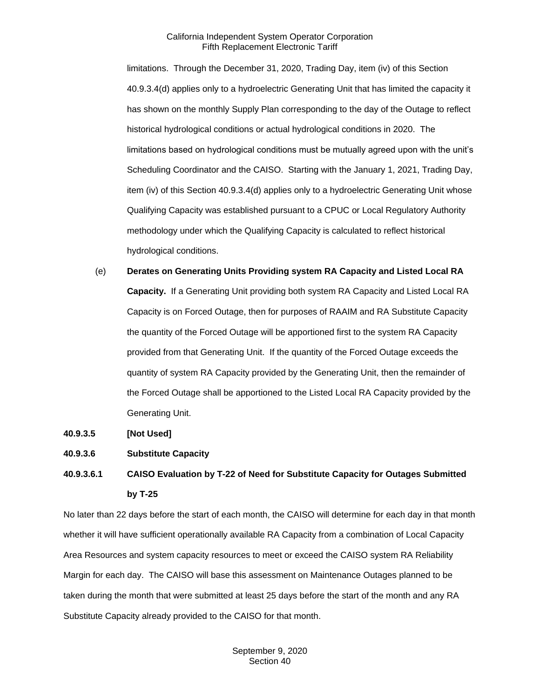limitations. Through the December 31, 2020, Trading Day, item (iv) of this Section 40.9.3.4(d) applies only to a hydroelectric Generating Unit that has limited the capacity it has shown on the monthly Supply Plan corresponding to the day of the Outage to reflect historical hydrological conditions or actual hydrological conditions in 2020. The limitations based on hydrological conditions must be mutually agreed upon with the unit's Scheduling Coordinator and the CAISO. Starting with the January 1, 2021, Trading Day, item (iv) of this Section 40.9.3.4(d) applies only to a hydroelectric Generating Unit whose Qualifying Capacity was established pursuant to a CPUC or Local Regulatory Authority methodology under which the Qualifying Capacity is calculated to reflect historical hydrological conditions.

- (e) **Derates on Generating Units Providing system RA Capacity and Listed Local RA Capacity.** If a Generating Unit providing both system RA Capacity and Listed Local RA Capacity is on Forced Outage, then for purposes of RAAIM and RA Substitute Capacity the quantity of the Forced Outage will be apportioned first to the system RA Capacity provided from that Generating Unit. If the quantity of the Forced Outage exceeds the quantity of system RA Capacity provided by the Generating Unit, then the remainder of the Forced Outage shall be apportioned to the Listed Local RA Capacity provided by the Generating Unit.
- **40.9.3.5 [Not Used]**

#### **40.9.3.6 Substitute Capacity**

**40.9.3.6.1 CAISO Evaluation by T-22 of Need for Substitute Capacity for Outages Submitted by T-25**

No later than 22 days before the start of each month, the CAISO will determine for each day in that month whether it will have sufficient operationally available RA Capacity from a combination of Local Capacity Area Resources and system capacity resources to meet or exceed the CAISO system RA Reliability Margin for each day. The CAISO will base this assessment on Maintenance Outages planned to be taken during the month that were submitted at least 25 days before the start of the month and any RA Substitute Capacity already provided to the CAISO for that month.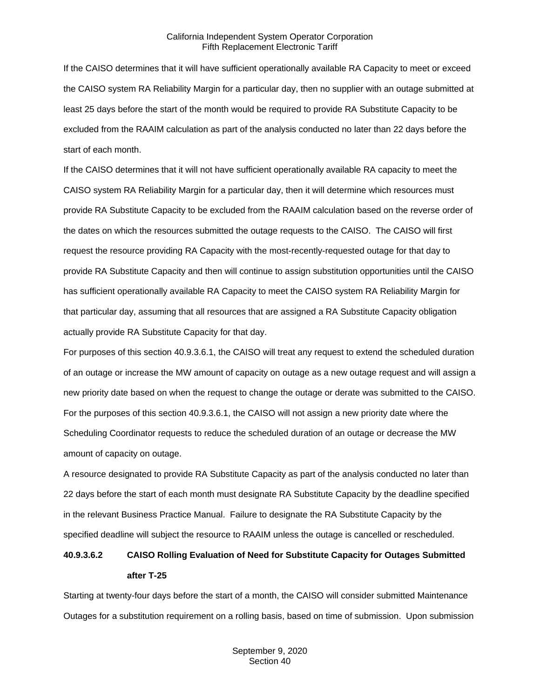If the CAISO determines that it will have sufficient operationally available RA Capacity to meet or exceed the CAISO system RA Reliability Margin for a particular day, then no supplier with an outage submitted at least 25 days before the start of the month would be required to provide RA Substitute Capacity to be excluded from the RAAIM calculation as part of the analysis conducted no later than 22 days before the start of each month.

If the CAISO determines that it will not have sufficient operationally available RA capacity to meet the CAISO system RA Reliability Margin for a particular day, then it will determine which resources must provide RA Substitute Capacity to be excluded from the RAAIM calculation based on the reverse order of the dates on which the resources submitted the outage requests to the CAISO. The CAISO will first request the resource providing RA Capacity with the most-recently-requested outage for that day to provide RA Substitute Capacity and then will continue to assign substitution opportunities until the CAISO has sufficient operationally available RA Capacity to meet the CAISO system RA Reliability Margin for that particular day, assuming that all resources that are assigned a RA Substitute Capacity obligation actually provide RA Substitute Capacity for that day.

For purposes of this section 40.9.3.6.1, the CAISO will treat any request to extend the scheduled duration of an outage or increase the MW amount of capacity on outage as a new outage request and will assign a new priority date based on when the request to change the outage or derate was submitted to the CAISO. For the purposes of this section 40.9.3.6.1, the CAISO will not assign a new priority date where the Scheduling Coordinator requests to reduce the scheduled duration of an outage or decrease the MW amount of capacity on outage.

A resource designated to provide RA Substitute Capacity as part of the analysis conducted no later than 22 days before the start of each month must designate RA Substitute Capacity by the deadline specified in the relevant Business Practice Manual. Failure to designate the RA Substitute Capacity by the specified deadline will subject the resource to RAAIM unless the outage is cancelled or rescheduled.

# **40.9.3.6.2 CAISO Rolling Evaluation of Need for Substitute Capacity for Outages Submitted after T-25**

Starting at twenty-four days before the start of a month, the CAISO will consider submitted Maintenance Outages for a substitution requirement on a rolling basis, based on time of submission. Upon submission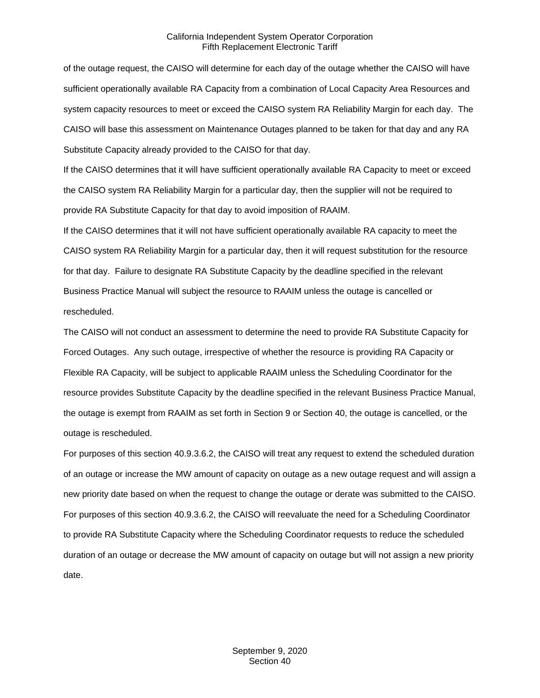of the outage request, the CAISO will determine for each day of the outage whether the CAISO will have sufficient operationally available RA Capacity from a combination of Local Capacity Area Resources and system capacity resources to meet or exceed the CAISO system RA Reliability Margin for each day. The CAISO will base this assessment on Maintenance Outages planned to be taken for that day and any RA Substitute Capacity already provided to the CAISO for that day.

If the CAISO determines that it will have sufficient operationally available RA Capacity to meet or exceed the CAISO system RA Reliability Margin for a particular day, then the supplier will not be required to provide RA Substitute Capacity for that day to avoid imposition of RAAIM.

If the CAISO determines that it will not have sufficient operationally available RA capacity to meet the CAISO system RA Reliability Margin for a particular day, then it will request substitution for the resource for that day. Failure to designate RA Substitute Capacity by the deadline specified in the relevant Business Practice Manual will subject the resource to RAAIM unless the outage is cancelled or rescheduled.

The CAISO will not conduct an assessment to determine the need to provide RA Substitute Capacity for Forced Outages. Any such outage, irrespective of whether the resource is providing RA Capacity or Flexible RA Capacity, will be subject to applicable RAAIM unless the Scheduling Coordinator for the resource provides Substitute Capacity by the deadline specified in the relevant Business Practice Manual, the outage is exempt from RAAIM as set forth in Section 9 or Section 40, the outage is cancelled, or the outage is rescheduled.

For purposes of this section 40.9.3.6.2, the CAISO will treat any request to extend the scheduled duration of an outage or increase the MW amount of capacity on outage as a new outage request and will assign a new priority date based on when the request to change the outage or derate was submitted to the CAISO. For purposes of this section 40.9.3.6.2, the CAISO will reevaluate the need for a Scheduling Coordinator to provide RA Substitute Capacity where the Scheduling Coordinator requests to reduce the scheduled duration of an outage or decrease the MW amount of capacity on outage but will not assign a new priority date.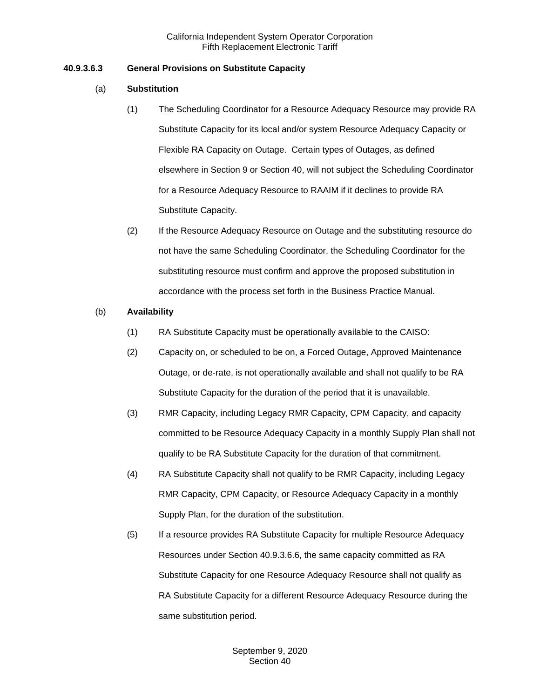# **40.9.3.6.3 General Provisions on Substitute Capacity**

## (a) **Substitution**

- (1) The Scheduling Coordinator for a Resource Adequacy Resource may provide RA Substitute Capacity for its local and/or system Resource Adequacy Capacity or Flexible RA Capacity on Outage. Certain types of Outages, as defined elsewhere in Section 9 or Section 40, will not subject the Scheduling Coordinator for a Resource Adequacy Resource to RAAIM if it declines to provide RA Substitute Capacity.
- (2) If the Resource Adequacy Resource on Outage and the substituting resource do not have the same Scheduling Coordinator, the Scheduling Coordinator for the substituting resource must confirm and approve the proposed substitution in accordance with the process set forth in the Business Practice Manual.

## (b) **Availability**

- (1) RA Substitute Capacity must be operationally available to the CAISO:
- (2) Capacity on, or scheduled to be on, a Forced Outage, Approved Maintenance Outage, or de-rate, is not operationally available and shall not qualify to be RA Substitute Capacity for the duration of the period that it is unavailable.
- (3) RMR Capacity, including Legacy RMR Capacity, CPM Capacity, and capacity committed to be Resource Adequacy Capacity in a monthly Supply Plan shall not qualify to be RA Substitute Capacity for the duration of that commitment.
- (4) RA Substitute Capacity shall not qualify to be RMR Capacity, including Legacy RMR Capacity, CPM Capacity, or Resource Adequacy Capacity in a monthly Supply Plan, for the duration of the substitution.
- (5) If a resource provides RA Substitute Capacity for multiple Resource Adequacy Resources under Section 40.9.3.6.6, the same capacity committed as RA Substitute Capacity for one Resource Adequacy Resource shall not qualify as RA Substitute Capacity for a different Resource Adequacy Resource during the same substitution period.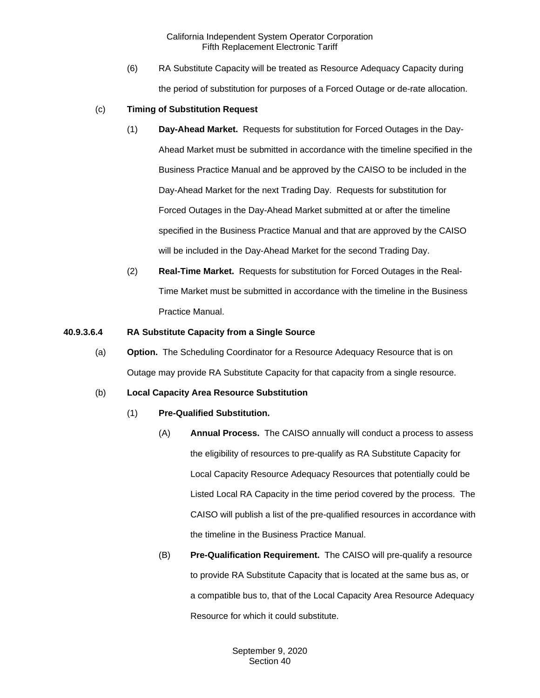(6) RA Substitute Capacity will be treated as Resource Adequacy Capacity during the period of substitution for purposes of a Forced Outage or de-rate allocation.

#### (c) **Timing of Substitution Request**

- (1) **Day-Ahead Market.** Requests for substitution for Forced Outages in the Day-Ahead Market must be submitted in accordance with the timeline specified in the Business Practice Manual and be approved by the CAISO to be included in the Day-Ahead Market for the next Trading Day. Requests for substitution for Forced Outages in the Day-Ahead Market submitted at or after the timeline specified in the Business Practice Manual and that are approved by the CAISO will be included in the Day-Ahead Market for the second Trading Day.
- (2) **Real-Time Market.** Requests for substitution for Forced Outages in the Real-Time Market must be submitted in accordance with the timeline in the Business Practice Manual.

#### **40.9.3.6.4 RA Substitute Capacity from a Single Source**

(a) **Option.** The Scheduling Coordinator for a Resource Adequacy Resource that is on Outage may provide RA Substitute Capacity for that capacity from a single resource.

#### (b) **Local Capacity Area Resource Substitution**

- (1) **Pre-Qualified Substitution.**
	- (A) **Annual Process.** The CAISO annually will conduct a process to assess the eligibility of resources to pre-qualify as RA Substitute Capacity for Local Capacity Resource Adequacy Resources that potentially could be Listed Local RA Capacity in the time period covered by the process. The CAISO will publish a list of the pre-qualified resources in accordance with the timeline in the Business Practice Manual.
	- (B) **Pre-Qualification Requirement.** The CAISO will pre-qualify a resource to provide RA Substitute Capacity that is located at the same bus as, or a compatible bus to, that of the Local Capacity Area Resource Adequacy Resource for which it could substitute.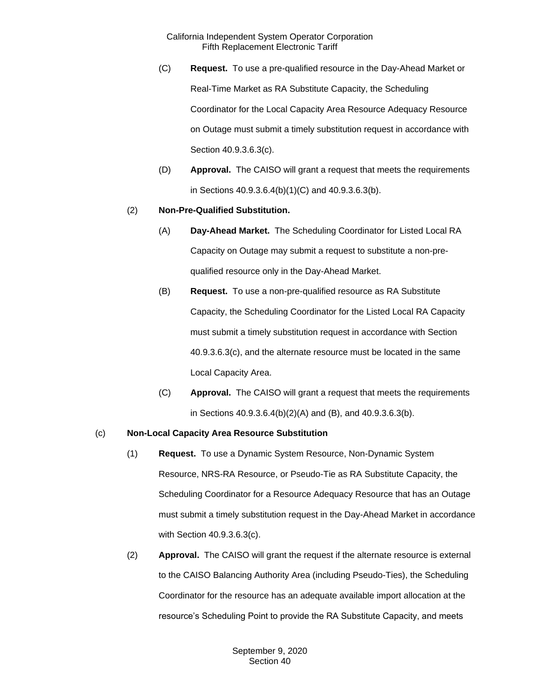- (C) **Request.** To use a pre-qualified resource in the Day-Ahead Market or Real-Time Market as RA Substitute Capacity, the Scheduling Coordinator for the Local Capacity Area Resource Adequacy Resource on Outage must submit a timely substitution request in accordance with Section 40.9.3.6.3(c).
- (D) **Approval.** The CAISO will grant a request that meets the requirements in Sections 40.9.3.6.4(b)(1)(C) and 40.9.3.6.3(b).

## (2) **Non-Pre-Qualified Substitution.**

- (A) **Day-Ahead Market.** The Scheduling Coordinator for Listed Local RA Capacity on Outage may submit a request to substitute a non-prequalified resource only in the Day-Ahead Market.
- (B) **Request.** To use a non-pre-qualified resource as RA Substitute Capacity, the Scheduling Coordinator for the Listed Local RA Capacity must submit a timely substitution request in accordance with Section 40.9.3.6.3(c), and the alternate resource must be located in the same Local Capacity Area.
- (C) **Approval.** The CAISO will grant a request that meets the requirements in Sections 40.9.3.6.4(b)(2)(A) and (B), and 40.9.3.6.3(b).

#### (c) **Non-Local Capacity Area Resource Substitution**

- (1) **Request.** To use a Dynamic System Resource, Non-Dynamic System Resource, NRS-RA Resource, or Pseudo-Tie as RA Substitute Capacity, the Scheduling Coordinator for a Resource Adequacy Resource that has an Outage must submit a timely substitution request in the Day-Ahead Market in accordance with Section 40.9.3.6.3(c).
- (2) **Approval.** The CAISO will grant the request if the alternate resource is external to the CAISO Balancing Authority Area (including Pseudo-Ties), the Scheduling Coordinator for the resource has an adequate available import allocation at the resource's Scheduling Point to provide the RA Substitute Capacity, and meets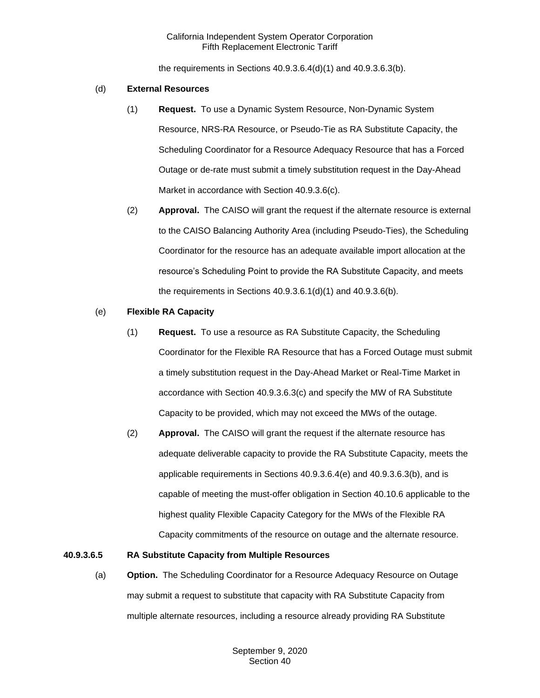the requirements in Sections 40.9.3.6.4(d)(1) and 40.9.3.6.3(b).

#### (d) **External Resources**

- (1) **Request.** To use a Dynamic System Resource, Non-Dynamic System Resource, NRS-RA Resource, or Pseudo-Tie as RA Substitute Capacity, the Scheduling Coordinator for a Resource Adequacy Resource that has a Forced Outage or de-rate must submit a timely substitution request in the Day-Ahead Market in accordance with Section 40.9.3.6(c).
- (2) **Approval.** The CAISO will grant the request if the alternate resource is external to the CAISO Balancing Authority Area (including Pseudo-Ties), the Scheduling Coordinator for the resource has an adequate available import allocation at the resource's Scheduling Point to provide the RA Substitute Capacity, and meets the requirements in Sections 40.9.3.6.1(d)(1) and 40.9.3.6(b).

## (e) **Flexible RA Capacity**

- (1) **Request.** To use a resource as RA Substitute Capacity, the Scheduling Coordinator for the Flexible RA Resource that has a Forced Outage must submit a timely substitution request in the Day-Ahead Market or Real-Time Market in accordance with Section 40.9.3.6.3(c) and specify the MW of RA Substitute Capacity to be provided, which may not exceed the MWs of the outage.
- (2) **Approval.** The CAISO will grant the request if the alternate resource has adequate deliverable capacity to provide the RA Substitute Capacity, meets the applicable requirements in Sections 40.9.3.6.4(e) and 40.9.3.6.3(b), and is capable of meeting the must-offer obligation in Section 40.10.6 applicable to the highest quality Flexible Capacity Category for the MWs of the Flexible RA Capacity commitments of the resource on outage and the alternate resource.

## **40.9.3.6.5 RA Substitute Capacity from Multiple Resources**

(a) **Option.** The Scheduling Coordinator for a Resource Adequacy Resource on Outage may submit a request to substitute that capacity with RA Substitute Capacity from multiple alternate resources, including a resource already providing RA Substitute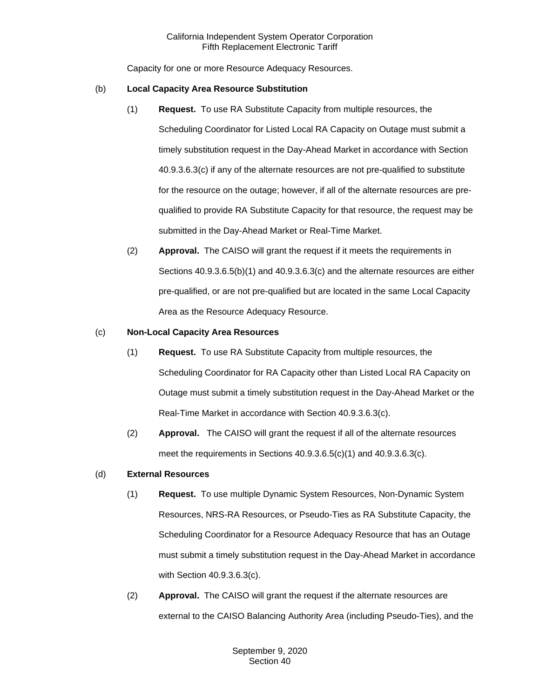Capacity for one or more Resource Adequacy Resources.

#### (b) **Local Capacity Area Resource Substitution**

- (1) **Request.** To use RA Substitute Capacity from multiple resources, the Scheduling Coordinator for Listed Local RA Capacity on Outage must submit a timely substitution request in the Day-Ahead Market in accordance with Section 40.9.3.6.3(c) if any of the alternate resources are not pre-qualified to substitute for the resource on the outage; however, if all of the alternate resources are prequalified to provide RA Substitute Capacity for that resource, the request may be submitted in the Day-Ahead Market or Real-Time Market.
- (2) **Approval.** The CAISO will grant the request if it meets the requirements in Sections 40.9.3.6.5(b)(1) and 40.9.3.6.3(c) and the alternate resources are either pre-qualified, or are not pre-qualified but are located in the same Local Capacity Area as the Resource Adequacy Resource.

## (c) **Non-Local Capacity Area Resources**

- (1) **Request.** To use RA Substitute Capacity from multiple resources, the Scheduling Coordinator for RA Capacity other than Listed Local RA Capacity on Outage must submit a timely substitution request in the Day-Ahead Market or the Real-Time Market in accordance with Section 40.9.3.6.3(c).
- (2) **Approval.** The CAISO will grant the request if all of the alternate resources meet the requirements in Sections 40.9.3.6.5(c)(1) and 40.9.3.6.3(c).

## (d) **External Resources**

- (1) **Request.** To use multiple Dynamic System Resources, Non-Dynamic System Resources, NRS-RA Resources, or Pseudo-Ties as RA Substitute Capacity, the Scheduling Coordinator for a Resource Adequacy Resource that has an Outage must submit a timely substitution request in the Day-Ahead Market in accordance with Section 40.9.3.6.3(c).
- (2) **Approval.** The CAISO will grant the request if the alternate resources are external to the CAISO Balancing Authority Area (including Pseudo-Ties), and the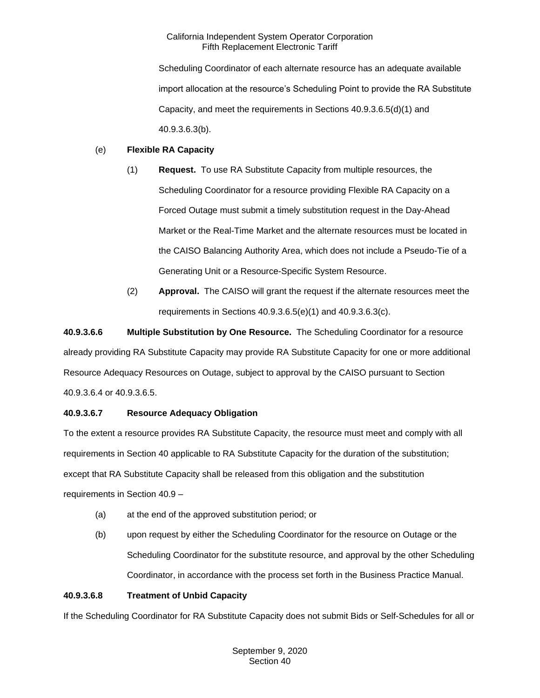Scheduling Coordinator of each alternate resource has an adequate available import allocation at the resource's Scheduling Point to provide the RA Substitute Capacity, and meet the requirements in Sections 40.9.3.6.5(d)(1) and 40.9.3.6.3(b).

# (e) **Flexible RA Capacity**

- (1) **Request.** To use RA Substitute Capacity from multiple resources, the Scheduling Coordinator for a resource providing Flexible RA Capacity on a Forced Outage must submit a timely substitution request in the Day-Ahead Market or the Real-Time Market and the alternate resources must be located in the CAISO Balancing Authority Area, which does not include a Pseudo-Tie of a Generating Unit or a Resource-Specific System Resource.
- (2) **Approval.** The CAISO will grant the request if the alternate resources meet the requirements in Sections 40.9.3.6.5(e)(1) and 40.9.3.6.3(c).

**40.9.3.6.6 Multiple Substitution by One Resource.** The Scheduling Coordinator for a resource already providing RA Substitute Capacity may provide RA Substitute Capacity for one or more additional Resource Adequacy Resources on Outage, subject to approval by the CAISO pursuant to Section 40.9.3.6.4 or 40.9.3.6.5.

# **40.9.3.6.7 Resource Adequacy Obligation**

To the extent a resource provides RA Substitute Capacity, the resource must meet and comply with all requirements in Section 40 applicable to RA Substitute Capacity for the duration of the substitution; except that RA Substitute Capacity shall be released from this obligation and the substitution requirements in Section 40.9 –

- (a) at the end of the approved substitution period; or
- (b) upon request by either the Scheduling Coordinator for the resource on Outage or the Scheduling Coordinator for the substitute resource, and approval by the other Scheduling Coordinator, in accordance with the process set forth in the Business Practice Manual.

## **40.9.3.6.8 Treatment of Unbid Capacity**

If the Scheduling Coordinator for RA Substitute Capacity does not submit Bids or Self-Schedules for all or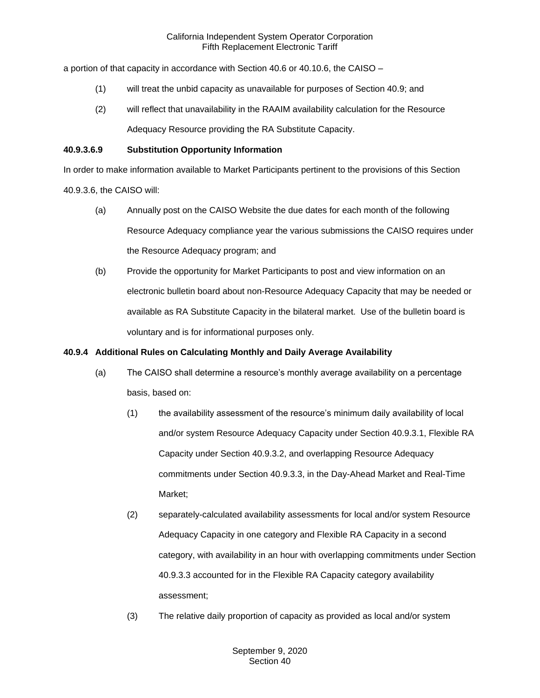a portion of that capacity in accordance with Section 40.6 or 40.10.6, the CAISO –

- (1) will treat the unbid capacity as unavailable for purposes of Section 40.9; and
- (2) will reflect that unavailability in the RAAIM availability calculation for the Resource Adequacy Resource providing the RA Substitute Capacity.

### **40.9.3.6.9 Substitution Opportunity Information**

In order to make information available to Market Participants pertinent to the provisions of this Section

40.9.3.6, the CAISO will:

- (a) Annually post on the CAISO Website the due dates for each month of the following Resource Adequacy compliance year the various submissions the CAISO requires under the Resource Adequacy program; and
- (b) Provide the opportunity for Market Participants to post and view information on an electronic bulletin board about non-Resource Adequacy Capacity that may be needed or available as RA Substitute Capacity in the bilateral market. Use of the bulletin board is voluntary and is for informational purposes only.

### **40.9.4 Additional Rules on Calculating Monthly and Daily Average Availability**

- (a) The CAISO shall determine a resource's monthly average availability on a percentage basis, based on:
	- (1) the availability assessment of the resource's minimum daily availability of local and/or system Resource Adequacy Capacity under Section 40.9.3.1, Flexible RA Capacity under Section 40.9.3.2, and overlapping Resource Adequacy commitments under Section 40.9.3.3, in the Day-Ahead Market and Real-Time Market;
	- (2) separately-calculated availability assessments for local and/or system Resource Adequacy Capacity in one category and Flexible RA Capacity in a second category, with availability in an hour with overlapping commitments under Section 40.9.3.3 accounted for in the Flexible RA Capacity category availability assessment;
	- (3) The relative daily proportion of capacity as provided as local and/or system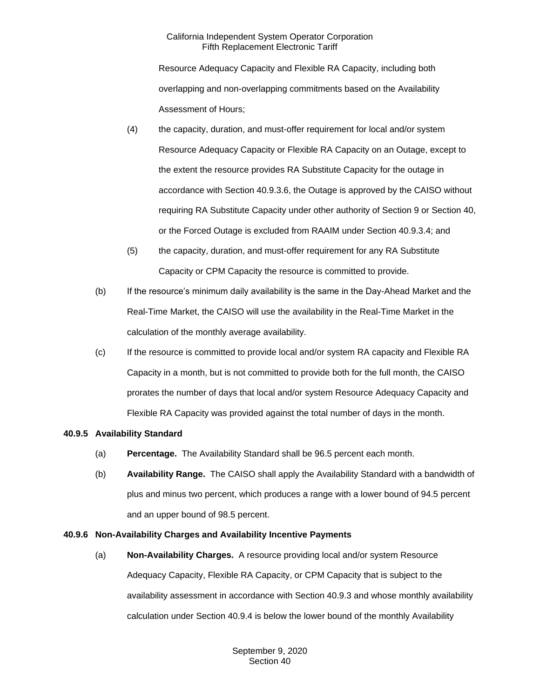Resource Adequacy Capacity and Flexible RA Capacity, including both overlapping and non-overlapping commitments based on the Availability Assessment of Hours;

- (4) the capacity, duration, and must-offer requirement for local and/or system Resource Adequacy Capacity or Flexible RA Capacity on an Outage, except to the extent the resource provides RA Substitute Capacity for the outage in accordance with Section 40.9.3.6, the Outage is approved by the CAISO without requiring RA Substitute Capacity under other authority of Section 9 or Section 40, or the Forced Outage is excluded from RAAIM under Section 40.9.3.4; and
- (5) the capacity, duration, and must-offer requirement for any RA Substitute Capacity or CPM Capacity the resource is committed to provide.
- (b) If the resource's minimum daily availability is the same in the Day-Ahead Market and the Real-Time Market, the CAISO will use the availability in the Real-Time Market in the calculation of the monthly average availability.
- (c) If the resource is committed to provide local and/or system RA capacity and Flexible RA Capacity in a month, but is not committed to provide both for the full month, the CAISO prorates the number of days that local and/or system Resource Adequacy Capacity and Flexible RA Capacity was provided against the total number of days in the month.

## **40.9.5 Availability Standard**

- (a) **Percentage.** The Availability Standard shall be 96.5 percent each month.
- (b) **Availability Range.** The CAISO shall apply the Availability Standard with a bandwidth of plus and minus two percent, which produces a range with a lower bound of 94.5 percent and an upper bound of 98.5 percent.

# **40.9.6 Non-Availability Charges and Availability Incentive Payments**

(a) **Non-Availability Charges.** A resource providing local and/or system Resource Adequacy Capacity, Flexible RA Capacity, or CPM Capacity that is subject to the availability assessment in accordance with Section 40.9.3 and whose monthly availability calculation under Section 40.9.4 is below the lower bound of the monthly Availability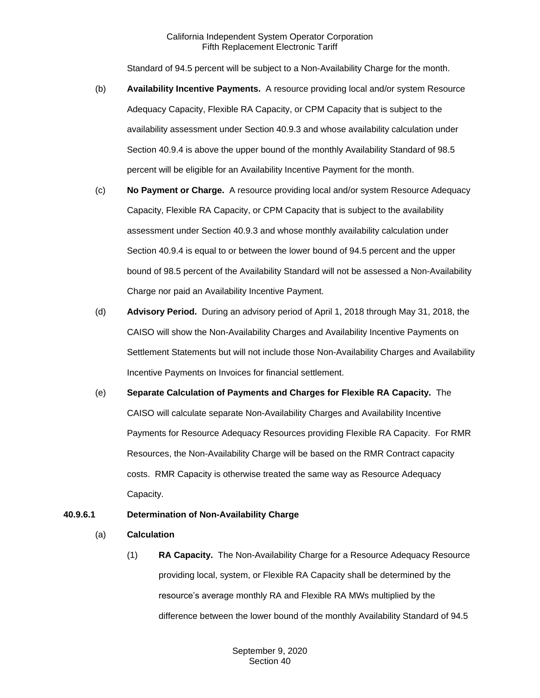Standard of 94.5 percent will be subject to a Non-Availability Charge for the month.

- (b) **Availability Incentive Payments.** A resource providing local and/or system Resource Adequacy Capacity, Flexible RA Capacity, or CPM Capacity that is subject to the availability assessment under Section 40.9.3 and whose availability calculation under Section 40.9.4 is above the upper bound of the monthly Availability Standard of 98.5 percent will be eligible for an Availability Incentive Payment for the month.
- (c) **No Payment or Charge.** A resource providing local and/or system Resource Adequacy Capacity, Flexible RA Capacity, or CPM Capacity that is subject to the availability assessment under Section 40.9.3 and whose monthly availability calculation under Section 40.9.4 is equal to or between the lower bound of 94.5 percent and the upper bound of 98.5 percent of the Availability Standard will not be assessed a Non-Availability Charge nor paid an Availability Incentive Payment.
- (d) **Advisory Period.** During an advisory period of April 1, 2018 through May 31, 2018, the CAISO will show the Non-Availability Charges and Availability Incentive Payments on Settlement Statements but will not include those Non-Availability Charges and Availability Incentive Payments on Invoices for financial settlement.
- (e) **Separate Calculation of Payments and Charges for Flexible RA Capacity.** The CAISO will calculate separate Non-Availability Charges and Availability Incentive Payments for Resource Adequacy Resources providing Flexible RA Capacity. For RMR Resources, the Non-Availability Charge will be based on the RMR Contract capacity costs. RMR Capacity is otherwise treated the same way as Resource Adequacy Capacity.

## **40.9.6.1 Determination of Non-Availability Charge**

#### (a) **Calculation**

(1) **RA Capacity.** The Non-Availability Charge for a Resource Adequacy Resource providing local, system, or Flexible RA Capacity shall be determined by the resource's average monthly RA and Flexible RA MWs multiplied by the difference between the lower bound of the monthly Availability Standard of 94.5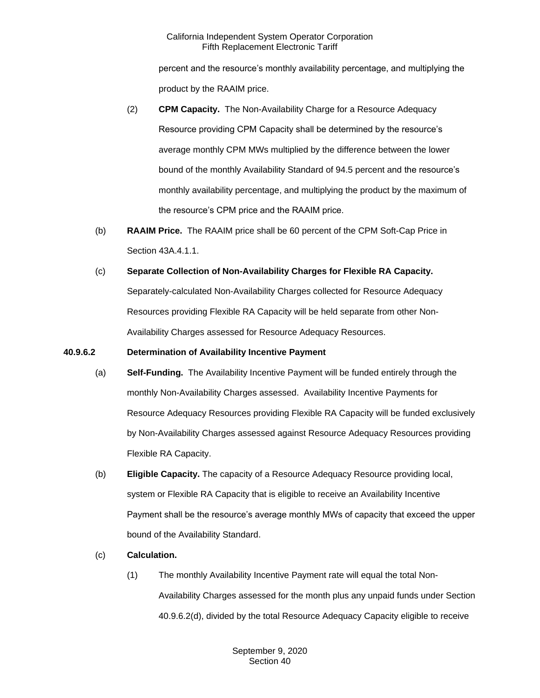percent and the resource's monthly availability percentage, and multiplying the product by the RAAIM price.

- (2) **CPM Capacity.** The Non-Availability Charge for a Resource Adequacy Resource providing CPM Capacity shall be determined by the resource's average monthly CPM MWs multiplied by the difference between the lower bound of the monthly Availability Standard of 94.5 percent and the resource's monthly availability percentage, and multiplying the product by the maximum of the resource's CPM price and the RAAIM price.
- (b) **RAAIM Price.** The RAAIM price shall be 60 percent of the CPM Soft-Cap Price in Section 43A.4.1.1.
- (c) **Separate Collection of Non-Availability Charges for Flexible RA Capacity.**  Separately-calculated Non-Availability Charges collected for Resource Adequacy Resources providing Flexible RA Capacity will be held separate from other Non-Availability Charges assessed for Resource Adequacy Resources.

## **40.9.6.2 Determination of Availability Incentive Payment**

- (a) **Self-Funding.** The Availability Incentive Payment will be funded entirely through the monthly Non-Availability Charges assessed. Availability Incentive Payments for Resource Adequacy Resources providing Flexible RA Capacity will be funded exclusively by Non-Availability Charges assessed against Resource Adequacy Resources providing Flexible RA Capacity.
- (b) **Eligible Capacity.** The capacity of a Resource Adequacy Resource providing local, system or Flexible RA Capacity that is eligible to receive an Availability Incentive Payment shall be the resource's average monthly MWs of capacity that exceed the upper bound of the Availability Standard.
- (c) **Calculation.** 
	- (1) The monthly Availability Incentive Payment rate will equal the total Non-Availability Charges assessed for the month plus any unpaid funds under Section 40.9.6.2(d), divided by the total Resource Adequacy Capacity eligible to receive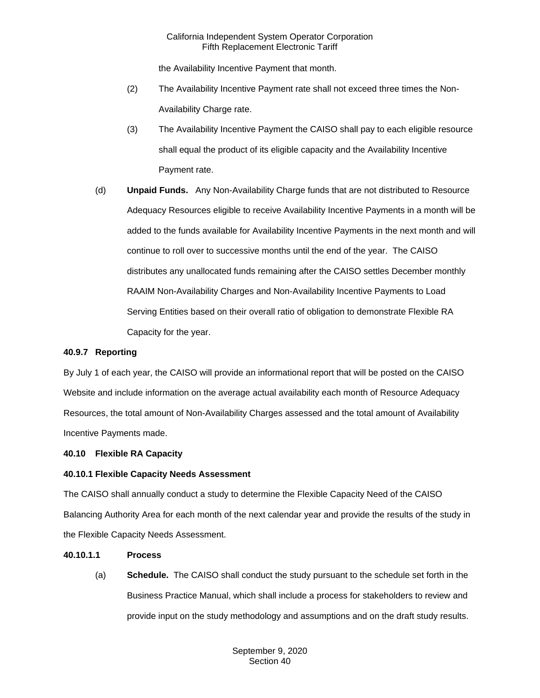the Availability Incentive Payment that month.

- (2) The Availability Incentive Payment rate shall not exceed three times the Non-Availability Charge rate.
- (3) The Availability Incentive Payment the CAISO shall pay to each eligible resource shall equal the product of its eligible capacity and the Availability Incentive Payment rate.
- (d) **Unpaid Funds.** Any Non-Availability Charge funds that are not distributed to Resource Adequacy Resources eligible to receive Availability Incentive Payments in a month will be added to the funds available for Availability Incentive Payments in the next month and will continue to roll over to successive months until the end of the year. The CAISO distributes any unallocated funds remaining after the CAISO settles December monthly RAAIM Non-Availability Charges and Non-Availability Incentive Payments to Load Serving Entities based on their overall ratio of obligation to demonstrate Flexible RA Capacity for the year.

## **40.9.7 Reporting**

By July 1 of each year, the CAISO will provide an informational report that will be posted on the CAISO Website and include information on the average actual availability each month of Resource Adequacy Resources, the total amount of Non-Availability Charges assessed and the total amount of Availability Incentive Payments made.

## **40.10 Flexible RA Capacity**

#### **40.10.1 Flexible Capacity Needs Assessment**

The CAISO shall annually conduct a study to determine the Flexible Capacity Need of the CAISO Balancing Authority Area for each month of the next calendar year and provide the results of the study in the Flexible Capacity Needs Assessment.

## **40.10.1.1 Process**

(a) **Schedule.** The CAISO shall conduct the study pursuant to the schedule set forth in the Business Practice Manual, which shall include a process for stakeholders to review and provide input on the study methodology and assumptions and on the draft study results.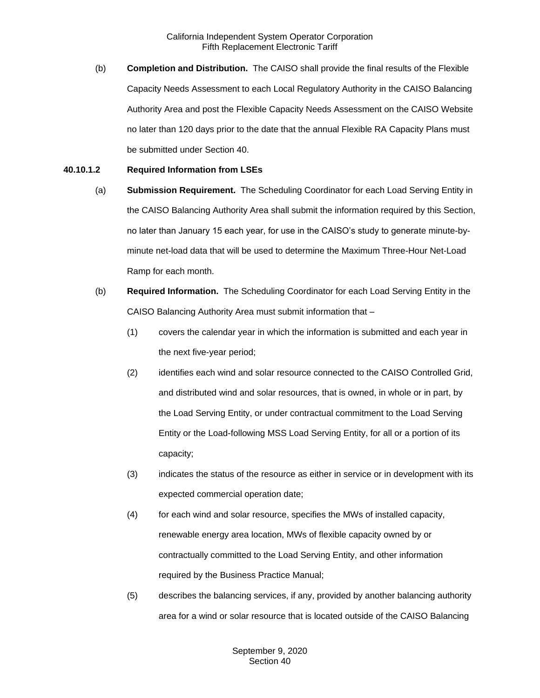(b) **Completion and Distribution.** The CAISO shall provide the final results of the Flexible Capacity Needs Assessment to each Local Regulatory Authority in the CAISO Balancing Authority Area and post the Flexible Capacity Needs Assessment on the CAISO Website no later than 120 days prior to the date that the annual Flexible RA Capacity Plans must be submitted under Section 40.

### **40.10.1.2 Required Information from LSEs**

- (a) **Submission Requirement.** The Scheduling Coordinator for each Load Serving Entity in the CAISO Balancing Authority Area shall submit the information required by this Section, no later than January 15 each year, for use in the CAISO's study to generate minute-byminute net-load data that will be used to determine the Maximum Three-Hour Net-Load Ramp for each month.
- (b) **Required Information.** The Scheduling Coordinator for each Load Serving Entity in the CAISO Balancing Authority Area must submit information that –
	- (1) covers the calendar year in which the information is submitted and each year in the next five-year period;
	- (2) identifies each wind and solar resource connected to the CAISO Controlled Grid, and distributed wind and solar resources, that is owned, in whole or in part, by the Load Serving Entity, or under contractual commitment to the Load Serving Entity or the Load-following MSS Load Serving Entity, for all or a portion of its capacity;
	- (3) indicates the status of the resource as either in service or in development with its expected commercial operation date;
	- (4) for each wind and solar resource, specifies the MWs of installed capacity, renewable energy area location, MWs of flexible capacity owned by or contractually committed to the Load Serving Entity, and other information required by the Business Practice Manual;
	- (5) describes the balancing services, if any, provided by another balancing authority area for a wind or solar resource that is located outside of the CAISO Balancing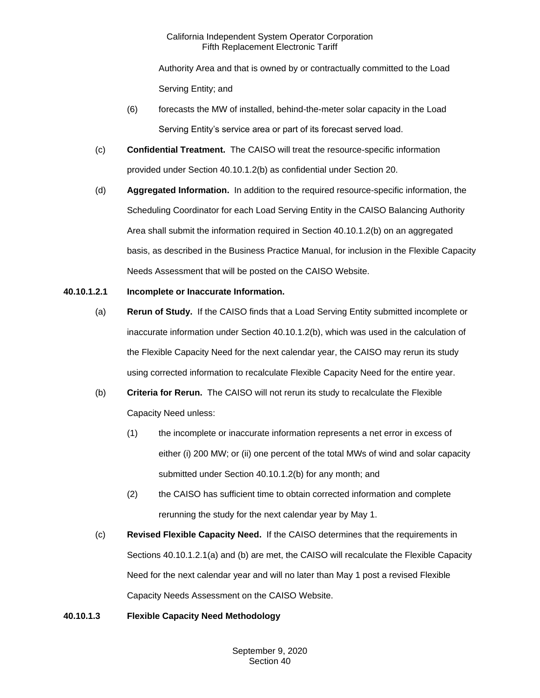Authority Area and that is owned by or contractually committed to the Load Serving Entity; and

- (6) forecasts the MW of installed, behind-the-meter solar capacity in the Load Serving Entity's service area or part of its forecast served load.
- (c) **Confidential Treatment.** The CAISO will treat the resource-specific information provided under Section 40.10.1.2(b) as confidential under Section 20.
- (d) **Aggregated Information.** In addition to the required resource-specific information, the Scheduling Coordinator for each Load Serving Entity in the CAISO Balancing Authority Area shall submit the information required in Section 40.10.1.2(b) on an aggregated basis, as described in the Business Practice Manual, for inclusion in the Flexible Capacity Needs Assessment that will be posted on the CAISO Website.

# **40.10.1.2.1 Incomplete or Inaccurate Information.**

- (a) **Rerun of Study.** If the CAISO finds that a Load Serving Entity submitted incomplete or inaccurate information under Section 40.10.1.2(b), which was used in the calculation of the Flexible Capacity Need for the next calendar year, the CAISO may rerun its study using corrected information to recalculate Flexible Capacity Need for the entire year.
- (b) **Criteria for Rerun.** The CAISO will not rerun its study to recalculate the Flexible Capacity Need unless:
	- (1) the incomplete or inaccurate information represents a net error in excess of either (i) 200 MW; or (ii) one percent of the total MWs of wind and solar capacity submitted under Section 40.10.1.2(b) for any month; and
	- (2) the CAISO has sufficient time to obtain corrected information and complete rerunning the study for the next calendar year by May 1.
- (c) **Revised Flexible Capacity Need.** If the CAISO determines that the requirements in Sections 40.10.1.2.1(a) and (b) are met, the CAISO will recalculate the Flexible Capacity Need for the next calendar year and will no later than May 1 post a revised Flexible Capacity Needs Assessment on the CAISO Website.

# **40.10.1.3 Flexible Capacity Need Methodology**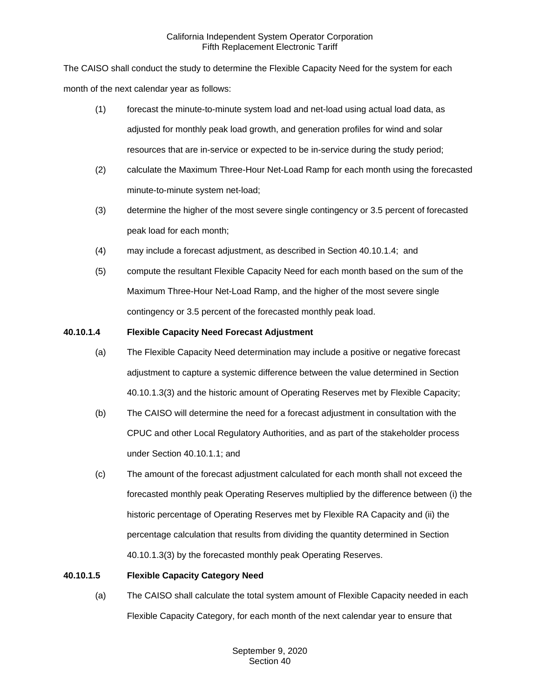The CAISO shall conduct the study to determine the Flexible Capacity Need for the system for each month of the next calendar year as follows:

- (1) forecast the minute-to-minute system load and net-load using actual load data, as adjusted for monthly peak load growth, and generation profiles for wind and solar resources that are in-service or expected to be in-service during the study period;
- (2) calculate the Maximum Three-Hour Net-Load Ramp for each month using the forecasted minute-to-minute system net-load;
- (3) determine the higher of the most severe single contingency or 3.5 percent of forecasted peak load for each month;
- (4) may include a forecast adjustment, as described in Section 40.10.1.4; and
- (5) compute the resultant Flexible Capacity Need for each month based on the sum of the Maximum Three-Hour Net-Load Ramp, and the higher of the most severe single contingency or 3.5 percent of the forecasted monthly peak load.

# **40.10.1.4 Flexible Capacity Need Forecast Adjustment**

- (a) The Flexible Capacity Need determination may include a positive or negative forecast adjustment to capture a systemic difference between the value determined in Section 40.10.1.3(3) and the historic amount of Operating Reserves met by Flexible Capacity;
- (b) The CAISO will determine the need for a forecast adjustment in consultation with the CPUC and other Local Regulatory Authorities, and as part of the stakeholder process under Section 40.10.1.1; and
- (c) The amount of the forecast adjustment calculated for each month shall not exceed the forecasted monthly peak Operating Reserves multiplied by the difference between (i) the historic percentage of Operating Reserves met by Flexible RA Capacity and (ii) the percentage calculation that results from dividing the quantity determined in Section 40.10.1.3(3) by the forecasted monthly peak Operating Reserves.

# **40.10.1.5 Flexible Capacity Category Need**

(a) The CAISO shall calculate the total system amount of Flexible Capacity needed in each Flexible Capacity Category, for each month of the next calendar year to ensure that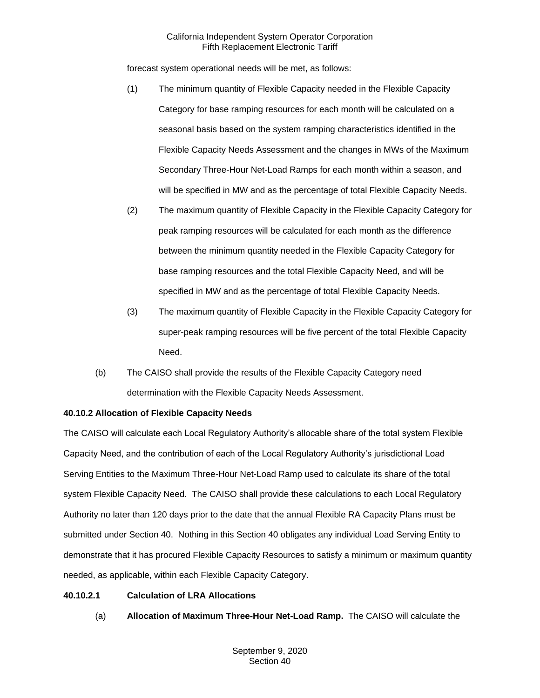forecast system operational needs will be met, as follows:

- (1) The minimum quantity of Flexible Capacity needed in the Flexible Capacity Category for base ramping resources for each month will be calculated on a seasonal basis based on the system ramping characteristics identified in the Flexible Capacity Needs Assessment and the changes in MWs of the Maximum Secondary Three-Hour Net-Load Ramps for each month within a season, and will be specified in MW and as the percentage of total Flexible Capacity Needs.
- (2) The maximum quantity of Flexible Capacity in the Flexible Capacity Category for peak ramping resources will be calculated for each month as the difference between the minimum quantity needed in the Flexible Capacity Category for base ramping resources and the total Flexible Capacity Need, and will be specified in MW and as the percentage of total Flexible Capacity Needs.
- (3) The maximum quantity of Flexible Capacity in the Flexible Capacity Category for super-peak ramping resources will be five percent of the total Flexible Capacity Need.
- (b) The CAISO shall provide the results of the Flexible Capacity Category need determination with the Flexible Capacity Needs Assessment.

## **40.10.2 Allocation of Flexible Capacity Needs**

The CAISO will calculate each Local Regulatory Authority's allocable share of the total system Flexible Capacity Need, and the contribution of each of the Local Regulatory Authority's jurisdictional Load Serving Entities to the Maximum Three-Hour Net-Load Ramp used to calculate its share of the total system Flexible Capacity Need. The CAISO shall provide these calculations to each Local Regulatory Authority no later than 120 days prior to the date that the annual Flexible RA Capacity Plans must be submitted under Section 40. Nothing in this Section 40 obligates any individual Load Serving Entity to demonstrate that it has procured Flexible Capacity Resources to satisfy a minimum or maximum quantity needed, as applicable, within each Flexible Capacity Category.

## **40.10.2.1 Calculation of LRA Allocations**

(a) **Allocation of Maximum Three-Hour Net-Load Ramp.** The CAISO will calculate the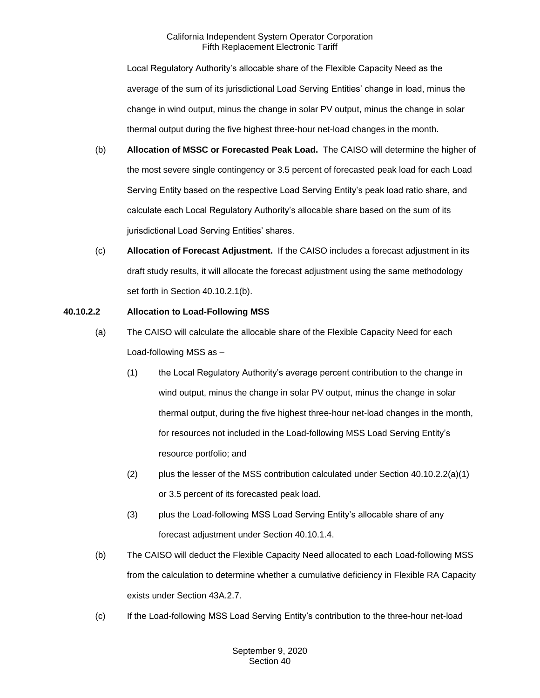Local Regulatory Authority's allocable share of the Flexible Capacity Need as the average of the sum of its jurisdictional Load Serving Entities' change in load, minus the change in wind output, minus the change in solar PV output, minus the change in solar thermal output during the five highest three-hour net-load changes in the month.

- (b) **Allocation of MSSC or Forecasted Peak Load.** The CAISO will determine the higher of the most severe single contingency or 3.5 percent of forecasted peak load for each Load Serving Entity based on the respective Load Serving Entity's peak load ratio share, and calculate each Local Regulatory Authority's allocable share based on the sum of its jurisdictional Load Serving Entities' shares.
- (c) **Allocation of Forecast Adjustment.** If the CAISO includes a forecast adjustment in its draft study results, it will allocate the forecast adjustment using the same methodology set forth in Section 40.10.2.1(b).

## **40.10.2.2 Allocation to Load-Following MSS**

- (a) The CAISO will calculate the allocable share of the Flexible Capacity Need for each Load-following MSS as –
	- (1) the Local Regulatory Authority's average percent contribution to the change in wind output, minus the change in solar PV output, minus the change in solar thermal output, during the five highest three-hour net-load changes in the month, for resources not included in the Load-following MSS Load Serving Entity's resource portfolio; and
	- (2) plus the lesser of the MSS contribution calculated under Section  $40.10.2.2(a)(1)$ or 3.5 percent of its forecasted peak load.
	- (3) plus the Load-following MSS Load Serving Entity's allocable share of any forecast adjustment under Section 40.10.1.4.
- (b) The CAISO will deduct the Flexible Capacity Need allocated to each Load-following MSS from the calculation to determine whether a cumulative deficiency in Flexible RA Capacity exists under Section 43A.2.7.
- (c) If the Load-following MSS Load Serving Entity's contribution to the three-hour net-load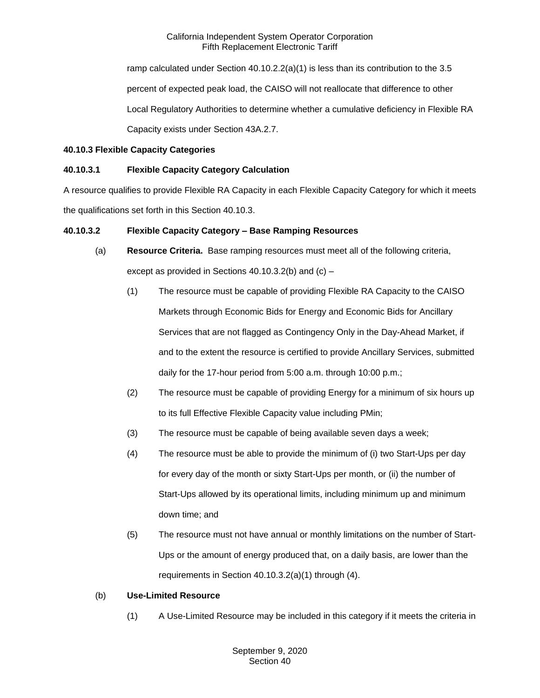ramp calculated under Section 40.10.2.2(a)(1) is less than its contribution to the 3.5 percent of expected peak load, the CAISO will not reallocate that difference to other Local Regulatory Authorities to determine whether a cumulative deficiency in Flexible RA Capacity exists under Section 43A.2.7.

# **40.10.3 Flexible Capacity Categories**

# **40.10.3.1 Flexible Capacity Category Calculation**

A resource qualifies to provide Flexible RA Capacity in each Flexible Capacity Category for which it meets the qualifications set forth in this Section 40.10.3.

## **40.10.3.2 Flexible Capacity Category – Base Ramping Resources**

- (a) **Resource Criteria.** Base ramping resources must meet all of the following criteria, except as provided in Sections 40.10.3.2(b) and (c) –
	- (1) The resource must be capable of providing Flexible RA Capacity to the CAISO Markets through Economic Bids for Energy and Economic Bids for Ancillary Services that are not flagged as Contingency Only in the Day-Ahead Market, if and to the extent the resource is certified to provide Ancillary Services, submitted daily for the 17-hour period from 5:00 a.m. through 10:00 p.m.;
	- (2) The resource must be capable of providing Energy for a minimum of six hours up to its full Effective Flexible Capacity value including PMin;
	- (3) The resource must be capable of being available seven days a week;
	- (4) The resource must be able to provide the minimum of (i) two Start-Ups per day for every day of the month or sixty Start-Ups per month, or (ii) the number of Start-Ups allowed by its operational limits, including minimum up and minimum down time; and
	- (5) The resource must not have annual or monthly limitations on the number of Start-Ups or the amount of energy produced that, on a daily basis, are lower than the requirements in Section 40.10.3.2(a)(1) through (4).

## (b) **Use-Limited Resource**

(1) A Use-Limited Resource may be included in this category if it meets the criteria in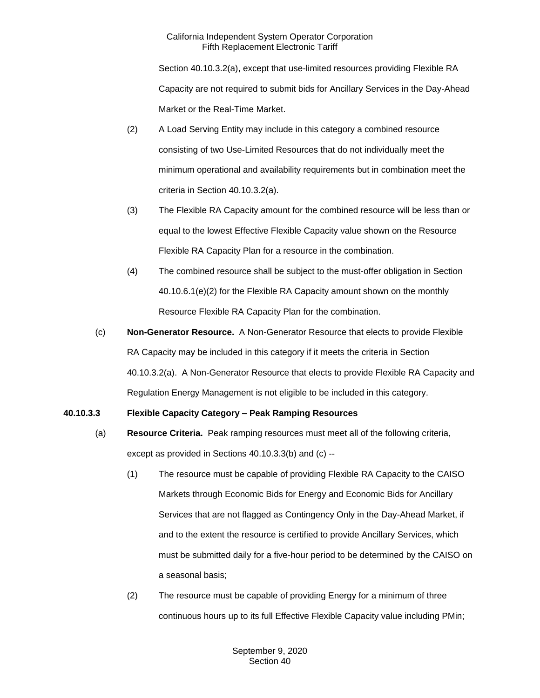Section 40.10.3.2(a), except that use-limited resources providing Flexible RA Capacity are not required to submit bids for Ancillary Services in the Day-Ahead Market or the Real-Time Market.

- (2) A Load Serving Entity may include in this category a combined resource consisting of two Use-Limited Resources that do not individually meet the minimum operational and availability requirements but in combination meet the criteria in Section 40.10.3.2(a).
- (3) The Flexible RA Capacity amount for the combined resource will be less than or equal to the lowest Effective Flexible Capacity value shown on the Resource Flexible RA Capacity Plan for a resource in the combination.
- (4) The combined resource shall be subject to the must-offer obligation in Section 40.10.6.1(e)(2) for the Flexible RA Capacity amount shown on the monthly Resource Flexible RA Capacity Plan for the combination.
- (c) **Non-Generator Resource.** A Non-Generator Resource that elects to provide Flexible RA Capacity may be included in this category if it meets the criteria in Section 40.10.3.2(a). A Non-Generator Resource that elects to provide Flexible RA Capacity and Regulation Energy Management is not eligible to be included in this category.

# **40.10.3.3 Flexible Capacity Category – Peak Ramping Resources**

- (a) **Resource Criteria.** Peak ramping resources must meet all of the following criteria, except as provided in Sections 40.10.3.3(b) and (c) --
	- (1) The resource must be capable of providing Flexible RA Capacity to the CAISO Markets through Economic Bids for Energy and Economic Bids for Ancillary Services that are not flagged as Contingency Only in the Day-Ahead Market, if and to the extent the resource is certified to provide Ancillary Services, which must be submitted daily for a five-hour period to be determined by the CAISO on a seasonal basis;
	- (2) The resource must be capable of providing Energy for a minimum of three continuous hours up to its full Effective Flexible Capacity value including PMin;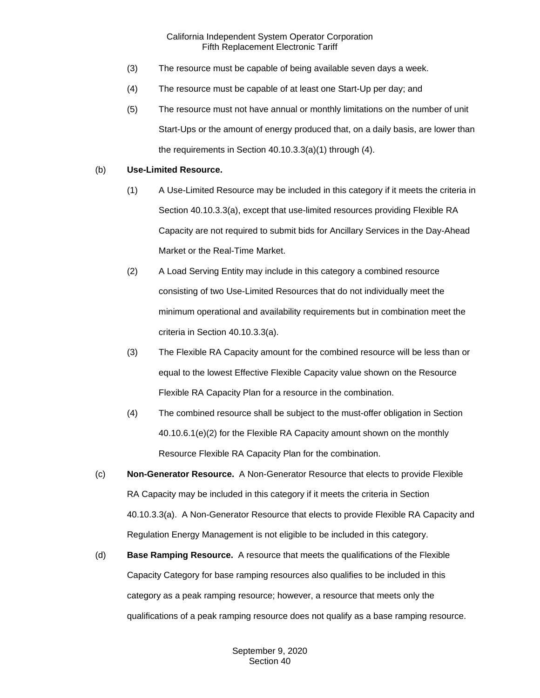- (3) The resource must be capable of being available seven days a week.
- (4) The resource must be capable of at least one Start-Up per day; and
- (5) The resource must not have annual or monthly limitations on the number of unit Start-Ups or the amount of energy produced that, on a daily basis, are lower than the requirements in Section 40.10.3.3(a)(1) through (4).

# (b) **Use-Limited Resource.**

- (1) A Use-Limited Resource may be included in this category if it meets the criteria in Section 40.10.3.3(a), except that use-limited resources providing Flexible RA Capacity are not required to submit bids for Ancillary Services in the Day-Ahead Market or the Real-Time Market.
- (2) A Load Serving Entity may include in this category a combined resource consisting of two Use-Limited Resources that do not individually meet the minimum operational and availability requirements but in combination meet the criteria in Section 40.10.3.3(a).
- (3) The Flexible RA Capacity amount for the combined resource will be less than or equal to the lowest Effective Flexible Capacity value shown on the Resource Flexible RA Capacity Plan for a resource in the combination.
- (4) The combined resource shall be subject to the must-offer obligation in Section 40.10.6.1(e)(2) for the Flexible RA Capacity amount shown on the monthly Resource Flexible RA Capacity Plan for the combination.
- (c) **Non-Generator Resource.** A Non-Generator Resource that elects to provide Flexible RA Capacity may be included in this category if it meets the criteria in Section 40.10.3.3(a). A Non-Generator Resource that elects to provide Flexible RA Capacity and Regulation Energy Management is not eligible to be included in this category.
- (d) **Base Ramping Resource.** A resource that meets the qualifications of the Flexible Capacity Category for base ramping resources also qualifies to be included in this category as a peak ramping resource; however, a resource that meets only the qualifications of a peak ramping resource does not qualify as a base ramping resource.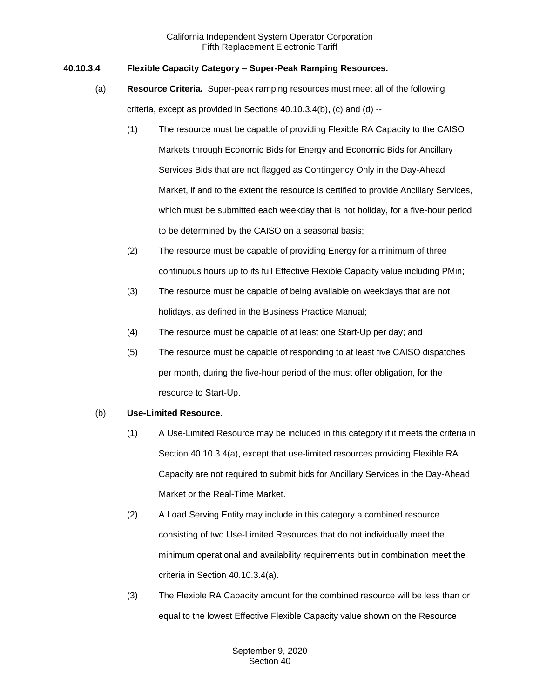# **40.10.3.4 Flexible Capacity Category – Super-Peak Ramping Resources.**

- (a) **Resource Criteria.** Super-peak ramping resources must meet all of the following criteria, except as provided in Sections 40.10.3.4(b), (c) and (d) --
	- (1) The resource must be capable of providing Flexible RA Capacity to the CAISO Markets through Economic Bids for Energy and Economic Bids for Ancillary Services Bids that are not flagged as Contingency Only in the Day-Ahead Market, if and to the extent the resource is certified to provide Ancillary Services, which must be submitted each weekday that is not holiday, for a five-hour period to be determined by the CAISO on a seasonal basis;
	- (2) The resource must be capable of providing Energy for a minimum of three continuous hours up to its full Effective Flexible Capacity value including PMin;
	- (3) The resource must be capable of being available on weekdays that are not holidays, as defined in the Business Practice Manual;
	- (4) The resource must be capable of at least one Start-Up per day; and
	- (5) The resource must be capable of responding to at least five CAISO dispatches per month, during the five-hour period of the must offer obligation, for the resource to Start-Up.

## (b) **Use-Limited Resource.**

- (1) A Use-Limited Resource may be included in this category if it meets the criteria in Section 40.10.3.4(a), except that use-limited resources providing Flexible RA Capacity are not required to submit bids for Ancillary Services in the Day-Ahead Market or the Real-Time Market.
- (2) A Load Serving Entity may include in this category a combined resource consisting of two Use-Limited Resources that do not individually meet the minimum operational and availability requirements but in combination meet the criteria in Section 40.10.3.4(a).
- (3) The Flexible RA Capacity amount for the combined resource will be less than or equal to the lowest Effective Flexible Capacity value shown on the Resource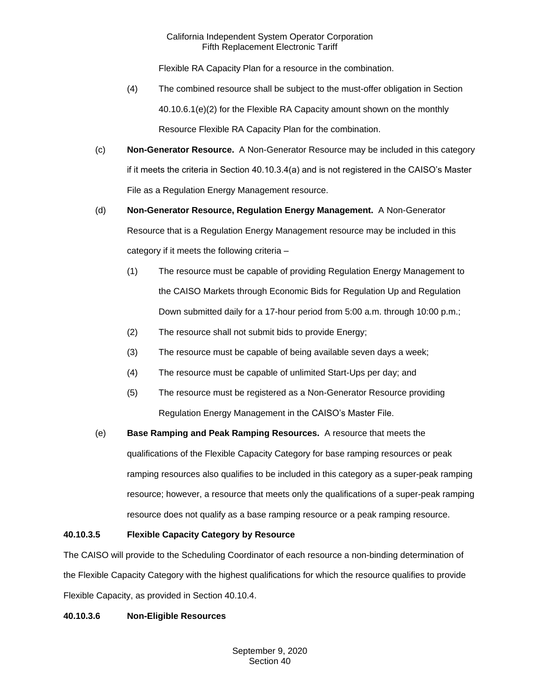Flexible RA Capacity Plan for a resource in the combination.

- (4) The combined resource shall be subject to the must-offer obligation in Section 40.10.6.1(e)(2) for the Flexible RA Capacity amount shown on the monthly Resource Flexible RA Capacity Plan for the combination.
- (c) **Non-Generator Resource.** A Non-Generator Resource may be included in this category if it meets the criteria in Section 40.10.3.4(a) and is not registered in the CAISO's Master File as a Regulation Energy Management resource.
- (d) **Non-Generator Resource, Regulation Energy Management.** A Non-Generator Resource that is a Regulation Energy Management resource may be included in this category if it meets the following criteria –
	- (1) The resource must be capable of providing Regulation Energy Management to the CAISO Markets through Economic Bids for Regulation Up and Regulation Down submitted daily for a 17-hour period from 5:00 a.m. through 10:00 p.m.;
	- (2) The resource shall not submit bids to provide Energy;
	- (3) The resource must be capable of being available seven days a week;
	- (4) The resource must be capable of unlimited Start-Ups per day; and
	- (5) The resource must be registered as a Non-Generator Resource providing Regulation Energy Management in the CAISO's Master File.
- (e) **Base Ramping and Peak Ramping Resources.** A resource that meets the qualifications of the Flexible Capacity Category for base ramping resources or peak ramping resources also qualifies to be included in this category as a super-peak ramping resource; however, a resource that meets only the qualifications of a super-peak ramping resource does not qualify as a base ramping resource or a peak ramping resource.

## **40.10.3.5 Flexible Capacity Category by Resource**

The CAISO will provide to the Scheduling Coordinator of each resource a non-binding determination of the Flexible Capacity Category with the highest qualifications for which the resource qualifies to provide Flexible Capacity, as provided in Section 40.10.4.

## **40.10.3.6 Non-Eligible Resources**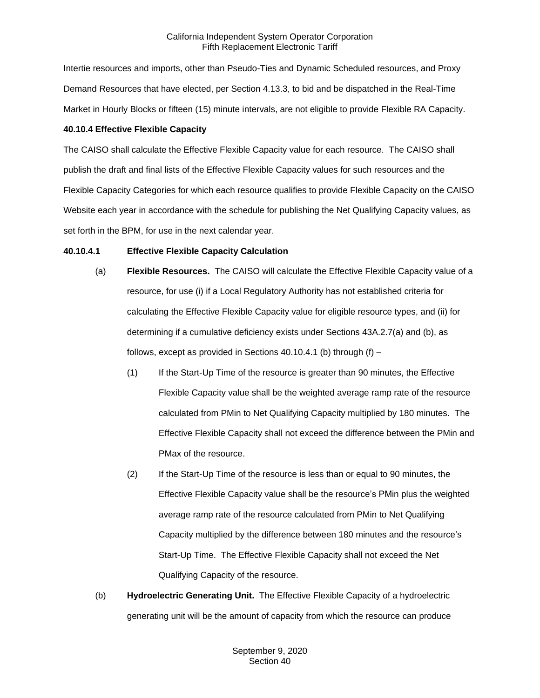Intertie resources and imports, other than Pseudo-Ties and Dynamic Scheduled resources, and Proxy Demand Resources that have elected, per Section 4.13.3, to bid and be dispatched in the Real-Time Market in Hourly Blocks or fifteen (15) minute intervals, are not eligible to provide Flexible RA Capacity.

# **40.10.4 Effective Flexible Capacity**

The CAISO shall calculate the Effective Flexible Capacity value for each resource. The CAISO shall publish the draft and final lists of the Effective Flexible Capacity values for such resources and the Flexible Capacity Categories for which each resource qualifies to provide Flexible Capacity on the CAISO Website each year in accordance with the schedule for publishing the Net Qualifying Capacity values, as set forth in the BPM, for use in the next calendar year.

# **40.10.4.1 Effective Flexible Capacity Calculation**

- (a) **Flexible Resources.** The CAISO will calculate the Effective Flexible Capacity value of a resource, for use (i) if a Local Regulatory Authority has not established criteria for calculating the Effective Flexible Capacity value for eligible resource types, and (ii) for determining if a cumulative deficiency exists under Sections 43A.2.7(a) and (b), as follows, except as provided in Sections 40.10.4.1 (b) through  $(f)$  –
	- (1) If the Start-Up Time of the resource is greater than 90 minutes, the Effective Flexible Capacity value shall be the weighted average ramp rate of the resource calculated from PMin to Net Qualifying Capacity multiplied by 180 minutes. The Effective Flexible Capacity shall not exceed the difference between the PMin and PMax of the resource.
	- (2) If the Start-Up Time of the resource is less than or equal to 90 minutes, the Effective Flexible Capacity value shall be the resource's PMin plus the weighted average ramp rate of the resource calculated from PMin to Net Qualifying Capacity multiplied by the difference between 180 minutes and the resource's Start-Up Time. The Effective Flexible Capacity shall not exceed the Net Qualifying Capacity of the resource.
- (b) **Hydroelectric Generating Unit.** The Effective Flexible Capacity of a hydroelectric generating unit will be the amount of capacity from which the resource can produce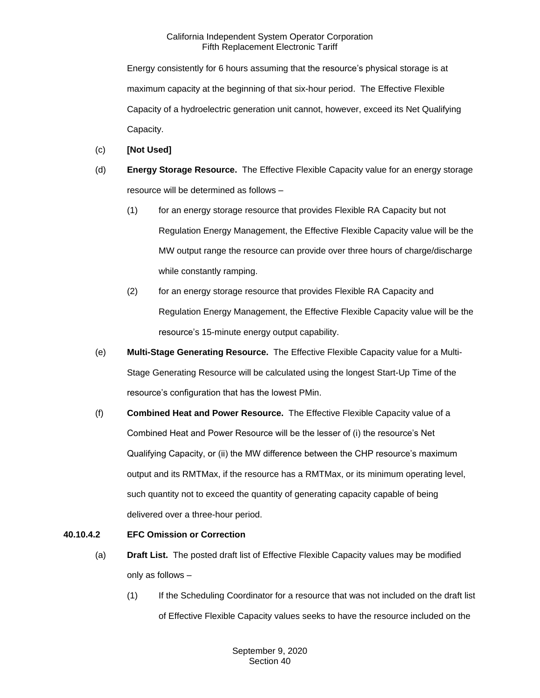Energy consistently for 6 hours assuming that the resource's physical storage is at maximum capacity at the beginning of that six-hour period. The Effective Flexible Capacity of a hydroelectric generation unit cannot, however, exceed its Net Qualifying Capacity.

- (c) **[Not Used]**
- (d) **Energy Storage Resource.** The Effective Flexible Capacity value for an energy storage resource will be determined as follows –
	- (1) for an energy storage resource that provides Flexible RA Capacity but not Regulation Energy Management, the Effective Flexible Capacity value will be the MW output range the resource can provide over three hours of charge/discharge while constantly ramping.
	- (2) for an energy storage resource that provides Flexible RA Capacity and Regulation Energy Management, the Effective Flexible Capacity value will be the resource's 15-minute energy output capability.
- (e) **Multi-Stage Generating Resource.** The Effective Flexible Capacity value for a Multi-Stage Generating Resource will be calculated using the longest Start-Up Time of the resource's configuration that has the lowest PMin.
- (f) **Combined Heat and Power Resource.** The Effective Flexible Capacity value of a Combined Heat and Power Resource will be the lesser of (i) the resource's Net Qualifying Capacity, or (ii) the MW difference between the CHP resource's maximum output and its RMTMax, if the resource has a RMTMax, or its minimum operating level, such quantity not to exceed the quantity of generating capacity capable of being delivered over a three-hour period.

## **40.10.4.2 EFC Omission or Correction**

- (a) **Draft List.** The posted draft list of Effective Flexible Capacity values may be modified only as follows –
	- (1) If the Scheduling Coordinator for a resource that was not included on the draft list of Effective Flexible Capacity values seeks to have the resource included on the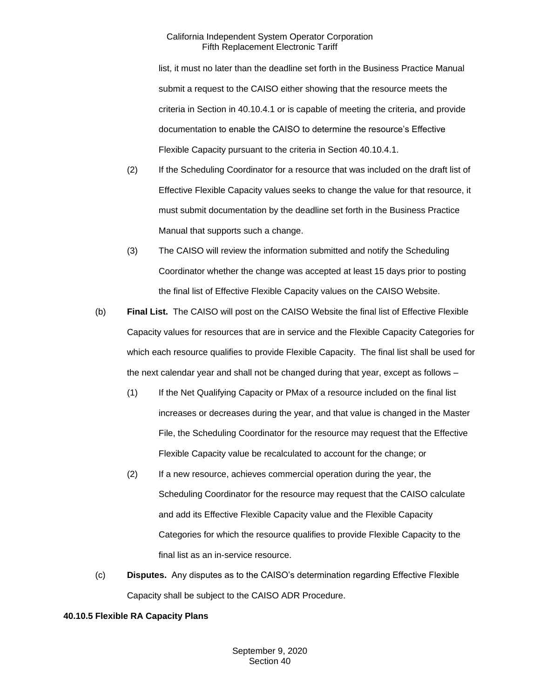list, it must no later than the deadline set forth in the Business Practice Manual submit a request to the CAISO either showing that the resource meets the criteria in Section in 40.10.4.1 or is capable of meeting the criteria, and provide documentation to enable the CAISO to determine the resource's Effective Flexible Capacity pursuant to the criteria in Section 40.10.4.1.

- (2) If the Scheduling Coordinator for a resource that was included on the draft list of Effective Flexible Capacity values seeks to change the value for that resource, it must submit documentation by the deadline set forth in the Business Practice Manual that supports such a change.
- (3) The CAISO will review the information submitted and notify the Scheduling Coordinator whether the change was accepted at least 15 days prior to posting the final list of Effective Flexible Capacity values on the CAISO Website.
- (b) **Final List.** The CAISO will post on the CAISO Website the final list of Effective Flexible Capacity values for resources that are in service and the Flexible Capacity Categories for which each resource qualifies to provide Flexible Capacity. The final list shall be used for the next calendar year and shall not be changed during that year, except as follows –
	- (1) If the Net Qualifying Capacity or PMax of a resource included on the final list increases or decreases during the year, and that value is changed in the Master File, the Scheduling Coordinator for the resource may request that the Effective Flexible Capacity value be recalculated to account for the change; or
	- (2) If a new resource, achieves commercial operation during the year, the Scheduling Coordinator for the resource may request that the CAISO calculate and add its Effective Flexible Capacity value and the Flexible Capacity Categories for which the resource qualifies to provide Flexible Capacity to the final list as an in-service resource.
- (c) **Disputes.** Any disputes as to the CAISO's determination regarding Effective Flexible Capacity shall be subject to the CAISO ADR Procedure.

#### **40.10.5 Flexible RA Capacity Plans**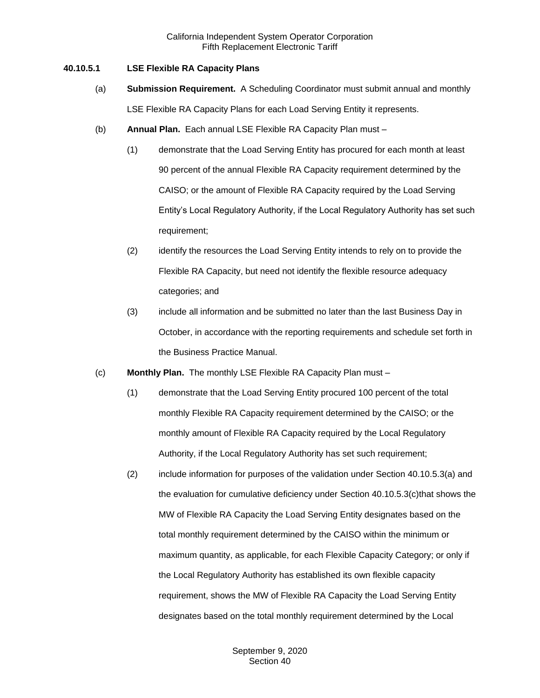#### **40.10.5.1 LSE Flexible RA Capacity Plans**

- (a) **Submission Requirement.** A Scheduling Coordinator must submit annual and monthly LSE Flexible RA Capacity Plans for each Load Serving Entity it represents.
- (b) **Annual Plan.** Each annual LSE Flexible RA Capacity Plan must
	- (1) demonstrate that the Load Serving Entity has procured for each month at least 90 percent of the annual Flexible RA Capacity requirement determined by the CAISO; or the amount of Flexible RA Capacity required by the Load Serving Entity's Local Regulatory Authority, if the Local Regulatory Authority has set such requirement;
	- (2) identify the resources the Load Serving Entity intends to rely on to provide the Flexible RA Capacity, but need not identify the flexible resource adequacy categories; and
	- (3) include all information and be submitted no later than the last Business Day in October, in accordance with the reporting requirements and schedule set forth in the Business Practice Manual.
- (c) **Monthly Plan.** The monthly LSE Flexible RA Capacity Plan must
	- (1) demonstrate that the Load Serving Entity procured 100 percent of the total monthly Flexible RA Capacity requirement determined by the CAISO; or the monthly amount of Flexible RA Capacity required by the Local Regulatory Authority, if the Local Regulatory Authority has set such requirement;
	- (2) include information for purposes of the validation under Section 40.10.5.3(a) and the evaluation for cumulative deficiency under Section 40.10.5.3(c)that shows the MW of Flexible RA Capacity the Load Serving Entity designates based on the total monthly requirement determined by the CAISO within the minimum or maximum quantity, as applicable, for each Flexible Capacity Category; or only if the Local Regulatory Authority has established its own flexible capacity requirement, shows the MW of Flexible RA Capacity the Load Serving Entity designates based on the total monthly requirement determined by the Local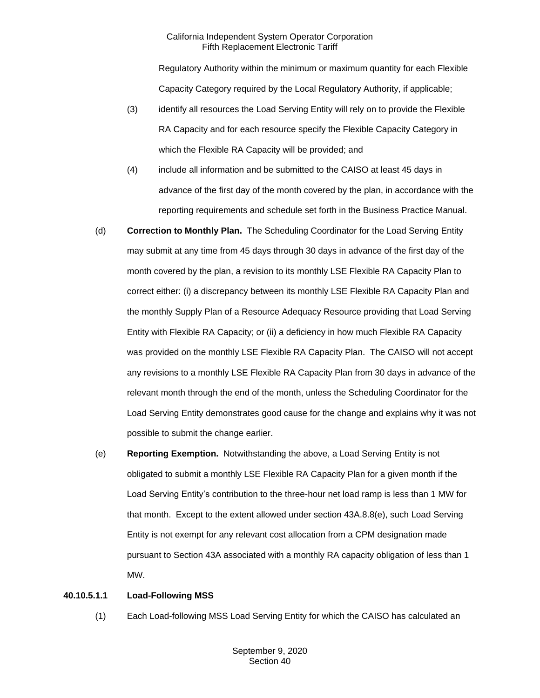Regulatory Authority within the minimum or maximum quantity for each Flexible Capacity Category required by the Local Regulatory Authority, if applicable;

- (3) identify all resources the Load Serving Entity will rely on to provide the Flexible RA Capacity and for each resource specify the Flexible Capacity Category in which the Flexible RA Capacity will be provided; and
- (4) include all information and be submitted to the CAISO at least 45 days in advance of the first day of the month covered by the plan, in accordance with the reporting requirements and schedule set forth in the Business Practice Manual.
- (d) **Correction to Monthly Plan.** The Scheduling Coordinator for the Load Serving Entity may submit at any time from 45 days through 30 days in advance of the first day of the month covered by the plan, a revision to its monthly LSE Flexible RA Capacity Plan to correct either: (i) a discrepancy between its monthly LSE Flexible RA Capacity Plan and the monthly Supply Plan of a Resource Adequacy Resource providing that Load Serving Entity with Flexible RA Capacity; or (ii) a deficiency in how much Flexible RA Capacity was provided on the monthly LSE Flexible RA Capacity Plan. The CAISO will not accept any revisions to a monthly LSE Flexible RA Capacity Plan from 30 days in advance of the relevant month through the end of the month, unless the Scheduling Coordinator for the Load Serving Entity demonstrates good cause for the change and explains why it was not possible to submit the change earlier.
- (e) **Reporting Exemption.** Notwithstanding the above, a Load Serving Entity is not obligated to submit a monthly LSE Flexible RA Capacity Plan for a given month if the Load Serving Entity's contribution to the three-hour net load ramp is less than 1 MW for that month. Except to the extent allowed under section 43A.8.8(e), such Load Serving Entity is not exempt for any relevant cost allocation from a CPM designation made pursuant to Section 43A associated with a monthly RA capacity obligation of less than 1 MW.

## **40.10.5.1.1 Load-Following MSS**

(1) Each Load-following MSS Load Serving Entity for which the CAISO has calculated an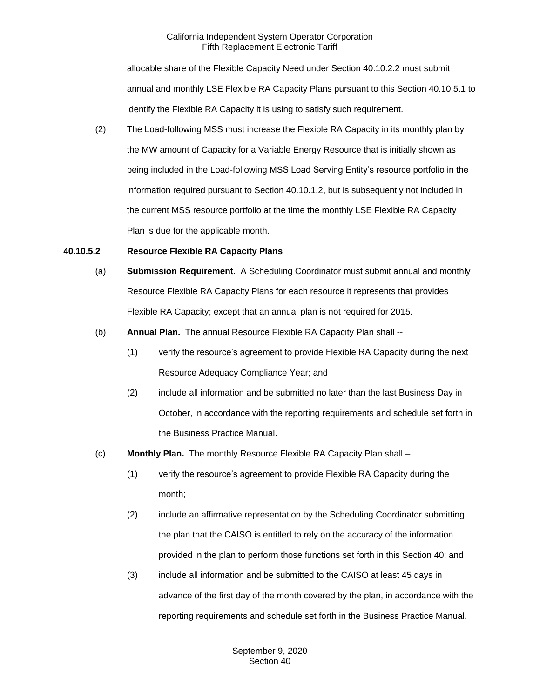allocable share of the Flexible Capacity Need under Section 40.10.2.2 must submit annual and monthly LSE Flexible RA Capacity Plans pursuant to this Section 40.10.5.1 to identify the Flexible RA Capacity it is using to satisfy such requirement.

(2) The Load-following MSS must increase the Flexible RA Capacity in its monthly plan by the MW amount of Capacity for a Variable Energy Resource that is initially shown as being included in the Load-following MSS Load Serving Entity's resource portfolio in the information required pursuant to Section 40.10.1.2, but is subsequently not included in the current MSS resource portfolio at the time the monthly LSE Flexible RA Capacity Plan is due for the applicable month.

#### **40.10.5.2 Resource Flexible RA Capacity Plans**

- (a) **Submission Requirement.** A Scheduling Coordinator must submit annual and monthly Resource Flexible RA Capacity Plans for each resource it represents that provides Flexible RA Capacity; except that an annual plan is not required for 2015.
- (b) **Annual Plan.** The annual Resource Flexible RA Capacity Plan shall --
	- (1) verify the resource's agreement to provide Flexible RA Capacity during the next Resource Adequacy Compliance Year; and
	- (2) include all information and be submitted no later than the last Business Day in October, in accordance with the reporting requirements and schedule set forth in the Business Practice Manual.
- (c) **Monthly Plan.** The monthly Resource Flexible RA Capacity Plan shall
	- (1) verify the resource's agreement to provide Flexible RA Capacity during the month;
	- (2) include an affirmative representation by the Scheduling Coordinator submitting the plan that the CAISO is entitled to rely on the accuracy of the information provided in the plan to perform those functions set forth in this Section 40; and
	- (3) include all information and be submitted to the CAISO at least 45 days in advance of the first day of the month covered by the plan, in accordance with the reporting requirements and schedule set forth in the Business Practice Manual.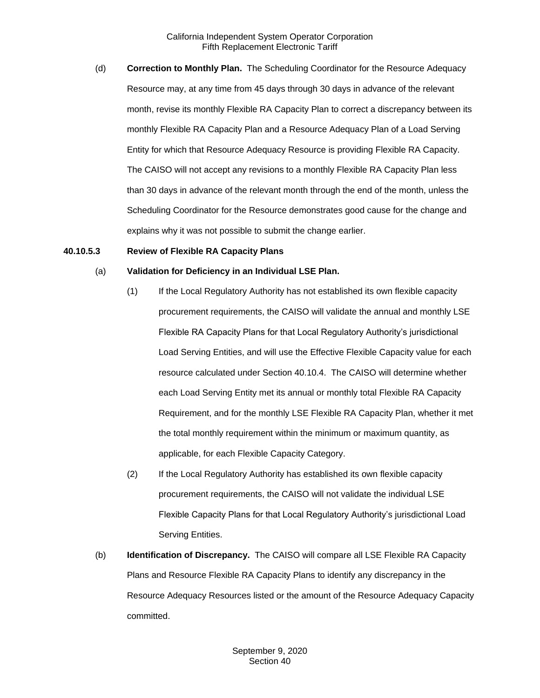(d) **Correction to Monthly Plan.** The Scheduling Coordinator for the Resource Adequacy Resource may, at any time from 45 days through 30 days in advance of the relevant month, revise its monthly Flexible RA Capacity Plan to correct a discrepancy between its monthly Flexible RA Capacity Plan and a Resource Adequacy Plan of a Load Serving Entity for which that Resource Adequacy Resource is providing Flexible RA Capacity. The CAISO will not accept any revisions to a monthly Flexible RA Capacity Plan less than 30 days in advance of the relevant month through the end of the month, unless the Scheduling Coordinator for the Resource demonstrates good cause for the change and explains why it was not possible to submit the change earlier.

#### **40.10.5.3 Review of Flexible RA Capacity Plans**

#### (a) **Validation for Deficiency in an Individual LSE Plan.**

- (1) If the Local Regulatory Authority has not established its own flexible capacity procurement requirements, the CAISO will validate the annual and monthly LSE Flexible RA Capacity Plans for that Local Regulatory Authority's jurisdictional Load Serving Entities, and will use the Effective Flexible Capacity value for each resource calculated under Section 40.10.4. The CAISO will determine whether each Load Serving Entity met its annual or monthly total Flexible RA Capacity Requirement, and for the monthly LSE Flexible RA Capacity Plan, whether it met the total monthly requirement within the minimum or maximum quantity, as applicable, for each Flexible Capacity Category.
- (2) If the Local Regulatory Authority has established its own flexible capacity procurement requirements, the CAISO will not validate the individual LSE Flexible Capacity Plans for that Local Regulatory Authority's jurisdictional Load Serving Entities.
- (b) **Identification of Discrepancy.** The CAISO will compare all LSE Flexible RA Capacity Plans and Resource Flexible RA Capacity Plans to identify any discrepancy in the Resource Adequacy Resources listed or the amount of the Resource Adequacy Capacity committed.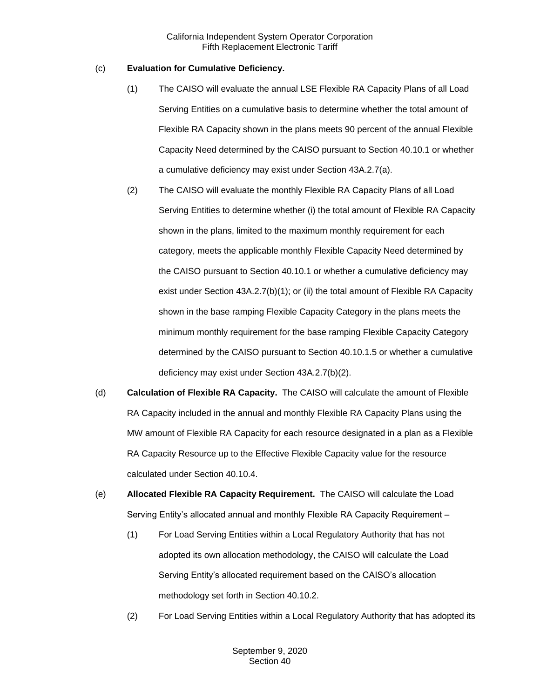### (c) **Evaluation for Cumulative Deficiency.**

- (1) The CAISO will evaluate the annual LSE Flexible RA Capacity Plans of all Load Serving Entities on a cumulative basis to determine whether the total amount of Flexible RA Capacity shown in the plans meets 90 percent of the annual Flexible Capacity Need determined by the CAISO pursuant to Section 40.10.1 or whether a cumulative deficiency may exist under Section 43A.2.7(a).
- (2) The CAISO will evaluate the monthly Flexible RA Capacity Plans of all Load Serving Entities to determine whether (i) the total amount of Flexible RA Capacity shown in the plans, limited to the maximum monthly requirement for each category, meets the applicable monthly Flexible Capacity Need determined by the CAISO pursuant to Section 40.10.1 or whether a cumulative deficiency may exist under Section 43A.2.7(b)(1); or (ii) the total amount of Flexible RA Capacity shown in the base ramping Flexible Capacity Category in the plans meets the minimum monthly requirement for the base ramping Flexible Capacity Category determined by the CAISO pursuant to Section 40.10.1.5 or whether a cumulative deficiency may exist under Section 43A.2.7(b)(2).
- (d) **Calculation of Flexible RA Capacity.** The CAISO will calculate the amount of Flexible RA Capacity included in the annual and monthly Flexible RA Capacity Plans using the MW amount of Flexible RA Capacity for each resource designated in a plan as a Flexible RA Capacity Resource up to the Effective Flexible Capacity value for the resource calculated under Section 40.10.4.
- (e) **Allocated Flexible RA Capacity Requirement.** The CAISO will calculate the Load Serving Entity's allocated annual and monthly Flexible RA Capacity Requirement –
	- (1) For Load Serving Entities within a Local Regulatory Authority that has not adopted its own allocation methodology, the CAISO will calculate the Load Serving Entity's allocated requirement based on the CAISO's allocation methodology set forth in Section 40.10.2.
	- (2) For Load Serving Entities within a Local Regulatory Authority that has adopted its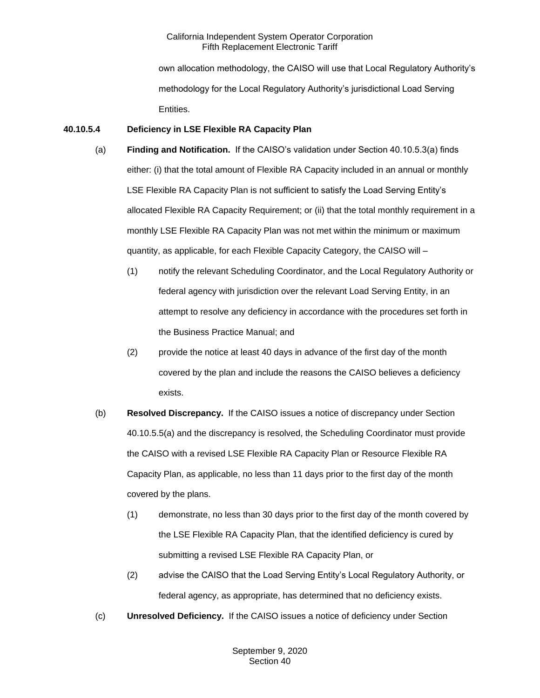own allocation methodology, the CAISO will use that Local Regulatory Authority's methodology for the Local Regulatory Authority's jurisdictional Load Serving Entities.

## **40.10.5.4 Deficiency in LSE Flexible RA Capacity Plan**

- (a) **Finding and Notification.** If the CAISO's validation under Section 40.10.5.3(a) finds either: (i) that the total amount of Flexible RA Capacity included in an annual or monthly LSE Flexible RA Capacity Plan is not sufficient to satisfy the Load Serving Entity's allocated Flexible RA Capacity Requirement; or (ii) that the total monthly requirement in a monthly LSE Flexible RA Capacity Plan was not met within the minimum or maximum quantity, as applicable, for each Flexible Capacity Category, the CAISO will –
	- (1) notify the relevant Scheduling Coordinator, and the Local Regulatory Authority or federal agency with jurisdiction over the relevant Load Serving Entity, in an attempt to resolve any deficiency in accordance with the procedures set forth in the Business Practice Manual; and
	- (2) provide the notice at least 40 days in advance of the first day of the month covered by the plan and include the reasons the CAISO believes a deficiency exists.
- (b) **Resolved Discrepancy.** If the CAISO issues a notice of discrepancy under Section 40.10.5.5(a) and the discrepancy is resolved, the Scheduling Coordinator must provide the CAISO with a revised LSE Flexible RA Capacity Plan or Resource Flexible RA Capacity Plan, as applicable, no less than 11 days prior to the first day of the month covered by the plans.
	- (1) demonstrate, no less than 30 days prior to the first day of the month covered by the LSE Flexible RA Capacity Plan, that the identified deficiency is cured by submitting a revised LSE Flexible RA Capacity Plan, or
	- (2) advise the CAISO that the Load Serving Entity's Local Regulatory Authority, or federal agency, as appropriate, has determined that no deficiency exists.
- (c) **Unresolved Deficiency.** If the CAISO issues a notice of deficiency under Section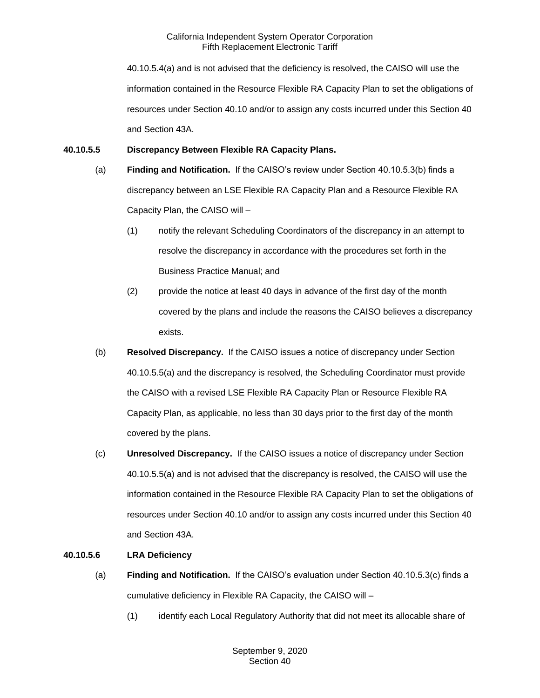40.10.5.4(a) and is not advised that the deficiency is resolved, the CAISO will use the information contained in the Resource Flexible RA Capacity Plan to set the obligations of resources under Section 40.10 and/or to assign any costs incurred under this Section 40 and Section 43A.

### **40.10.5.5 Discrepancy Between Flexible RA Capacity Plans.**

- (a) **Finding and Notification.** If the CAISO's review under Section 40.10.5.3(b) finds a discrepancy between an LSE Flexible RA Capacity Plan and a Resource Flexible RA Capacity Plan, the CAISO will –
	- (1) notify the relevant Scheduling Coordinators of the discrepancy in an attempt to resolve the discrepancy in accordance with the procedures set forth in the Business Practice Manual; and
	- (2) provide the notice at least 40 days in advance of the first day of the month covered by the plans and include the reasons the CAISO believes a discrepancy exists.
- (b) **Resolved Discrepancy.** If the CAISO issues a notice of discrepancy under Section 40.10.5.5(a) and the discrepancy is resolved, the Scheduling Coordinator must provide the CAISO with a revised LSE Flexible RA Capacity Plan or Resource Flexible RA Capacity Plan, as applicable, no less than 30 days prior to the first day of the month covered by the plans.
- (c) **Unresolved Discrepancy.** If the CAISO issues a notice of discrepancy under Section 40.10.5.5(a) and is not advised that the discrepancy is resolved, the CAISO will use the information contained in the Resource Flexible RA Capacity Plan to set the obligations of resources under Section 40.10 and/or to assign any costs incurred under this Section 40 and Section 43A.

## **40.10.5.6 LRA Deficiency**

- (a) **Finding and Notification.** If the CAISO's evaluation under Section 40.10.5.3(c) finds a cumulative deficiency in Flexible RA Capacity, the CAISO will –
	- (1) identify each Local Regulatory Authority that did not meet its allocable share of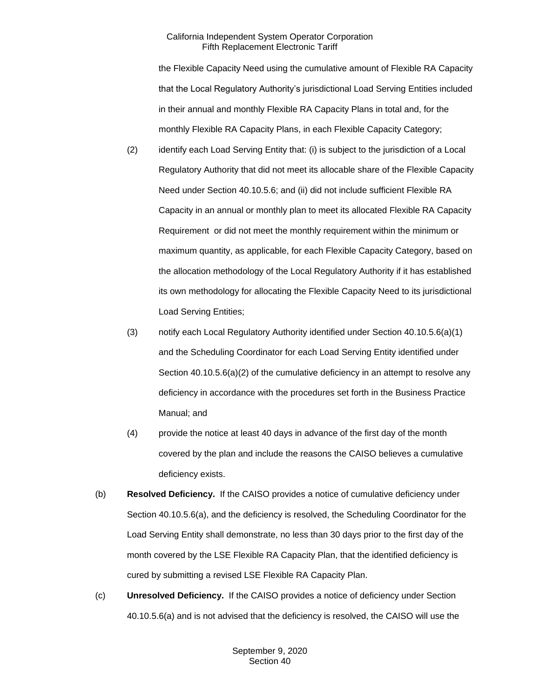the Flexible Capacity Need using the cumulative amount of Flexible RA Capacity that the Local Regulatory Authority's jurisdictional Load Serving Entities included in their annual and monthly Flexible RA Capacity Plans in total and, for the monthly Flexible RA Capacity Plans, in each Flexible Capacity Category;

- (2) identify each Load Serving Entity that: (i) is subject to the jurisdiction of a Local Regulatory Authority that did not meet its allocable share of the Flexible Capacity Need under Section 40.10.5.6; and (ii) did not include sufficient Flexible RA Capacity in an annual or monthly plan to meet its allocated Flexible RA Capacity Requirement or did not meet the monthly requirement within the minimum or maximum quantity, as applicable, for each Flexible Capacity Category, based on the allocation methodology of the Local Regulatory Authority if it has established its own methodology for allocating the Flexible Capacity Need to its jurisdictional Load Serving Entities;
- (3) notify each Local Regulatory Authority identified under Section 40.10.5.6(a)(1) and the Scheduling Coordinator for each Load Serving Entity identified under Section 40.10.5.6(a)(2) of the cumulative deficiency in an attempt to resolve any deficiency in accordance with the procedures set forth in the Business Practice Manual; and
- (4) provide the notice at least 40 days in advance of the first day of the month covered by the plan and include the reasons the CAISO believes a cumulative deficiency exists.
- (b) **Resolved Deficiency.** If the CAISO provides a notice of cumulative deficiency under Section 40.10.5.6(a), and the deficiency is resolved, the Scheduling Coordinator for the Load Serving Entity shall demonstrate, no less than 30 days prior to the first day of the month covered by the LSE Flexible RA Capacity Plan, that the identified deficiency is cured by submitting a revised LSE Flexible RA Capacity Plan.
- (c) **Unresolved Deficiency.** If the CAISO provides a notice of deficiency under Section 40.10.5.6(a) and is not advised that the deficiency is resolved, the CAISO will use the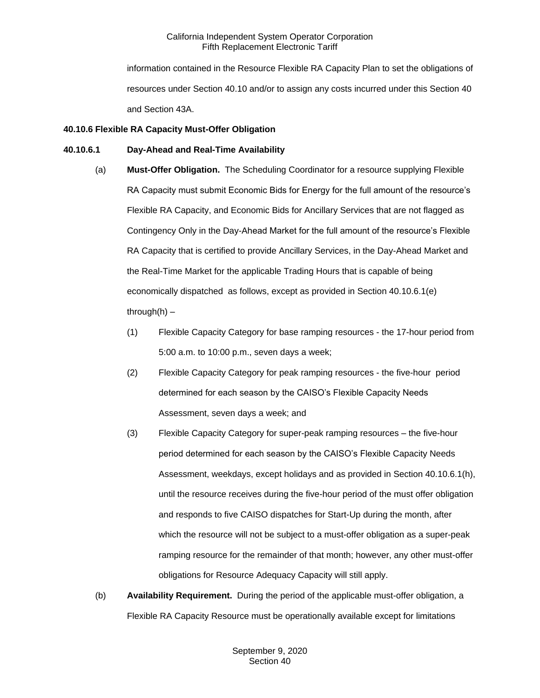information contained in the Resource Flexible RA Capacity Plan to set the obligations of resources under Section 40.10 and/or to assign any costs incurred under this Section 40 and Section 43A.

### **40.10.6 Flexible RA Capacity Must-Offer Obligation**

#### **40.10.6.1 Day-Ahead and Real-Time Availability**

- (a) **Must-Offer Obligation.** The Scheduling Coordinator for a resource supplying Flexible RA Capacity must submit Economic Bids for Energy for the full amount of the resource's Flexible RA Capacity, and Economic Bids for Ancillary Services that are not flagged as Contingency Only in the Day-Ahead Market for the full amount of the resource's Flexible RA Capacity that is certified to provide Ancillary Services, in the Day-Ahead Market and the Real-Time Market for the applicable Trading Hours that is capable of being economically dispatched as follows, except as provided in Section 40.10.6.1(e) through $(h)$  –
	- (1) Flexible Capacity Category for base ramping resources the 17-hour period from 5:00 a.m. to 10:00 p.m., seven days a week;
	- (2) Flexible Capacity Category for peak ramping resources the five-hour period determined for each season by the CAISO's Flexible Capacity Needs Assessment, seven days a week; and
	- (3) Flexible Capacity Category for super-peak ramping resources the five-hour period determined for each season by the CAISO's Flexible Capacity Needs Assessment, weekdays, except holidays and as provided in Section 40.10.6.1(h), until the resource receives during the five-hour period of the must offer obligation and responds to five CAISO dispatches for Start-Up during the month, after which the resource will not be subject to a must-offer obligation as a super-peak ramping resource for the remainder of that month; however, any other must-offer obligations for Resource Adequacy Capacity will still apply.
- (b) **Availability Requirement.** During the period of the applicable must-offer obligation, a Flexible RA Capacity Resource must be operationally available except for limitations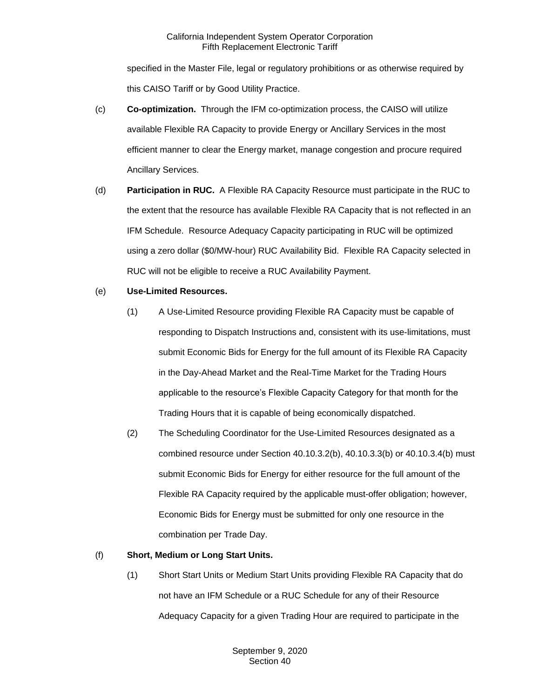specified in the Master File, legal or regulatory prohibitions or as otherwise required by this CAISO Tariff or by Good Utility Practice.

- (c) **Co-optimization.** Through the IFM co-optimization process, the CAISO will utilize available Flexible RA Capacity to provide Energy or Ancillary Services in the most efficient manner to clear the Energy market, manage congestion and procure required Ancillary Services.
- (d) **Participation in RUC.** A Flexible RA Capacity Resource must participate in the RUC to the extent that the resource has available Flexible RA Capacity that is not reflected in an IFM Schedule. Resource Adequacy Capacity participating in RUC will be optimized using a zero dollar (\$0/MW-hour) RUC Availability Bid. Flexible RA Capacity selected in RUC will not be eligible to receive a RUC Availability Payment.
- (e) **Use-Limited Resources.**
	- (1) A Use-Limited Resource providing Flexible RA Capacity must be capable of responding to Dispatch Instructions and, consistent with its use-limitations, must submit Economic Bids for Energy for the full amount of its Flexible RA Capacity in the Day-Ahead Market and the Real-Time Market for the Trading Hours applicable to the resource's Flexible Capacity Category for that month for the Trading Hours that it is capable of being economically dispatched.
	- (2) The Scheduling Coordinator for the Use-Limited Resources designated as a combined resource under Section 40.10.3.2(b), 40.10.3.3(b) or 40.10.3.4(b) must submit Economic Bids for Energy for either resource for the full amount of the Flexible RA Capacity required by the applicable must-offer obligation; however, Economic Bids for Energy must be submitted for only one resource in the combination per Trade Day.

## (f) **Short, Medium or Long Start Units.**

(1) Short Start Units or Medium Start Units providing Flexible RA Capacity that do not have an IFM Schedule or a RUC Schedule for any of their Resource Adequacy Capacity for a given Trading Hour are required to participate in the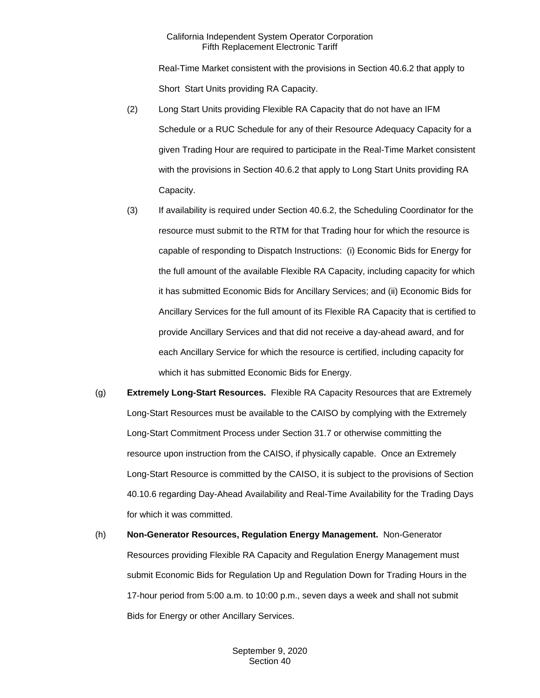Real-Time Market consistent with the provisions in Section 40.6.2 that apply to Short Start Units providing RA Capacity.

- (2) Long Start Units providing Flexible RA Capacity that do not have an IFM Schedule or a RUC Schedule for any of their Resource Adequacy Capacity for a given Trading Hour are required to participate in the Real-Time Market consistent with the provisions in Section 40.6.2 that apply to Long Start Units providing RA Capacity.
- (3) If availability is required under Section 40.6.2, the Scheduling Coordinator for the resource must submit to the RTM for that Trading hour for which the resource is capable of responding to Dispatch Instructions: (i) Economic Bids for Energy for the full amount of the available Flexible RA Capacity, including capacity for which it has submitted Economic Bids for Ancillary Services; and (ii) Economic Bids for Ancillary Services for the full amount of its Flexible RA Capacity that is certified to provide Ancillary Services and that did not receive a day-ahead award, and for each Ancillary Service for which the resource is certified, including capacity for which it has submitted Economic Bids for Energy.
- (g) **Extremely Long-Start Resources.** Flexible RA Capacity Resources that are Extremely Long-Start Resources must be available to the CAISO by complying with the Extremely Long-Start Commitment Process under Section 31.7 or otherwise committing the resource upon instruction from the CAISO, if physically capable. Once an Extremely Long-Start Resource is committed by the CAISO, it is subject to the provisions of Section 40.10.6 regarding Day-Ahead Availability and Real-Time Availability for the Trading Days for which it was committed.
- (h) **Non-Generator Resources, Regulation Energy Management.** Non-Generator Resources providing Flexible RA Capacity and Regulation Energy Management must submit Economic Bids for Regulation Up and Regulation Down for Trading Hours in the 17-hour period from 5:00 a.m. to 10:00 p.m., seven days a week and shall not submit Bids for Energy or other Ancillary Services.